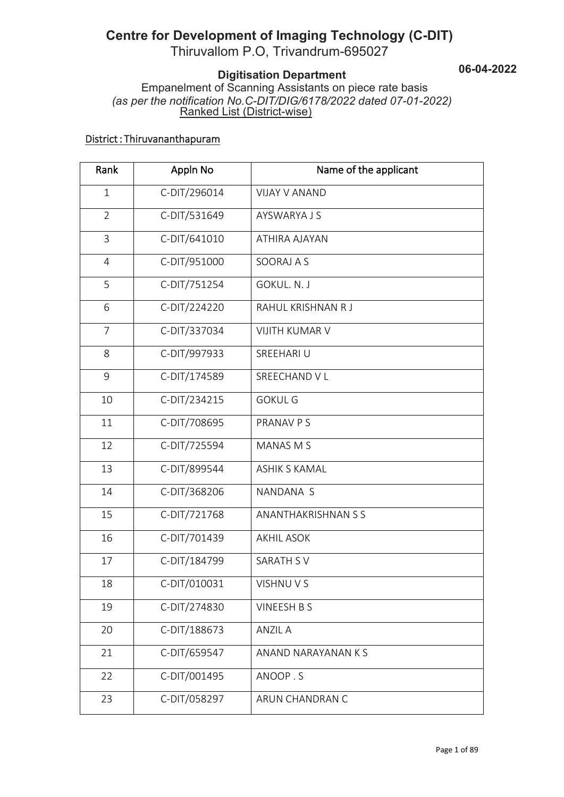# **Centre for Development of Imaging Technology (C-DIT)**

**06-04-2022**

**pment of Imaging Technology (C-DIT)**<br>Iom P.O, Trivandrum-695027<br>Digitisation Department<br>of Scanning Assistants on piece rate basis<br>*n No.C-DIT/DIG/6178/2022 dated 07-01-2022)*<br>I List (District-wise) Empanelment of Scanning Assistants on piece rate basis **Centre for Development of Imaging Technology (C-DIT)**<br>
Thiruvallom P.O, Trivandrum-695027<br> **Digitisation Department**<br>
Empanelment of Scanning Assistants on piece rate basis<br>
(as per the notification No.C-DIT/DIG/6178/2022 Ranked List (District-wise)

#### District : Thiruvananthapuram

| Thiruvallom P.O, Trivandrum-695027<br><b>Digitisation Department</b><br>Empanelment of Scanning Assistants on piece rate basis<br>(as per the notification No.C-DIT/DIG/6178/2022 dated 07-01-2022)<br>Ranked List (District-wise) |              | 06-04-                |  |
|------------------------------------------------------------------------------------------------------------------------------------------------------------------------------------------------------------------------------------|--------------|-----------------------|--|
| District: Thiruvananthapuram                                                                                                                                                                                                       |              |                       |  |
| Rank                                                                                                                                                                                                                               | Appln No     | Name of the applicant |  |
| $\mathbf{1}$                                                                                                                                                                                                                       | C-DIT/296014 | <b>VIJAY V ANAND</b>  |  |
| $\overline{2}$                                                                                                                                                                                                                     | C-DIT/531649 | <b>AYSWARYA J S</b>   |  |
| 3                                                                                                                                                                                                                                  | C-DIT/641010 | ATHIRA AJAYAN         |  |
| $\overline{4}$                                                                                                                                                                                                                     | C-DIT/951000 | SOORAJ A S            |  |
| 5                                                                                                                                                                                                                                  | C-DIT/751254 | GOKUL, N. J           |  |
| 6                                                                                                                                                                                                                                  | C-DIT/224220 | RAHUL KRISHNAN R J    |  |
| $\overline{7}$                                                                                                                                                                                                                     | C-DIT/337034 | <b>VIJITH KUMAR V</b> |  |
| 8                                                                                                                                                                                                                                  | C-DIT/997933 | SREEHARI U            |  |
| 9                                                                                                                                                                                                                                  | C-DIT/174589 | SREECHAND V L         |  |
| 10                                                                                                                                                                                                                                 | C-DIT/234215 | <b>GOKUL G</b>        |  |
| 11                                                                                                                                                                                                                                 | C-DIT/708695 | PRANAV P S            |  |
| 12                                                                                                                                                                                                                                 | C-DIT/725594 | <b>MANAS M S</b>      |  |
| 13                                                                                                                                                                                                                                 | C-DIT/899544 | <b>ASHIK S KAMAL</b>  |  |
| 14                                                                                                                                                                                                                                 | C-DIT/368206 | NANDANA S             |  |
| 15                                                                                                                                                                                                                                 | C-DIT/721768 | ANANTHAKRISHNAN S S   |  |
| 16                                                                                                                                                                                                                                 | C-DIT/701439 | <b>AKHIL ASOK</b>     |  |
| 17                                                                                                                                                                                                                                 | C-DIT/184799 | <b>SARATH SV</b>      |  |
| 18                                                                                                                                                                                                                                 | C-DIT/010031 | VISHNU V S            |  |
| 19                                                                                                                                                                                                                                 | C-DIT/274830 | <b>VINEESH B S</b>    |  |
| 20                                                                                                                                                                                                                                 | C-DIT/188673 | <b>ANZIL A</b>        |  |
| 21                                                                                                                                                                                                                                 | C-DIT/659547 | ANAND NARAYANAN K S   |  |
| 22                                                                                                                                                                                                                                 | C-DIT/001495 | ANOOP.S               |  |
| 23                                                                                                                                                                                                                                 | C-DIT/058297 | ARUN CHANDRAN C       |  |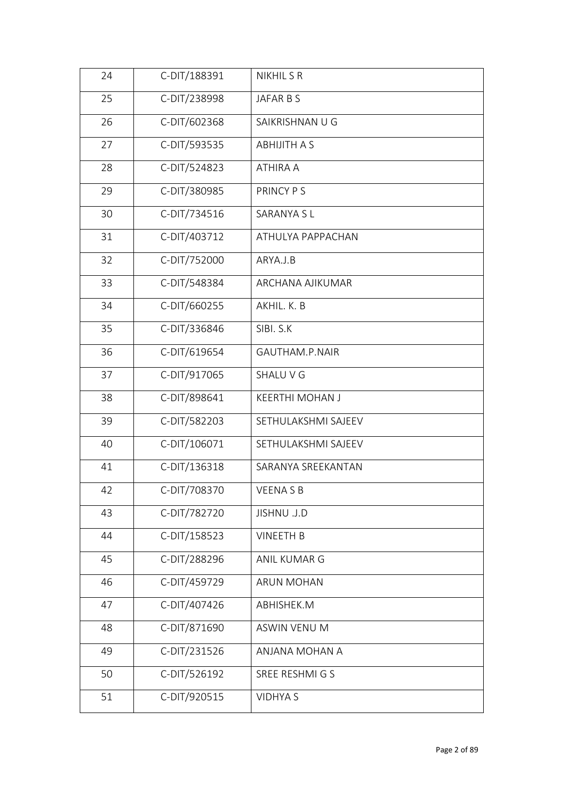| 24 | C-DIT/188391 | <b>NIKHIL S R</b>      |
|----|--------------|------------------------|
| 25 | C-DIT/238998 | JAFAR B S              |
| 26 | C-DIT/602368 | SAIKRISHNAN U G        |
| 27 | C-DIT/593535 | <b>ABHIJITH A S</b>    |
| 28 | C-DIT/524823 | ATHIRA A               |
| 29 | C-DIT/380985 | PRINCY PS              |
| 30 | C-DIT/734516 | SARANYA SL             |
| 31 | C-DIT/403712 | ATHULYA PAPPACHAN      |
| 32 | C-DIT/752000 | ARYA.J.B               |
| 33 | C-DIT/548384 | ARCHANA AJIKUMAR       |
| 34 | C-DIT/660255 | AKHIL. K. B            |
| 35 | C-DIT/336846 | SIBI. S.K              |
| 36 | C-DIT/619654 | GAUTHAM.P.NAIR         |
| 37 | C-DIT/917065 | SHALU V G              |
| 38 | C-DIT/898641 | <b>KEERTHI MOHAN J</b> |
| 39 | C-DIT/582203 | SETHULAKSHMI SAJEEV    |
| 40 | C-DIT/106071 | SETHULAKSHMI SAJEEV    |
| 41 | C-DIT/136318 | SARANYA SREEKANTAN     |
| 42 | C-DIT/708370 | <b>VEENASB</b>         |
| 43 | C-DIT/782720 | JISHNU .J.D            |
| 44 | C-DIT/158523 | <b>VINEETH B</b>       |
| 45 | C-DIT/288296 | ANIL KUMAR G           |
| 46 | C-DIT/459729 | <b>ARUN MOHAN</b>      |
| 47 | C-DIT/407426 | ABHISHEK.M             |
| 48 | C-DIT/871690 | ASWIN VENU M           |
| 49 | C-DIT/231526 | ANJANA MOHAN A         |
| 50 | C-DIT/526192 | SREE RESHMI G S        |
| 51 | C-DIT/920515 | <b>VIDHYA S</b>        |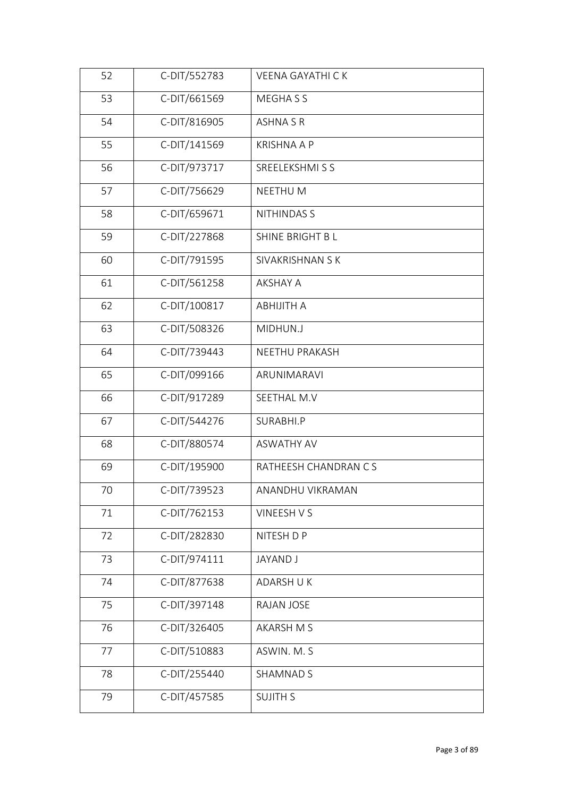| 52 | C-DIT/552783 | <b>VEENA GAYATHI CK</b> |
|----|--------------|-------------------------|
| 53 | C-DIT/661569 | MEGHA S S               |
| 54 | C-DIT/816905 | <b>ASHNA S R</b>        |
| 55 | C-DIT/141569 | <b>KRISHNA A P</b>      |
| 56 | C-DIT/973717 | SREELEKSHMI S S         |
| 57 | C-DIT/756629 | NEETHU M                |
| 58 | C-DIT/659671 | <b>NITHINDAS S</b>      |
| 59 | C-DIT/227868 | SHINE BRIGHT B L        |
| 60 | C-DIT/791595 | SIVAKRISHNAN S K        |
| 61 | C-DIT/561258 | <b>AKSHAY A</b>         |
| 62 | C-DIT/100817 | <b>ABHIJITH A</b>       |
| 63 | C-DIT/508326 | MIDHUN.J                |
| 64 | C-DIT/739443 | NEETHU PRAKASH          |
| 65 | C-DIT/099166 | ARUNIMARAVI             |
| 66 | C-DIT/917289 | SEETHAL M.V             |
| 67 | C-DIT/544276 | SURABHI.P               |
| 68 | C-DIT/880574 | <b>ASWATHY AV</b>       |
| 69 | C-DIT/195900 | RATHEESH CHANDRAN CS    |
| 70 | C-DIT/739523 | ANANDHU VIKRAMAN        |
| 71 | C-DIT/762153 | VINEESH V S             |
| 72 | C-DIT/282830 | NITESH D P              |
| 73 | C-DIT/974111 | <b>JAYAND J</b>         |
| 74 | C-DIT/877638 | ADARSH U K              |
| 75 | C-DIT/397148 | RAJAN JOSE              |
| 76 | C-DIT/326405 | <b>AKARSH M S</b>       |
| 77 | C-DIT/510883 | ASWIN. M. S             |
| 78 | C-DIT/255440 | <b>SHAMNAD S</b>        |
| 79 | C-DIT/457585 | <b>SUJITH S</b>         |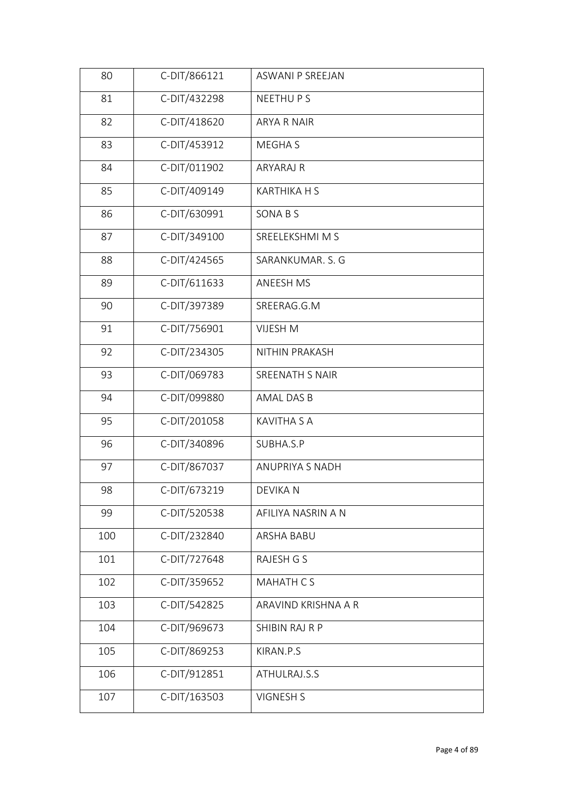| 80  | C-DIT/866121 | <b>ASWANI P SREEJAN</b> |
|-----|--------------|-------------------------|
| 81  | C-DIT/432298 | NEETHU P S              |
| 82  | C-DIT/418620 | ARYA R NAIR             |
| 83  | C-DIT/453912 | MEGHA S                 |
| 84  | C-DIT/011902 | ARYARAJ R               |
| 85  | C-DIT/409149 | <b>KARTHIKA H S</b>     |
| 86  | C-DIT/630991 | SONA B S                |
| 87  | C-DIT/349100 | SREELEKSHMI M S         |
| 88  | C-DIT/424565 | SARANKUMAR. S. G        |
| 89  | C-DIT/611633 | ANEESH MS               |
| 90  | C-DIT/397389 | SREERAG.G.M             |
| 91  | C-DIT/756901 | <b>VIJESH M</b>         |
| 92  | C-DIT/234305 | NITHIN PRAKASH          |
| 93  | C-DIT/069783 | SREENATH S NAIR         |
| 94  | C-DIT/099880 | AMAL DAS B              |
| 95  | C-DIT/201058 | <b>KAVITHA S A</b>      |
| 96  | C-DIT/340896 | SUBHA.S.P               |
| 97  | C-DIT/867037 | <b>ANUPRIYA S NADH</b>  |
| 98  | C-DIT/673219 | DEVIKA N                |
| 99  | C-DIT/520538 | AFILIYA NASRIN A N      |
| 100 | C-DIT/232840 | ARSHA BABU              |
| 101 | C-DIT/727648 | RAJESH G S              |
| 102 | C-DIT/359652 | MAHATH CS               |
| 103 | C-DIT/542825 | ARAVIND KRISHNA A R     |
| 104 | C-DIT/969673 | SHIBIN RAJ R P          |
| 105 | C-DIT/869253 | KIRAN.P.S               |
| 106 | C-DIT/912851 | ATHULRAJ.S.S            |
| 107 | C-DIT/163503 | <b>VIGNESH S</b>        |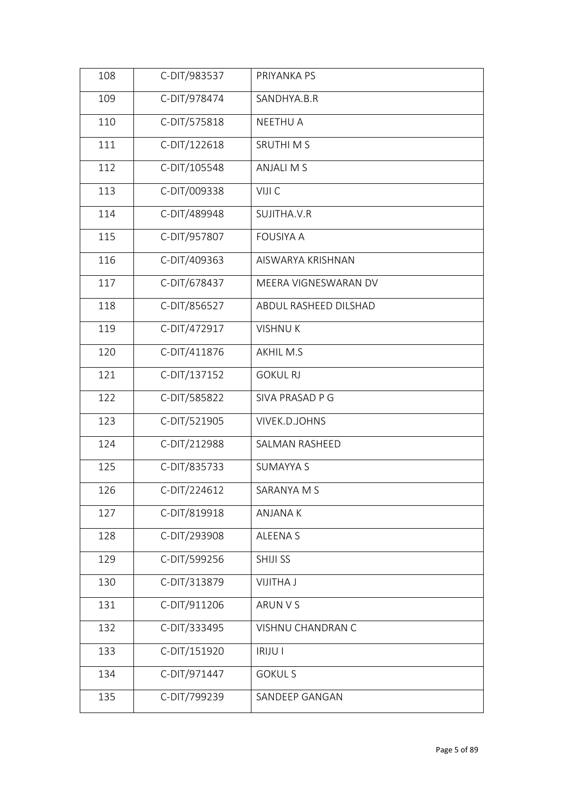| 108 | C-DIT/983537 | PRIYANKA PS           |
|-----|--------------|-----------------------|
| 109 | C-DIT/978474 | SANDHYA.B.R           |
| 110 | C-DIT/575818 | <b>NEETHU A</b>       |
| 111 | C-DIT/122618 | <b>SRUTHIMS</b>       |
| 112 | C-DIT/105548 | <b>ANJALI M S</b>     |
| 113 | C-DIT/009338 | VIJI C                |
| 114 | C-DIT/489948 | SUJITHA.V.R           |
| 115 | C-DIT/957807 | <b>FOUSIYA A</b>      |
| 116 | C-DIT/409363 | AISWARYA KRISHNAN     |
| 117 | C-DIT/678437 | MEERA VIGNESWARAN DV  |
| 118 | C-DIT/856527 | ABDUL RASHEED DILSHAD |
| 119 | C-DIT/472917 | <b>VISHNUK</b>        |
| 120 | C-DIT/411876 | <b>AKHIL M.S</b>      |
| 121 | C-DIT/137152 | <b>GOKUL RJ</b>       |
| 122 | C-DIT/585822 | SIVA PRASAD P G       |
| 123 | C-DIT/521905 | VIVEK.D.JOHNS         |
| 124 | C-DIT/212988 | SALMAN RASHEED        |
| 125 | C-DIT/835733 | <b>SUMAYYA S</b>      |
| 126 | C-DIT/224612 | SARANYA M S           |
| 127 | C-DIT/819918 | ANJANA K              |
| 128 | C-DIT/293908 | ALEENA S              |
| 129 | C-DIT/599256 | SHIJI SS              |
| 130 | C-DIT/313879 | <b>VIJITHA J</b>      |
| 131 | C-DIT/911206 | ARUN V S              |
| 132 | C-DIT/333495 | VISHNU CHANDRAN C     |
| 133 | C-DIT/151920 | <b>IRIJU I</b>        |
| 134 | C-DIT/971447 | <b>GOKUL S</b>        |
| 135 | C-DIT/799239 | SANDEEP GANGAN        |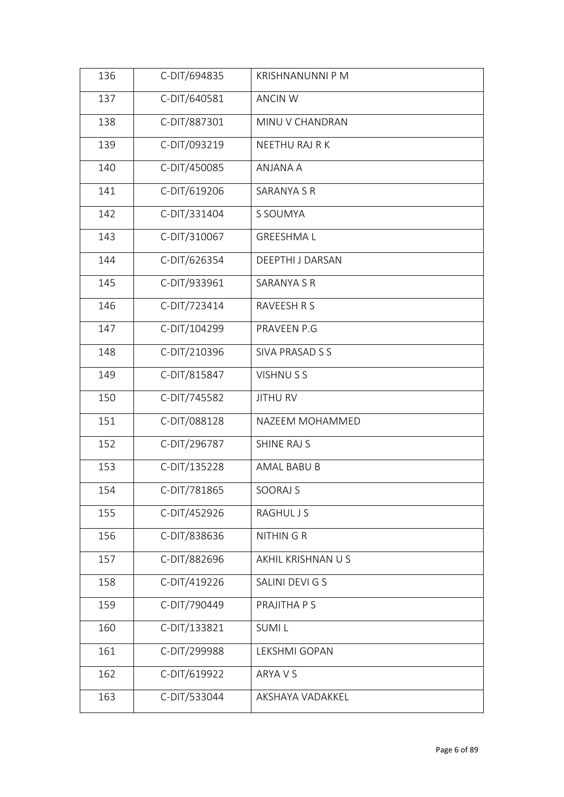| 136 | C-DIT/694835 | KRISHNANUNNI P M        |  |
|-----|--------------|-------------------------|--|
| 137 | C-DIT/640581 | <b>ANCIN W</b>          |  |
| 138 | C-DIT/887301 | MINU V CHANDRAN         |  |
| 139 | C-DIT/093219 | NEETHU RAJ R K          |  |
| 140 | C-DIT/450085 | ANJANA A                |  |
| 141 | C-DIT/619206 | SARANYA S R             |  |
| 142 | C-DIT/331404 | S SOUMYA                |  |
| 143 | C-DIT/310067 | <b>GREESHMAL</b>        |  |
| 144 | C-DIT/626354 | <b>DEEPTHI J DARSAN</b> |  |
| 145 | C-DIT/933961 | <b>SARANYA S R</b>      |  |
| 146 | C-DIT/723414 | RAVEESH R S             |  |
| 147 | C-DIT/104299 | PRAVEEN P.G             |  |
| 148 | C-DIT/210396 | SIVA PRASAD S S         |  |
| 149 | C-DIT/815847 | VISHNU S S              |  |
| 150 | C-DIT/745582 | <b>JITHU RV</b>         |  |
| 151 | C-DIT/088128 | NAZEEM MOHAMMED         |  |
| 152 | C-DIT/296787 | SHINE RAJ S             |  |
| 153 | C-DIT/135228 | AMAL BABU B             |  |
| 154 | C-DIT/781865 | SOORAJ S                |  |
| 155 | C-DIT/452926 | <b>RAGHUL J S</b>       |  |
| 156 | C-DIT/838636 | <b>NITHINGR</b>         |  |
| 157 | C-DIT/882696 | AKHIL KRISHNAN U S      |  |
| 158 | C-DIT/419226 | SALINI DEVI G S         |  |
| 159 | C-DIT/790449 | PRAJITHA P S            |  |
| 160 | C-DIT/133821 | <b>SUMIL</b>            |  |
| 161 | C-DIT/299988 | LEKSHMI GOPAN           |  |
| 162 | C-DIT/619922 | ARYA V S                |  |
| 163 | C-DIT/533044 | AKSHAYA VADAKKEL        |  |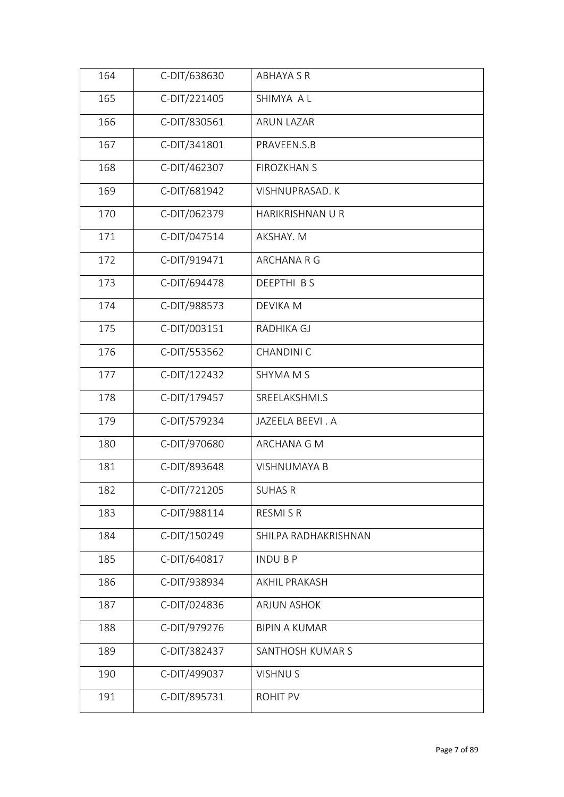| 164 | C-DIT/638630 | <b>ABHAYA S R</b>      |
|-----|--------------|------------------------|
| 165 | C-DIT/221405 | SHIMYA A L             |
| 166 | C-DIT/830561 | <b>ARUN LAZAR</b>      |
| 167 | C-DIT/341801 | PRAVEEN.S.B            |
| 168 | C-DIT/462307 | <b>FIROZKHAN S</b>     |
| 169 | C-DIT/681942 | <b>VISHNUPRASAD, K</b> |
| 170 | C-DIT/062379 | HARIKRISHNAN U R       |
| 171 | C-DIT/047514 | AKSHAY. M              |
| 172 | C-DIT/919471 | ARCHANA R G            |
| 173 | C-DIT/694478 | DEEPTHI BS             |
| 174 | C-DIT/988573 | <b>DEVIKA M</b>        |
| 175 | C-DIT/003151 | RADHIKA GJ             |
| 176 | C-DIT/553562 | <b>CHANDINI C</b>      |
| 177 | C-DIT/122432 | SHYMA M S              |
| 178 | C-DIT/179457 | SREELAKSHMI.S          |
| 179 | C-DIT/579234 | JAZEELA BEEVI. A       |
| 180 | C-DIT/970680 | ARCHANA G M            |
| 181 | C-DIT/893648 | <b>VISHNUMAYA B</b>    |
| 182 | C-DIT/721205 | <b>SUHAS R</b>         |
| 183 | C-DIT/988114 | RESMI S R              |
| 184 | C-DIT/150249 | SHILPA RADHAKRISHNAN   |
| 185 | C-DIT/640817 | <b>INDUBP</b>          |
| 186 | C-DIT/938934 | <b>AKHIL PRAKASH</b>   |
| 187 | C-DIT/024836 | <b>ARJUN ASHOK</b>     |
| 188 | C-DIT/979276 | <b>BIPIN A KUMAR</b>   |
| 189 | C-DIT/382437 | SANTHOSH KUMAR S       |
| 190 | C-DIT/499037 | <b>VISHNUS</b>         |
| 191 | C-DIT/895731 | ROHIT PV               |
|     |              |                        |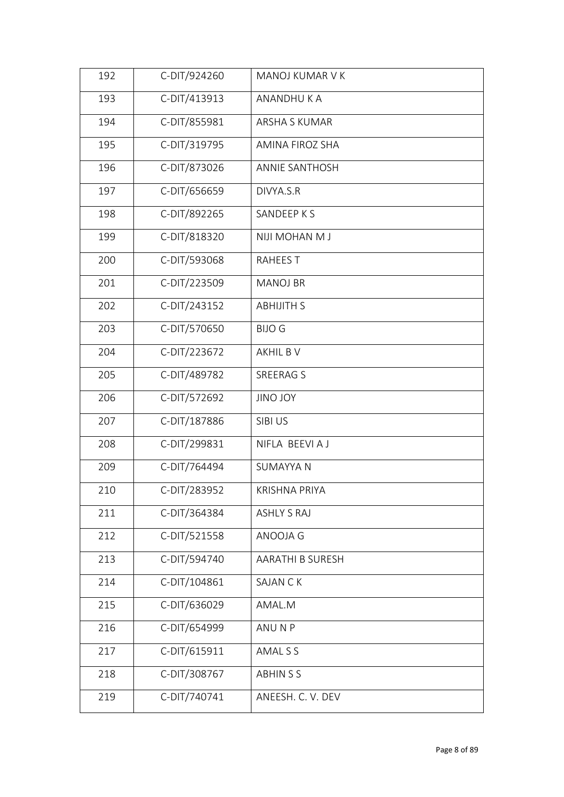| 192 | C-DIT/924260 | MANOJ KUMAR V K         |
|-----|--------------|-------------------------|
| 193 | C-DIT/413913 | ANANDHUKA               |
| 194 | C-DIT/855981 | <b>ARSHA S KUMAR</b>    |
| 195 | C-DIT/319795 | AMINA FIROZ SHA         |
| 196 | C-DIT/873026 | <b>ANNIE SANTHOSH</b>   |
| 197 | C-DIT/656659 | DIVYA.S.R               |
| 198 | C-DIT/892265 | SANDEEP K S             |
| 199 | C-DIT/818320 | NIJI MOHAN M J          |
| 200 | C-DIT/593068 | <b>RAHEES T</b>         |
| 201 | C-DIT/223509 | <b>MANOJ BR</b>         |
| 202 | C-DIT/243152 | <b>ABHIJITH S</b>       |
| 203 | C-DIT/570650 | <b>BIJO G</b>           |
| 204 | C-DIT/223672 | AKHIL B V               |
| 205 | C-DIT/489782 | SREERAG S               |
| 206 | C-DIT/572692 | JINO JOY                |
| 207 | C-DIT/187886 | SIBI US                 |
| 208 | C-DIT/299831 | NIFLA BEEVIAJ           |
| 209 | C-DIT/764494 | <b>SUMAYYA N</b>        |
| 210 | C-DIT/283952 | KRISHNA PRIYA           |
| 211 | C-DIT/364384 | <b>ASHLY S RAJ</b>      |
| 212 | C-DIT/521558 | ANOOJA G                |
| 213 | C-DIT/594740 | <b>AARATHI B SURESH</b> |
| 214 | C-DIT/104861 | SAJAN CK                |
| 215 | C-DIT/636029 | AMAL.M                  |
| 216 | C-DIT/654999 | ANU N P                 |
| 217 | C-DIT/615911 | AMAL S S                |
| 218 | C-DIT/308767 | <b>ABHINSS</b>          |
| 219 | C-DIT/740741 | ANEESH. C. V. DEV       |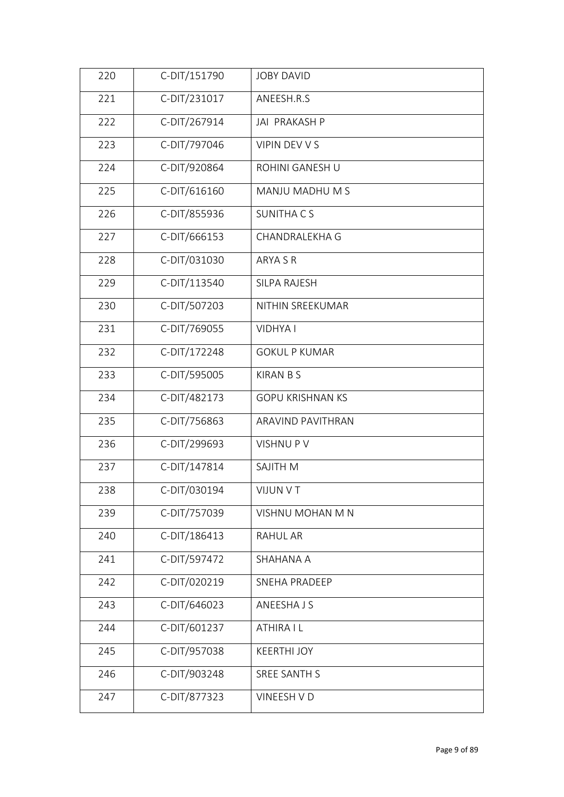| C-DIT/231017<br>221<br>ANEESH.R.S<br>222<br>C-DIT/267914<br>JAI PRAKASH P<br>C-DIT/797046<br>VIPIN DEV V S<br>223<br>C-DIT/920864<br>224<br>ROHINI GANESH U<br>225<br>C-DIT/616160<br>MANJU MADHU M S<br>C-DIT/855936<br>226<br><b>SUNITHA CS</b><br>C-DIT/666153<br>227<br>CHANDRALEKHA G<br>C-DIT/031030<br>228<br>ARYA S R<br>229<br>C-DIT/113540<br>SILPA RAJESH<br>230<br>C-DIT/507203<br>NITHIN SREEKUMAR<br>C-DIT/769055<br>231<br>VIDHYA I<br>C-DIT/172248<br>232<br><b>GOKUL P KUMAR</b><br>233<br>C-DIT/595005<br><b>KIRAN B S</b><br>C-DIT/482173<br>234<br><b>GOPU KRISHNAN KS</b><br>C-DIT/756863<br>235<br>ARAVIND PAVITHRAN<br>C-DIT/299693<br>236<br><b>VISHNUPV</b><br>C-DIT/147814<br>237<br>SAJITH M |
|-------------------------------------------------------------------------------------------------------------------------------------------------------------------------------------------------------------------------------------------------------------------------------------------------------------------------------------------------------------------------------------------------------------------------------------------------------------------------------------------------------------------------------------------------------------------------------------------------------------------------------------------------------------------------------------------------------------------------|
|                                                                                                                                                                                                                                                                                                                                                                                                                                                                                                                                                                                                                                                                                                                         |
|                                                                                                                                                                                                                                                                                                                                                                                                                                                                                                                                                                                                                                                                                                                         |
|                                                                                                                                                                                                                                                                                                                                                                                                                                                                                                                                                                                                                                                                                                                         |
|                                                                                                                                                                                                                                                                                                                                                                                                                                                                                                                                                                                                                                                                                                                         |
|                                                                                                                                                                                                                                                                                                                                                                                                                                                                                                                                                                                                                                                                                                                         |
|                                                                                                                                                                                                                                                                                                                                                                                                                                                                                                                                                                                                                                                                                                                         |
|                                                                                                                                                                                                                                                                                                                                                                                                                                                                                                                                                                                                                                                                                                                         |
|                                                                                                                                                                                                                                                                                                                                                                                                                                                                                                                                                                                                                                                                                                                         |
|                                                                                                                                                                                                                                                                                                                                                                                                                                                                                                                                                                                                                                                                                                                         |
|                                                                                                                                                                                                                                                                                                                                                                                                                                                                                                                                                                                                                                                                                                                         |
|                                                                                                                                                                                                                                                                                                                                                                                                                                                                                                                                                                                                                                                                                                                         |
|                                                                                                                                                                                                                                                                                                                                                                                                                                                                                                                                                                                                                                                                                                                         |
|                                                                                                                                                                                                                                                                                                                                                                                                                                                                                                                                                                                                                                                                                                                         |
|                                                                                                                                                                                                                                                                                                                                                                                                                                                                                                                                                                                                                                                                                                                         |
|                                                                                                                                                                                                                                                                                                                                                                                                                                                                                                                                                                                                                                                                                                                         |
|                                                                                                                                                                                                                                                                                                                                                                                                                                                                                                                                                                                                                                                                                                                         |
|                                                                                                                                                                                                                                                                                                                                                                                                                                                                                                                                                                                                                                                                                                                         |
| 238<br>C-DIT/030194<br>VIJUN V T                                                                                                                                                                                                                                                                                                                                                                                                                                                                                                                                                                                                                                                                                        |
| C-DIT/757039<br>239<br>VISHNU MOHAN M N                                                                                                                                                                                                                                                                                                                                                                                                                                                                                                                                                                                                                                                                                 |
| C-DIT/186413<br>240<br>RAHUL AR                                                                                                                                                                                                                                                                                                                                                                                                                                                                                                                                                                                                                                                                                         |
| 241<br>C-DIT/597472<br>SHAHANA A                                                                                                                                                                                                                                                                                                                                                                                                                                                                                                                                                                                                                                                                                        |
| C-DIT/020219<br>242<br>SNEHA PRADEEP                                                                                                                                                                                                                                                                                                                                                                                                                                                                                                                                                                                                                                                                                    |
| C-DIT/646023<br>243<br>ANEESHA J S                                                                                                                                                                                                                                                                                                                                                                                                                                                                                                                                                                                                                                                                                      |
| C-DIT/601237<br>244<br>ATHIRA I L                                                                                                                                                                                                                                                                                                                                                                                                                                                                                                                                                                                                                                                                                       |
| C-DIT/957038<br>245<br><b>KEERTHI JOY</b>                                                                                                                                                                                                                                                                                                                                                                                                                                                                                                                                                                                                                                                                               |
| C-DIT/903248<br>246<br><b>SREE SANTH S</b>                                                                                                                                                                                                                                                                                                                                                                                                                                                                                                                                                                                                                                                                              |
| C-DIT/877323<br>247<br>VINEESH V D                                                                                                                                                                                                                                                                                                                                                                                                                                                                                                                                                                                                                                                                                      |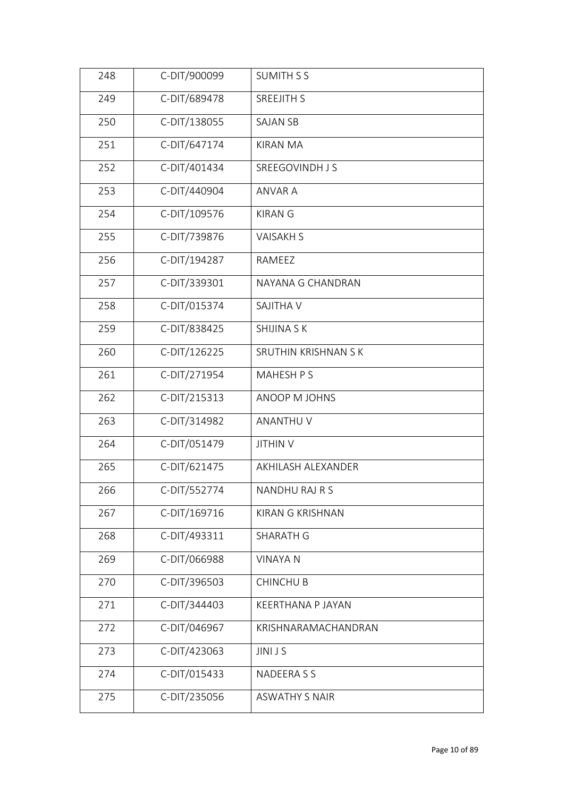| 248 | C-DIT/900099 | <b>SUMITH S S</b>       |
|-----|--------------|-------------------------|
| 249 | C-DIT/689478 | <b>SREEJITH S</b>       |
| 250 | C-DIT/138055 | <b>SAJAN SB</b>         |
| 251 | C-DIT/647174 | <b>KIRAN MA</b>         |
| 252 | C-DIT/401434 | SREEGOVINDH J S         |
| 253 | C-DIT/440904 | <b>ANVAR A</b>          |
| 254 | C-DIT/109576 | <b>KIRAN G</b>          |
| 255 | C-DIT/739876 | <b>VAISAKHS</b>         |
| 256 | C-DIT/194287 | RAMEEZ                  |
| 257 | C-DIT/339301 | NAYANA G CHANDRAN       |
| 258 | C-DIT/015374 | <b>SAJITHA V</b>        |
| 259 | C-DIT/838425 | SHIJINA S K             |
| 260 | C-DIT/126225 | SRUTHIN KRISHNAN S K    |
| 261 | C-DIT/271954 | MAHESH P S              |
| 262 | C-DIT/215313 | ANOOP M JOHNS           |
| 263 | C-DIT/314982 | ANANTHU V               |
| 264 | C-DIT/051479 | <b>JITHIN V</b>         |
| 265 | C-DIT/621475 | AKHILASH ALEXANDER      |
| 266 | C-DIT/552774 | NANDHU RAJ R S          |
| 267 | C-DIT/169716 | <b>KIRAN G KRISHNAN</b> |
| 268 | C-DIT/493311 | <b>SHARATH G</b>        |
| 269 | C-DIT/066988 | <b>VINAYA N</b>         |
| 270 | C-DIT/396503 | <b>CHINCHUB</b>         |
| 271 | C-DIT/344403 | KEERTHANA P JAYAN       |
| 272 | C-DIT/046967 | KRISHNARAMACHANDRAN     |
| 273 | C-DIT/423063 | <b>JINIJS</b>           |
| 274 | C-DIT/015433 | NADEERA S S             |
| 275 | C-DIT/235056 | <b>ASWATHY S NAIR</b>   |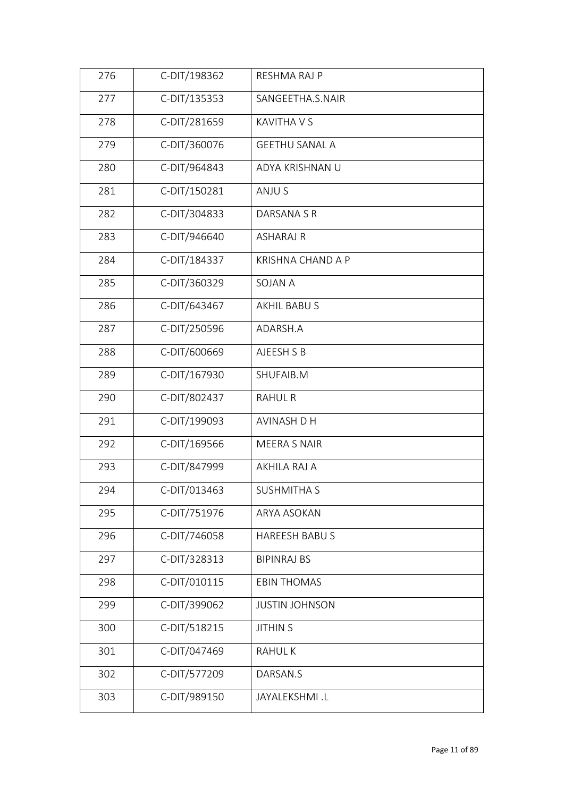| 276 | C-DIT/198362 | RESHMA RAJ P             |
|-----|--------------|--------------------------|
| 277 | C-DIT/135353 | SANGEETHA.S.NAIR         |
| 278 | C-DIT/281659 | <b>KAVITHA V S</b>       |
| 279 | C-DIT/360076 | <b>GEETHU SANAL A</b>    |
| 280 | C-DIT/964843 | ADYA KRISHNAN U          |
| 281 | C-DIT/150281 | ANJU S                   |
| 282 | C-DIT/304833 | DARSANA S R              |
| 283 | C-DIT/946640 | <b>ASHARAJ R</b>         |
| 284 | C-DIT/184337 | <b>KRISHNA CHAND A P</b> |
| 285 | C-DIT/360329 | <b>SOJAN A</b>           |
| 286 | C-DIT/643467 | AKHIL BABU S             |
| 287 | C-DIT/250596 | ADARSH.A                 |
| 288 | C-DIT/600669 | AJEESH S B               |
| 289 | C-DIT/167930 | SHUFAIB.M                |
| 290 | C-DIT/802437 | <b>RAHUL R</b>           |
| 291 | C-DIT/199093 | <b>AVINASH D H</b>       |
| 292 | C-DIT/169566 | <b>MEERA S NAIR</b>      |
| 293 | C-DIT/847999 | AKHILA RAJ A             |
| 294 | C-DIT/013463 | SUSHMITHA S              |
| 295 | C-DIT/751976 | ARYA ASOKAN              |
| 296 | C-DIT/746058 | <b>HAREESH BABUS</b>     |
| 297 | C-DIT/328313 | <b>BIPINRAJ BS</b>       |
| 298 | C-DIT/010115 | <b>EBIN THOMAS</b>       |
| 299 | C-DIT/399062 | <b>JUSTIN JOHNSON</b>    |
| 300 | C-DIT/518215 | <b>JITHIN S</b>          |
| 301 | C-DIT/047469 | <b>RAHULK</b>            |
| 302 | C-DIT/577209 | DARSAN.S                 |
| 303 | C-DIT/989150 | JAYALEKSHMI.L            |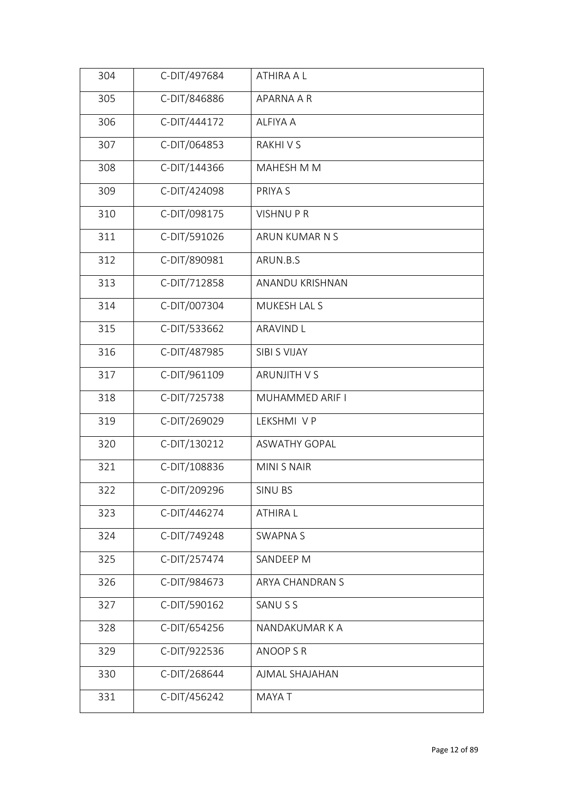| 305<br>C-DIT/846886<br>APARNA A R           |  |
|---------------------------------------------|--|
| C-DIT/444172<br>306<br><b>ALFIYA A</b>      |  |
| 307<br>C-DIT/064853<br>RAKHI V S            |  |
| 308<br>C-DIT/144366<br>MAHESH M M           |  |
| 309<br>C-DIT/424098<br>PRIYA S              |  |
| C-DIT/098175<br>310<br><b>VISHNUPR</b>      |  |
| 311<br>C-DIT/591026<br>ARUN KUMAR N S       |  |
| C-DIT/890981<br>312<br>ARUN.B.S             |  |
| 313<br>C-DIT/712858<br>ANANDU KRISHNAN      |  |
| C-DIT/007304<br>314<br>MUKESH LAL S         |  |
| 315<br>C-DIT/533662<br><b>ARAVIND L</b>     |  |
| C-DIT/487985<br>316<br>SIBI S VIJAY         |  |
| 317<br>C-DIT/961109<br>ARUNJITH V S         |  |
| C-DIT/725738<br>318<br>MUHAMMED ARIF I      |  |
| C-DIT/269029<br>319<br>LEKSHMI V P          |  |
| C-DIT/130212<br>320<br><b>ASWATHY GOPAL</b> |  |
| C-DIT/108836<br>MINI S NAIR<br>321          |  |
| C-DIT/209296<br>322<br>SINU BS              |  |
| C-DIT/446274<br>323<br><b>ATHIRAL</b>       |  |
| C-DIT/749248<br>324<br><b>SWAPNAS</b>       |  |
| 325<br>C-DIT/257474<br>SANDEEP M            |  |
| C-DIT/984673<br>326<br>ARYA CHANDRAN S      |  |
| C-DIT/590162<br>327<br>SANU S S             |  |
| C-DIT/654256<br>328<br>NANDAKUMAR K A       |  |
| 329<br>C-DIT/922536<br>ANOOP S R            |  |
| C-DIT/268644<br>330<br>AJMAL SHAJAHAN       |  |
| C-DIT/456242<br>331<br>MAYA T               |  |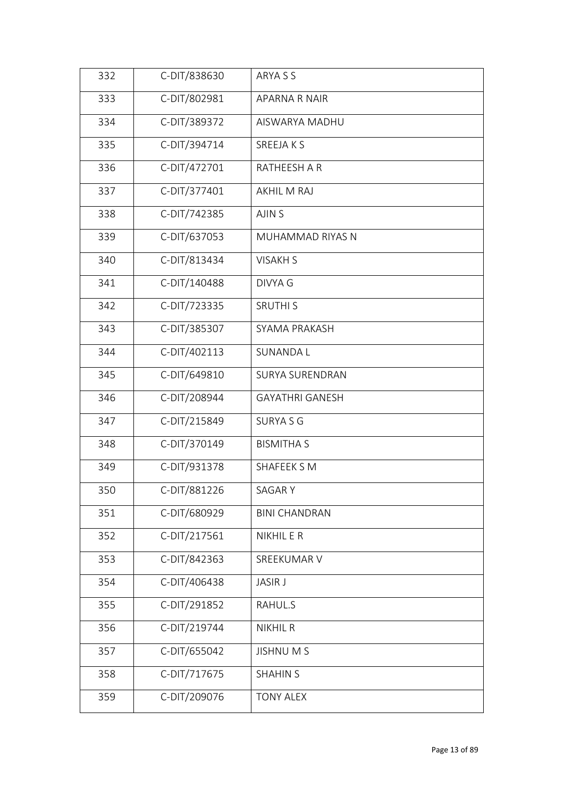| 332 | C-DIT/838630 | ARYA S S               |
|-----|--------------|------------------------|
| 333 | C-DIT/802981 | APARNA R NAIR          |
| 334 | C-DIT/389372 | AISWARYA MADHU         |
| 335 | C-DIT/394714 | SREEJA K S             |
| 336 | C-DIT/472701 | RATHEESH A R           |
| 337 | C-DIT/377401 | AKHIL M RAJ            |
| 338 | C-DIT/742385 | AJIN S                 |
| 339 | C-DIT/637053 | MUHAMMAD RIYAS N       |
| 340 | C-DIT/813434 | <b>VISAKH S</b>        |
| 341 | C-DIT/140488 | <b>DIVYA G</b>         |
| 342 | C-DIT/723335 | <b>SRUTHI S</b>        |
| 343 | C-DIT/385307 | SYAMA PRAKASH          |
| 344 | C-DIT/402113 | <b>SUNANDAL</b>        |
| 345 | C-DIT/649810 | SURYA SURENDRAN        |
| 346 | C-DIT/208944 | <b>GAYATHRI GANESH</b> |
| 347 | C-DIT/215849 | <b>SURYA S G</b>       |
| 348 | C-DIT/370149 | <b>BISMITHA S</b>      |
| 349 | C-DIT/931378 | SHAFEEK S M            |
| 350 | C-DIT/881226 | SAGAR Y                |
| 351 | C-DIT/680929 | <b>BINI CHANDRAN</b>   |
| 352 | C-DIT/217561 | NIKHIL E R             |
| 353 | C-DIT/842363 | SREEKUMAR V            |
| 354 | C-DIT/406438 | <b>JASIR J</b>         |
| 355 | C-DIT/291852 | RAHUL.S                |
| 356 | C-DIT/219744 | <b>NIKHIL R</b>        |
| 357 | C-DIT/655042 | <b>JISHNUMS</b>        |
| 358 | C-DIT/717675 | <b>SHAHIN S</b>        |
| 359 | C-DIT/209076 | <b>TONY ALEX</b>       |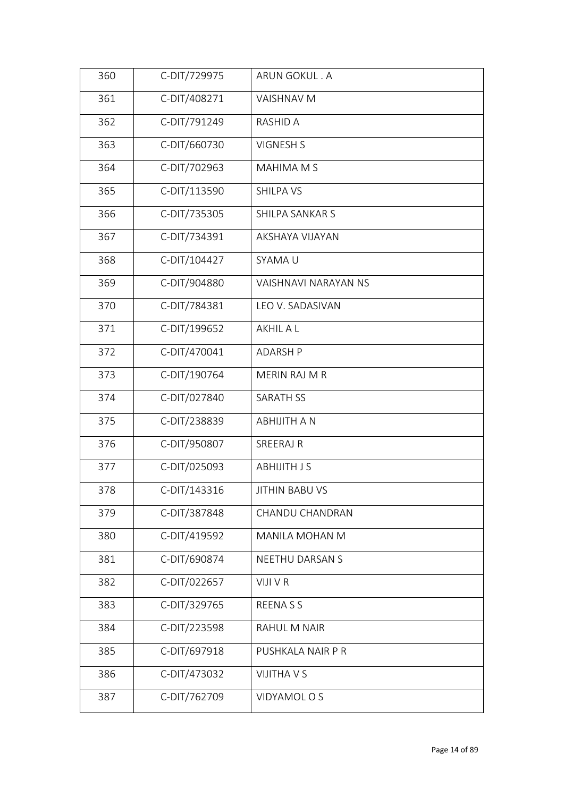| 361<br>C-DIT/408271<br><b>VAISHNAV M</b><br>362<br>C-DIT/791249<br><b>RASHID A</b><br>C-DIT/660730<br><b>VIGNESH S</b><br>363<br>364<br>C-DIT/702963<br>MAHIMA M S<br>C-DIT/113590<br>365<br><b>SHILPA VS</b><br>366<br>C-DIT/735305<br>SHILPA SANKAR S<br>367<br>C-DIT/734391<br>AKSHAYA VIJAYAN<br>C-DIT/104427<br>368<br>SYAMA U<br>C-DIT/904880<br>369<br><b>VAISHNAVI NARAYAN NS</b><br>370<br>C-DIT/784381<br>LEO V. SADASIVAN<br>C-DIT/199652<br>371<br>AKHIL A L<br>C-DIT/470041<br>372<br><b>ADARSH P</b><br>C-DIT/190764<br>373<br>MERIN RAJ M R<br>C-DIT/027840<br>374<br><b>SARATH SS</b><br>C-DIT/238839<br>375<br><b>ABHIJITH A N</b><br>C-DIT/950807<br>376<br>SREERAJ R<br>C-DIT/025093<br>377<br><b>ABHIJITH JS</b> |
|--------------------------------------------------------------------------------------------------------------------------------------------------------------------------------------------------------------------------------------------------------------------------------------------------------------------------------------------------------------------------------------------------------------------------------------------------------------------------------------------------------------------------------------------------------------------------------------------------------------------------------------------------------------------------------------------------------------------------------------|
|                                                                                                                                                                                                                                                                                                                                                                                                                                                                                                                                                                                                                                                                                                                                      |
|                                                                                                                                                                                                                                                                                                                                                                                                                                                                                                                                                                                                                                                                                                                                      |
|                                                                                                                                                                                                                                                                                                                                                                                                                                                                                                                                                                                                                                                                                                                                      |
|                                                                                                                                                                                                                                                                                                                                                                                                                                                                                                                                                                                                                                                                                                                                      |
|                                                                                                                                                                                                                                                                                                                                                                                                                                                                                                                                                                                                                                                                                                                                      |
|                                                                                                                                                                                                                                                                                                                                                                                                                                                                                                                                                                                                                                                                                                                                      |
|                                                                                                                                                                                                                                                                                                                                                                                                                                                                                                                                                                                                                                                                                                                                      |
|                                                                                                                                                                                                                                                                                                                                                                                                                                                                                                                                                                                                                                                                                                                                      |
|                                                                                                                                                                                                                                                                                                                                                                                                                                                                                                                                                                                                                                                                                                                                      |
|                                                                                                                                                                                                                                                                                                                                                                                                                                                                                                                                                                                                                                                                                                                                      |
|                                                                                                                                                                                                                                                                                                                                                                                                                                                                                                                                                                                                                                                                                                                                      |
|                                                                                                                                                                                                                                                                                                                                                                                                                                                                                                                                                                                                                                                                                                                                      |
|                                                                                                                                                                                                                                                                                                                                                                                                                                                                                                                                                                                                                                                                                                                                      |
|                                                                                                                                                                                                                                                                                                                                                                                                                                                                                                                                                                                                                                                                                                                                      |
|                                                                                                                                                                                                                                                                                                                                                                                                                                                                                                                                                                                                                                                                                                                                      |
|                                                                                                                                                                                                                                                                                                                                                                                                                                                                                                                                                                                                                                                                                                                                      |
|                                                                                                                                                                                                                                                                                                                                                                                                                                                                                                                                                                                                                                                                                                                                      |
| 378<br>C-DIT/143316<br>JITHIN BABU VS                                                                                                                                                                                                                                                                                                                                                                                                                                                                                                                                                                                                                                                                                                |
| 379<br>C-DIT/387848<br>CHANDU CHANDRAN                                                                                                                                                                                                                                                                                                                                                                                                                                                                                                                                                                                                                                                                                               |
| C-DIT/419592<br>380<br>MANILA MOHAN M                                                                                                                                                                                                                                                                                                                                                                                                                                                                                                                                                                                                                                                                                                |
| C-DIT/690874<br>381<br>NEETHU DARSAN S                                                                                                                                                                                                                                                                                                                                                                                                                                                                                                                                                                                                                                                                                               |
| C-DIT/022657<br>VIJI V R<br>382                                                                                                                                                                                                                                                                                                                                                                                                                                                                                                                                                                                                                                                                                                      |
| C-DIT/329765<br>383<br><b>REENASS</b>                                                                                                                                                                                                                                                                                                                                                                                                                                                                                                                                                                                                                                                                                                |
| C-DIT/223598<br>384<br>RAHUL M NAIR                                                                                                                                                                                                                                                                                                                                                                                                                                                                                                                                                                                                                                                                                                  |
| C-DIT/697918<br>385<br>PUSHKALA NAIR P R                                                                                                                                                                                                                                                                                                                                                                                                                                                                                                                                                                                                                                                                                             |
| C-DIT/473032<br>386<br><b>VIJITHA V S</b>                                                                                                                                                                                                                                                                                                                                                                                                                                                                                                                                                                                                                                                                                            |
| C-DIT/762709<br>387<br>VIDYAMOL O S                                                                                                                                                                                                                                                                                                                                                                                                                                                                                                                                                                                                                                                                                                  |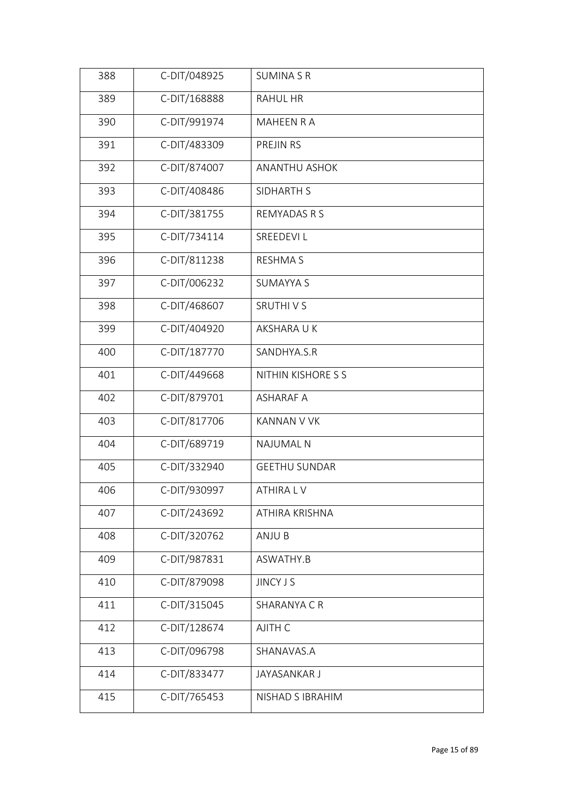| 388 | C-DIT/048925 | <b>SUMINA S R</b>    |
|-----|--------------|----------------------|
| 389 | C-DIT/168888 | <b>RAHUL HR</b>      |
| 390 | C-DIT/991974 | MAHEEN R A           |
| 391 | C-DIT/483309 | PREJIN RS            |
| 392 | C-DIT/874007 | <b>ANANTHU ASHOK</b> |
| 393 | C-DIT/408486 | SIDHARTH S           |
| 394 | C-DIT/381755 | <b>REMYADAS R S</b>  |
| 395 | C-DIT/734114 | SREEDEVI L           |
| 396 | C-DIT/811238 | <b>RESHMA S</b>      |
| 397 | C-DIT/006232 | <b>SUMAYYA S</b>     |
| 398 | C-DIT/468607 | <b>SRUTHIVS</b>      |
| 399 | C-DIT/404920 | AKSHARA U K          |
| 400 | C-DIT/187770 | SANDHYA.S.R          |
| 401 | C-DIT/449668 | NITHIN KISHORE S S   |
| 402 | C-DIT/879701 | <b>ASHARAF A</b>     |
| 403 | C-DIT/817706 | <b>KANNAN V VK</b>   |
| 404 | C-DIT/689719 | <b>NAJUMAL N</b>     |
| 405 | C-DIT/332940 | <b>GEETHU SUNDAR</b> |
| 406 | C-DIT/930997 | ATHIRA L V           |
| 407 | C-DIT/243692 | ATHIRA KRISHNA       |
| 408 | C-DIT/320762 | ANJU B               |
| 409 | C-DIT/987831 | ASWATHY.B            |
| 410 | C-DIT/879098 | <b>JINCY J S</b>     |
| 411 | C-DIT/315045 | SHARANYA C R         |
| 412 | C-DIT/128674 | AJITH C              |
| 413 | C-DIT/096798 | SHANAVAS.A           |
| 414 | C-DIT/833477 | JAYASANKAR J         |
| 415 | C-DIT/765453 | NISHAD S IBRAHIM     |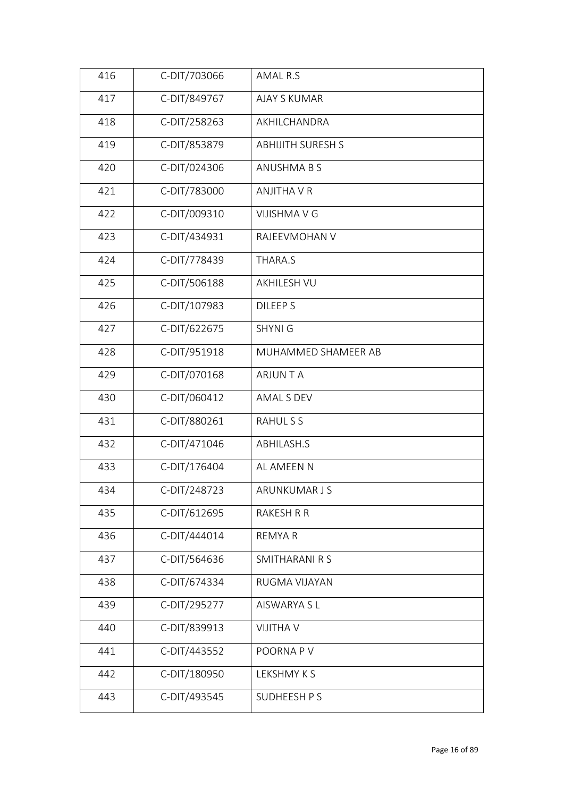| 416 | C-DIT/703066 | AMAL R.S                 |
|-----|--------------|--------------------------|
| 417 | C-DIT/849767 | <b>AJAY S KUMAR</b>      |
| 418 | C-DIT/258263 | AKHILCHANDRA             |
| 419 | C-DIT/853879 | <b>ABHIJITH SURESH S</b> |
| 420 | C-DIT/024306 | ANUSHMA B S              |
| 421 | C-DIT/783000 | <b>ANJITHA V R</b>       |
| 422 | C-DIT/009310 | <b>VIJISHMA V G</b>      |
| 423 | C-DIT/434931 | RAJEEVMOHAN V            |
| 424 | C-DIT/778439 | THARA.S                  |
| 425 | C-DIT/506188 | <b>AKHILESH VU</b>       |
| 426 | C-DIT/107983 | <b>DILEEPS</b>           |
| 427 | C-DIT/622675 | <b>SHYNI G</b>           |
| 428 | C-DIT/951918 | MUHAMMED SHAMEER AB      |
| 429 | C-DIT/070168 | <b>ARJUNTA</b>           |
| 430 | C-DIT/060412 | AMAL S DEV               |
| 431 | C-DIT/880261 | <b>RAHULSS</b>           |
| 432 | C-DIT/471046 | ABHILASH.S               |
| 433 | C-DIT/176404 | AL AMEEN N               |
| 434 | C-DIT/248723 | ARUNKUMAR J S            |
| 435 | C-DIT/612695 | <b>RAKESH R R</b>        |
| 436 | C-DIT/444014 | <b>REMYAR</b>            |
| 437 | C-DIT/564636 | SMITHARANI R S           |
| 438 | C-DIT/674334 | RUGMA VIJAYAN            |
| 439 | C-DIT/295277 | AISWARYA S L             |
| 440 | C-DIT/839913 | <b>VIJITHA V</b>         |
| 441 | C-DIT/443552 | POORNA PV                |
| 442 | C-DIT/180950 | LEKSHMY K S              |
| 443 | C-DIT/493545 | SUDHEESH P S             |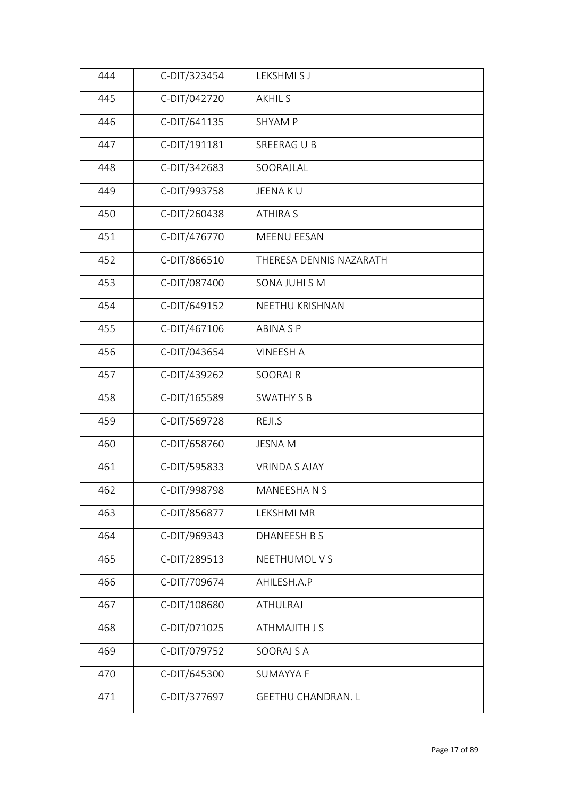| 444 | C-DIT/323454 | LEKSHMI S J               |
|-----|--------------|---------------------------|
| 445 | C-DIT/042720 | <b>AKHIL S</b>            |
| 446 | C-DIT/641135 | <b>SHYAM P</b>            |
| 447 | C-DIT/191181 | SREERAG U B               |
| 448 | C-DIT/342683 | SOORAJLAL                 |
| 449 | C-DIT/993758 | JEENA KU                  |
| 450 | C-DIT/260438 | <b>ATHIRA S</b>           |
| 451 | C-DIT/476770 | MEENU EESAN               |
| 452 | C-DIT/866510 | THERESA DENNIS NAZARATH   |
| 453 | C-DIT/087400 | SONA JUHI S M             |
| 454 | C-DIT/649152 | NEETHU KRISHNAN           |
| 455 | C-DIT/467106 | <b>ABINA SP</b>           |
| 456 | C-DIT/043654 | <b>VINEESH A</b>          |
| 457 | C-DIT/439262 | <b>SOORAJ R</b>           |
| 458 | C-DIT/165589 | <b>SWATHY S B</b>         |
| 459 | C-DIT/569728 | REJI.S                    |
| 460 | C-DIT/658760 | <b>JESNAM</b>             |
| 461 | C-DIT/595833 | <b>VRINDA S AJAY</b>      |
| 462 | C-DIT/998798 | MANEESHA N S              |
| 463 | C-DIT/856877 | LEKSHMI MR                |
| 464 | C-DIT/969343 | DHANEESH B S              |
| 465 | C-DIT/289513 | NEETHUMOL V S             |
| 466 | C-DIT/709674 | AHILESH.A.P               |
| 467 | C-DIT/108680 | <b>ATHULRAJ</b>           |
| 468 | C-DIT/071025 | ATHMAJITH J S             |
| 469 | C-DIT/079752 | SOORAJ S A                |
| 470 | C-DIT/645300 | <b>SUMAYYA F</b>          |
| 471 | C-DIT/377697 | <b>GEETHU CHANDRAN. L</b> |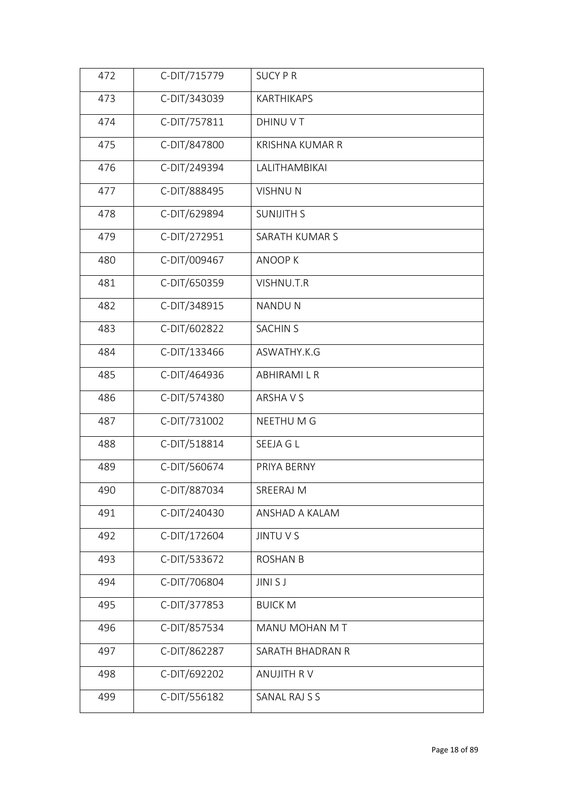| 472 | C-DIT/715779 | <b>SUCY P R</b>        |
|-----|--------------|------------------------|
| 473 | C-DIT/343039 | KARTHIKAPS             |
| 474 | C-DIT/757811 | DHINU V T              |
| 475 | C-DIT/847800 | <b>KRISHNA KUMAR R</b> |
| 476 | C-DIT/249394 | LALITHAMBIKAI          |
| 477 | C-DIT/888495 | <b>VISHNUN</b>         |
| 478 | C-DIT/629894 | <b>SUNIJITH S</b>      |
| 479 | C-DIT/272951 | SARATH KUMAR S         |
| 480 | C-DIT/009467 | <b>ANOOPK</b>          |
| 481 | C-DIT/650359 | VISHNU.T.R             |
| 482 | C-DIT/348915 | <b>NANDUN</b>          |
| 483 | C-DIT/602822 | <b>SACHIN S</b>        |
| 484 | C-DIT/133466 | ASWATHY.K.G            |
| 485 | C-DIT/464936 | ABHIRAMI L R           |
| 486 | C-DIT/574380 | ARSHA V S              |
| 487 | C-DIT/731002 | NEETHU M G             |
| 488 | C-DIT/518814 | SEEJA G L              |
| 489 | C-DIT/560674 | PRIYA BERNY            |
| 490 | C-DIT/887034 | SREERAJ M              |
| 491 | C-DIT/240430 | ANSHAD A KALAM         |
| 492 | C-DIT/172604 | <b>JINTU V S</b>       |
| 493 | C-DIT/533672 | <b>ROSHAN B</b>        |
| 494 | C-DIT/706804 | JINI S J               |
| 495 | C-DIT/377853 | <b>BUICK M</b>         |
| 496 | C-DIT/857534 | MANU MOHAN M T         |
| 497 | C-DIT/862287 | SARATH BHADRAN R       |
| 498 | C-DIT/692202 | ANUJITH RV             |
| 499 | C-DIT/556182 | SANAL RAJ S S          |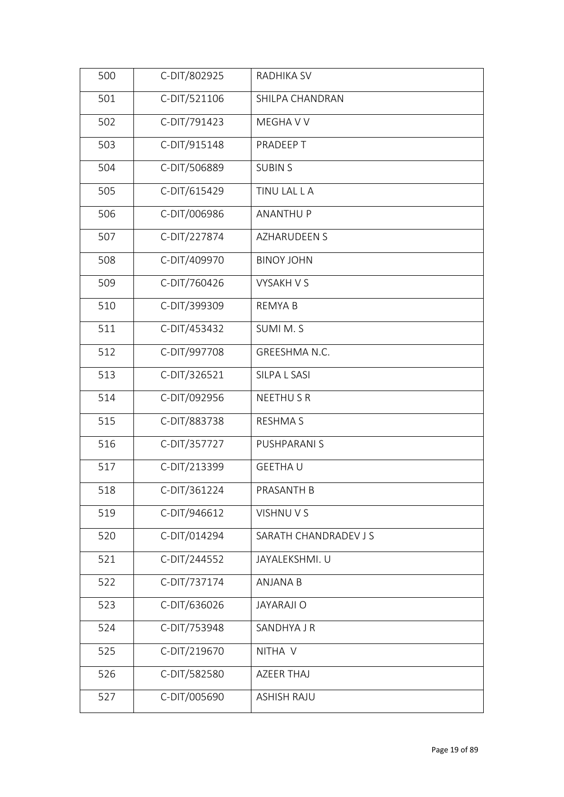| 500 | C-DIT/802925 | RADHIKA SV            |
|-----|--------------|-----------------------|
| 501 | C-DIT/521106 | SHILPA CHANDRAN       |
| 502 | C-DIT/791423 | MEGHA V V             |
| 503 | C-DIT/915148 | PRADEEP T             |
| 504 | C-DIT/506889 | <b>SUBINS</b>         |
| 505 | C-DIT/615429 | TINU LAL L A          |
| 506 | C-DIT/006986 | <b>ANANTHU P</b>      |
| 507 | C-DIT/227874 | <b>AZHARUDEEN S</b>   |
| 508 | C-DIT/409970 | <b>BINOY JOHN</b>     |
| 509 | C-DIT/760426 | <b>VYSAKH V S</b>     |
| 510 | C-DIT/399309 | <b>REMYAB</b>         |
| 511 | C-DIT/453432 | SUMI M.S              |
| 512 | C-DIT/997708 | GREESHMA N.C.         |
| 513 | C-DIT/326521 | SILPA L SASI          |
| 514 | C-DIT/092956 | <b>NEETHUSR</b>       |
| 515 | C-DIT/883738 | <b>RESHMA S</b>       |
| 516 | C-DIT/357727 | PUSHPARANI S          |
| 517 | C-DIT/213399 | <b>GEETHAU</b>        |
| 518 | C-DIT/361224 | PRASANTH B            |
| 519 | C-DIT/946612 | VISHNU V S            |
| 520 | C-DIT/014294 | SARATH CHANDRADEV J S |
| 521 | C-DIT/244552 | JAYALEKSHMI. U        |
| 522 | C-DIT/737174 | <b>ANJANA B</b>       |
| 523 | C-DIT/636026 | <b>JAYARAJI O</b>     |
| 524 | C-DIT/753948 | SANDHYA J R           |
| 525 | C-DIT/219670 | NITHA V               |
| 526 | C-DIT/582580 | <b>AZEER THAJ</b>     |
| 527 | C-DIT/005690 | <b>ASHISH RAJU</b>    |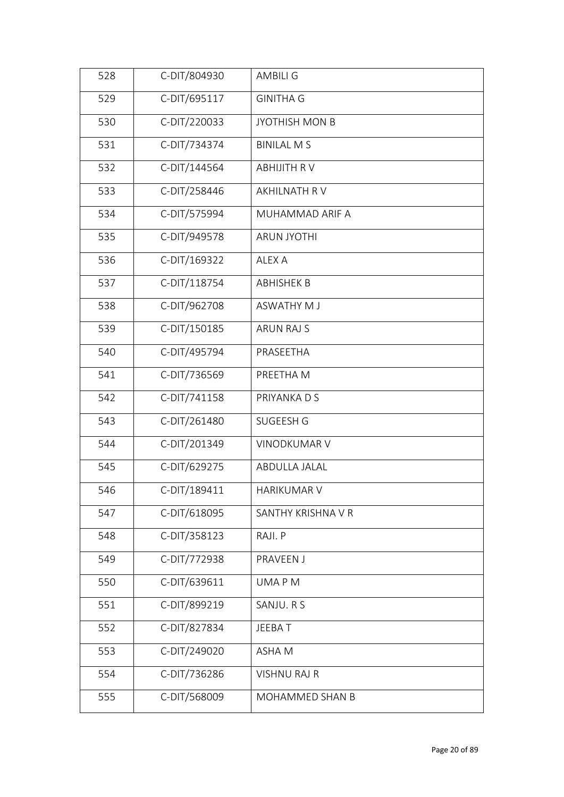| 528 | C-DIT/804930 | <b>AMBILI G</b>       |
|-----|--------------|-----------------------|
| 529 | C-DIT/695117 | <b>GINITHA G</b>      |
| 530 | C-DIT/220033 | <b>JYOTHISH MON B</b> |
| 531 | C-DIT/734374 | <b>BINILAL MS</b>     |
| 532 | C-DIT/144564 | <b>ABHIJITH RV</b>    |
| 533 | C-DIT/258446 | AKHILNATH R V         |
| 534 | C-DIT/575994 | MUHAMMAD ARIF A       |
| 535 | C-DIT/949578 | <b>ARUN JYOTHI</b>    |
| 536 | C-DIT/169322 | ALEX A                |
| 537 | C-DIT/118754 | <b>ABHISHEK B</b>     |
| 538 | C-DIT/962708 | <b>ASWATHY MJ</b>     |
| 539 | C-DIT/150185 | <b>ARUN RAJ S</b>     |
| 540 | C-DIT/495794 | PRASEETHA             |
| 541 | C-DIT/736569 | PREETHA M             |
| 542 | C-DIT/741158 | PRIYANKA D S          |
| 543 | C-DIT/261480 | SUGEESH G             |
| 544 | C-DIT/201349 | <b>VINODKUMAR V</b>   |
| 545 | C-DIT/629275 | ABDULLA JALAL         |
| 546 | C-DIT/189411 | <b>HARIKUMAR V</b>    |
| 547 | C-DIT/618095 | SANTHY KRISHNA V R    |
| 548 | C-DIT/358123 | RAJI. P               |
| 549 | C-DIT/772938 | PRAVEEN J             |
| 550 | C-DIT/639611 | UMA P M               |
| 551 | C-DIT/899219 | SANJU. R S            |
| 552 | C-DIT/827834 | JEEBAT                |
| 553 | C-DIT/249020 | ASHA M                |
| 554 | C-DIT/736286 | <b>VISHNU RAJ R</b>   |
| 555 | C-DIT/568009 | MOHAMMED SHAN B       |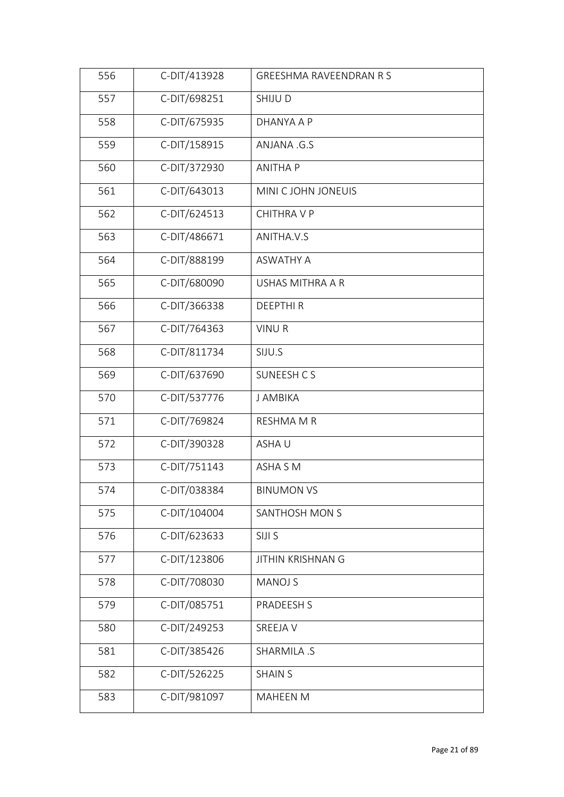| 556 | C-DIT/413928 | <b>GREESHMA RAVEENDRAN R S</b> |  |
|-----|--------------|--------------------------------|--|
| 557 | C-DIT/698251 | <b>SHIJUD</b>                  |  |
| 558 | C-DIT/675935 | DHANYA A P                     |  |
| 559 | C-DIT/158915 | ANJANA .G.S                    |  |
| 560 | C-DIT/372930 | <b>ANITHA P</b>                |  |
| 561 | C-DIT/643013 | MINI C JOHN JONEUIS            |  |
| 562 | C-DIT/624513 | <b>CHITHRA V P</b>             |  |
| 563 | C-DIT/486671 | ANITHA.V.S                     |  |
| 564 | C-DIT/888199 | <b>ASWATHY A</b>               |  |
| 565 | C-DIT/680090 | USHAS MITHRA A R               |  |
| 566 | C-DIT/366338 | <b>DEEPTHIR</b>                |  |
| 567 | C-DIT/764363 | <b>VINUR</b>                   |  |
| 568 | C-DIT/811734 | SIJU.S                         |  |
| 569 | C-DIT/637690 | SUNEESH C S                    |  |
| 570 | C-DIT/537776 | J AMBIKA                       |  |
| 571 | C-DIT/769824 | <b>RESHMA M R</b>              |  |
| 572 | C-DIT/390328 | ASHAU                          |  |
| 573 | C-DIT/751143 | ASHA S M                       |  |
| 574 | C-DIT/038384 | <b>BINUMON VS</b>              |  |
| 575 | C-DIT/104004 | SANTHOSH MON S                 |  |
| 576 | C-DIT/623633 | SIJI S                         |  |
| 577 | C-DIT/123806 | <b>JITHIN KRISHNAN G</b>       |  |
| 578 | C-DIT/708030 | <b>MANOJ S</b>                 |  |
| 579 | C-DIT/085751 | PRADEESH S                     |  |
| 580 | C-DIT/249253 | SREEJA V                       |  |
| 581 | C-DIT/385426 | SHARMILA .S                    |  |
| 582 | C-DIT/526225 | <b>SHAIN S</b>                 |  |
| 583 | C-DIT/981097 | <b>MAHEEN M</b>                |  |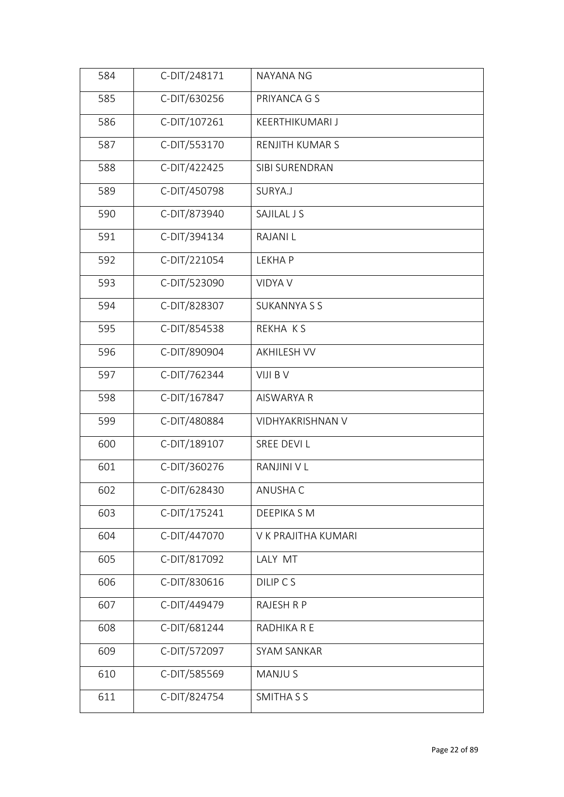| 584 | C-DIT/248171 | NAYANA NG              |
|-----|--------------|------------------------|
| 585 | C-DIT/630256 | PRIYANCA G S           |
| 586 | C-DIT/107261 | <b>KEERTHIKUMARI J</b> |
| 587 | C-DIT/553170 | RENJITH KUMAR S        |
| 588 | C-DIT/422425 | SIBI SURENDRAN         |
| 589 | C-DIT/450798 | SURYA.J                |
| 590 | C-DIT/873940 | SAJILAL J S            |
| 591 | C-DIT/394134 | <b>RAJANIL</b>         |
| 592 | C-DIT/221054 | <b>LEKHAP</b>          |
| 593 | C-DIT/523090 | <b>VIDYA V</b>         |
| 594 | C-DIT/828307 | <b>SUKANNYA S S</b>    |
| 595 | C-DIT/854538 | REKHA KS               |
| 596 | C-DIT/890904 | <b>AKHILESH VV</b>     |
| 597 | C-DIT/762344 | VIJI B V               |
| 598 | C-DIT/167847 | AISWARYA R             |
| 599 | C-DIT/480884 | VIDHYAKRISHNAN V       |
| 600 | C-DIT/189107 | SREE DEVI L            |
| 601 | C-DIT/360276 | RANJINI V L            |
| 602 | C-DIT/628430 | ANUSHA C               |
| 603 | C-DIT/175241 | DEEPIKA S M            |
| 604 | C-DIT/447070 | V K PRAJITHA KUMARI    |
| 605 | C-DIT/817092 | LALY MT                |
| 606 | C-DIT/830616 | DILIP CS               |
| 607 | C-DIT/449479 | <b>RAJESH R P</b>      |
| 608 | C-DIT/681244 | RADHIKA R E            |
| 609 | C-DIT/572097 | SYAM SANKAR            |
| 610 | C-DIT/585569 | <b>MANJUS</b>          |
| 611 | C-DIT/824754 | SMITHA S S             |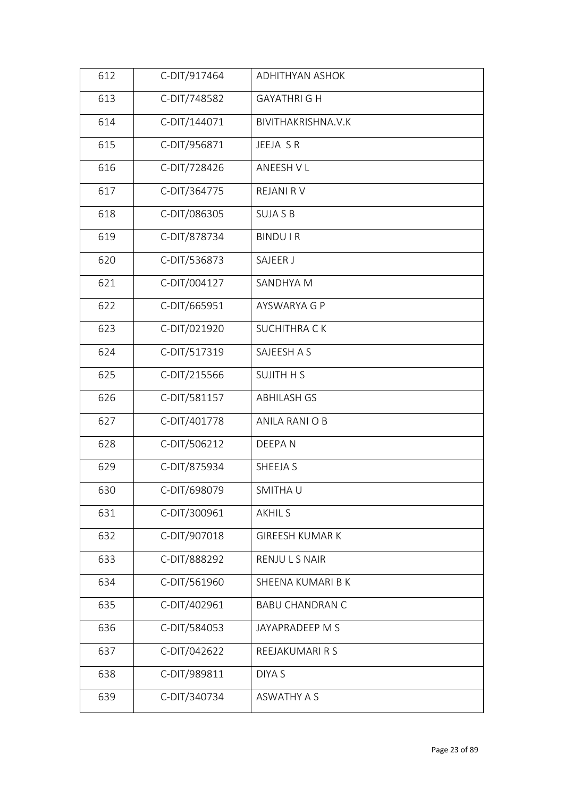| 612 | C-DIT/917464 | <b>ADHITHYAN ASHOK</b> |
|-----|--------------|------------------------|
| 613 | C-DIT/748582 | <b>GAYATHRI G H</b>    |
| 614 | C-DIT/144071 | BIVITHAKRISHNA.V.K     |
| 615 | C-DIT/956871 | JEEJA SR               |
| 616 | C-DIT/728426 | ANEESH V L             |
| 617 | C-DIT/364775 | REJANI RV              |
| 618 | C-DIT/086305 | <b>SUJA S B</b>        |
| 619 | C-DIT/878734 | <b>BINDUIR</b>         |
| 620 | C-DIT/536873 | SAJEER J               |
| 621 | C-DIT/004127 | SANDHYA M              |
| 622 | C-DIT/665951 | AYSWARYA G P           |
| 623 | C-DIT/021920 | <b>SUCHITHRA CK</b>    |
| 624 | C-DIT/517319 | SAJEESH A S            |
| 625 | C-DIT/215566 | <b>SUJITH H S</b>      |
| 626 | C-DIT/581157 | <b>ABHILASH GS</b>     |
| 627 | C-DIT/401778 | ANILA RANI O B         |
| 628 | C-DIT/506212 | DEEPAN                 |
| 629 | C-DIT/875934 | SHEEJA S               |
| 630 | C-DIT/698079 | SMITHAU                |
| 631 | C-DIT/300961 | <b>AKHIL S</b>         |
| 632 | C-DIT/907018 | <b>GIREESH KUMAR K</b> |
| 633 | C-DIT/888292 | RENJULS NAIR           |
| 634 | C-DIT/561960 | SHEENA KUMARI B K      |
| 635 | C-DIT/402961 | <b>BABU CHANDRAN C</b> |
| 636 | C-DIT/584053 | JAYAPRADEEP M S        |
| 637 | C-DIT/042622 | REEJAKUMARI R S        |
| 638 | C-DIT/989811 | DIYA S                 |
| 639 | C-DIT/340734 | <b>ASWATHY A S</b>     |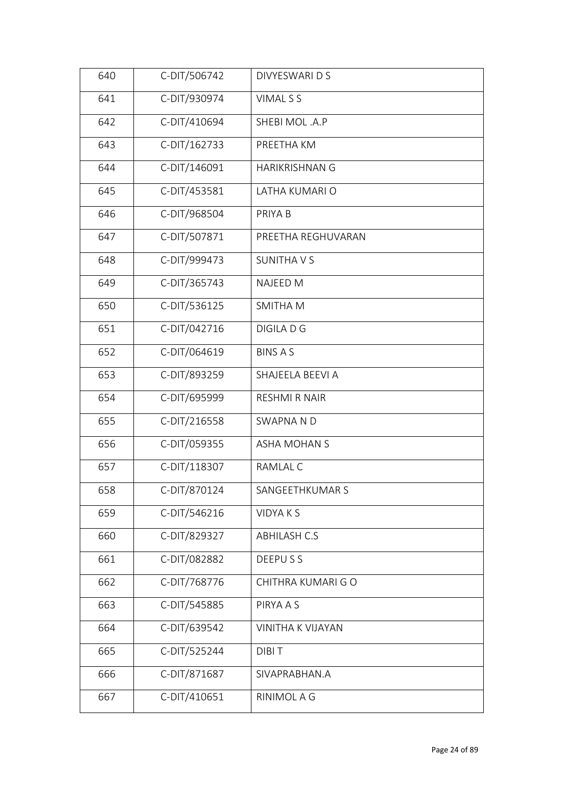| 640 | C-DIT/506742 | DIVYESWARI D S        |
|-----|--------------|-----------------------|
| 641 | C-DIT/930974 | VIMAL S S             |
| 642 | C-DIT/410694 | SHEBI MOL.A.P         |
| 643 | C-DIT/162733 | PREETHA KM            |
| 644 | C-DIT/146091 | <b>HARIKRISHNAN G</b> |
| 645 | C-DIT/453581 | LATHA KUMARI O        |
| 646 | C-DIT/968504 | PRIYA B               |
| 647 | C-DIT/507871 | PREETHA REGHUVARAN    |
| 648 | C-DIT/999473 | <b>SUNITHAVS</b>      |
| 649 | C-DIT/365743 | <b>NAJEED M</b>       |
| 650 | C-DIT/536125 | <b>SMITHAM</b>        |
| 651 | C-DIT/042716 | DIGILA D G            |
| 652 | C-DIT/064619 | <b>BINS A S</b>       |
| 653 | C-DIT/893259 | SHAJEELA BEEVI A      |
| 654 | C-DIT/695999 | <b>RESHMI R NAIR</b>  |
| 655 | C-DIT/216558 | <b>SWAPNA ND</b>      |
| 656 | C-DIT/059355 | <b>ASHA MOHAN S</b>   |
| 657 | C-DIT/118307 | RAMLAL C              |
| 658 | C-DIT/870124 | SANGEETHKUMAR S       |
| 659 | C-DIT/546216 | <b>VIDYAKS</b>        |
| 660 | C-DIT/829327 | <b>ABHILASH C.S</b>   |
| 661 | C-DIT/082882 | DEEPUSS               |
| 662 | C-DIT/768776 | CHITHRA KUMARI GO     |
| 663 | C-DIT/545885 | PIRYA A S             |
| 664 | C-DIT/639542 | VINITHA K VIJAYAN     |
| 665 | C-DIT/525244 | <b>DIBIT</b>          |
| 666 | C-DIT/871687 | SIVAPRABHAN.A         |
| 667 | C-DIT/410651 | RINIMOL A G           |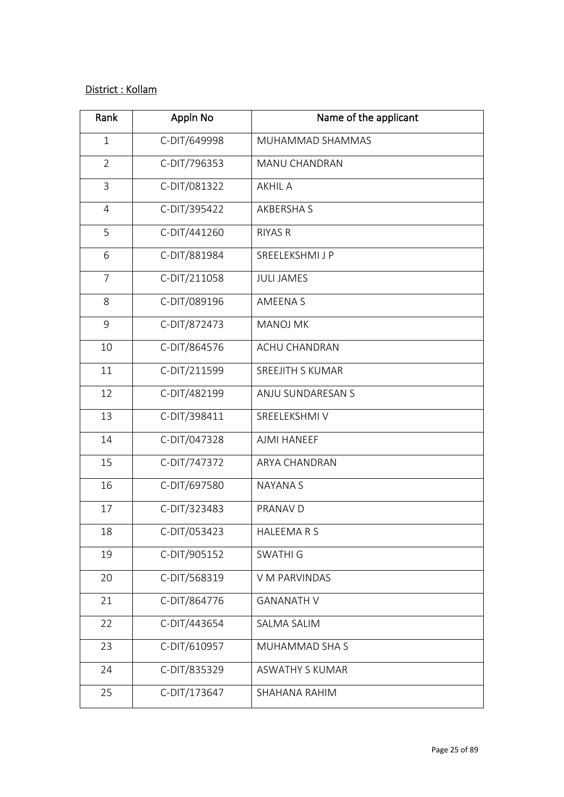## District : Kollam

| Rank           | Appln No     | Name of the applicant  |
|----------------|--------------|------------------------|
| $\mathbf{1}$   | C-DIT/649998 | MUHAMMAD SHAMMAS       |
| $\overline{2}$ | C-DIT/796353 | MANU CHANDRAN          |
| $\mathsf{3}$   | C-DIT/081322 | <b>AKHIL A</b>         |
| $\overline{4}$ | C-DIT/395422 | <b>AKBERSHAS</b>       |
| 5              | C-DIT/441260 | <b>RIYAS R</b>         |
| 6              | C-DIT/881984 | SREELEKSHMI J P        |
| $\overline{7}$ | C-DIT/211058 | <b>JULI JAMES</b>      |
| 8              | C-DIT/089196 | <b>AMEENAS</b>         |
| 9              | C-DIT/872473 | <b>MANOJ MK</b>        |
| 10             | C-DIT/864576 | <b>ACHU CHANDRAN</b>   |
| 11             | C-DIT/211599 | SREEJITH S KUMAR       |
| 12             | C-DIT/482199 | ANJU SUNDARESAN S      |
| 13             | C-DIT/398411 | SREELEKSHMI V          |
| 14             | C-DIT/047328 | AJMI HANEEF            |
| 15             | C-DIT/747372 | ARYA CHANDRAN          |
| 16             | C-DIT/697580 | <b>NAYANA S</b>        |
| 17             | C-DIT/323483 | PRANAV D               |
| 18             | C-DIT/053423 | HALEEMARS              |
| 19             | C-DIT/905152 | <b>SWATHI G</b>        |
| 20             | C-DIT/568319 | V M PARVINDAS          |
| 21             | C-DIT/864776 | <b>GANANATH V</b>      |
| 22             | C-DIT/443654 | SALMA SALIM            |
| 23             | C-DIT/610957 | MUHAMMAD SHA S         |
| 24             | C-DIT/835329 | <b>ASWATHY S KUMAR</b> |
| 25             | C-DIT/173647 | SHAHANA RAHIM          |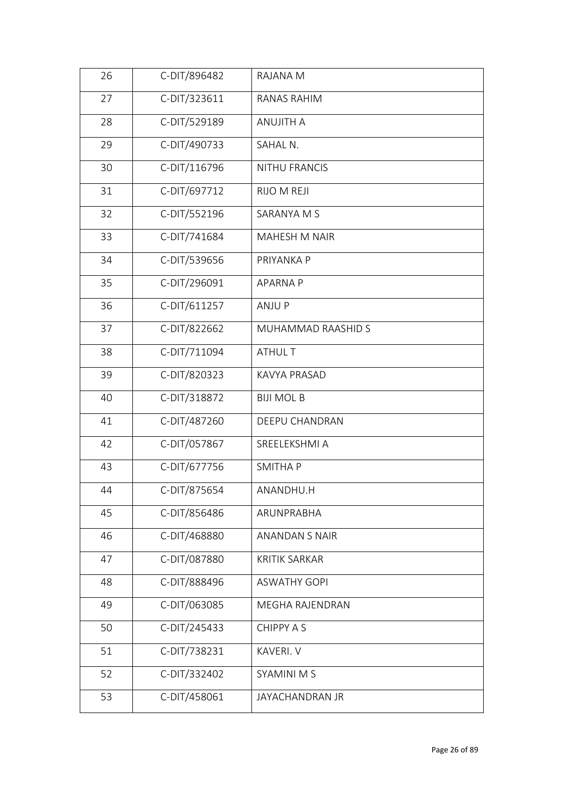| 26 | C-DIT/896482 | RAJANA M               |
|----|--------------|------------------------|
| 27 | C-DIT/323611 | RANAS RAHIM            |
| 28 | C-DIT/529189 | <b>ANUJITH A</b>       |
| 29 | C-DIT/490733 | SAHAL N.               |
| 30 | C-DIT/116796 | NITHU FRANCIS          |
| 31 | C-DIT/697712 | RIJO M REJI            |
| 32 | C-DIT/552196 | SARANYA M S            |
| 33 | C-DIT/741684 | <b>MAHESH M NAIR</b>   |
| 34 | C-DIT/539656 | PRIYANKA P             |
| 35 | C-DIT/296091 | <b>APARNA P</b>        |
| 36 | C-DIT/611257 | ANJU P                 |
| 37 | C-DIT/822662 | MUHAMMAD RAASHID S     |
| 38 | C-DIT/711094 | ATHUL T                |
| 39 | C-DIT/820323 | KAVYA PRASAD           |
| 40 | C-DIT/318872 | <b>BIJI MOL B</b>      |
| 41 | C-DIT/487260 | DEEPU CHANDRAN         |
| 42 | C-DIT/057867 | SREELEKSHMI A          |
| 43 | C-DIT/677756 | <b>SMITHAP</b>         |
| 44 | C-DIT/875654 | ANANDHU.H              |
| 45 | C-DIT/856486 | ARUNPRABHA             |
| 46 | C-DIT/468880 | <b>ANANDAN S NAIR</b>  |
| 47 | C-DIT/087880 | <b>KRITIK SARKAR</b>   |
| 48 | C-DIT/888496 | <b>ASWATHY GOPI</b>    |
| 49 | C-DIT/063085 | <b>MEGHA RAJENDRAN</b> |
| 50 | C-DIT/245433 | CHIPPY A S             |
| 51 | C-DIT/738231 | KAVERI. V              |
| 52 | C-DIT/332402 | <b>SYAMINI M S</b>     |
| 53 | C-DIT/458061 | JAYACHANDRAN JR        |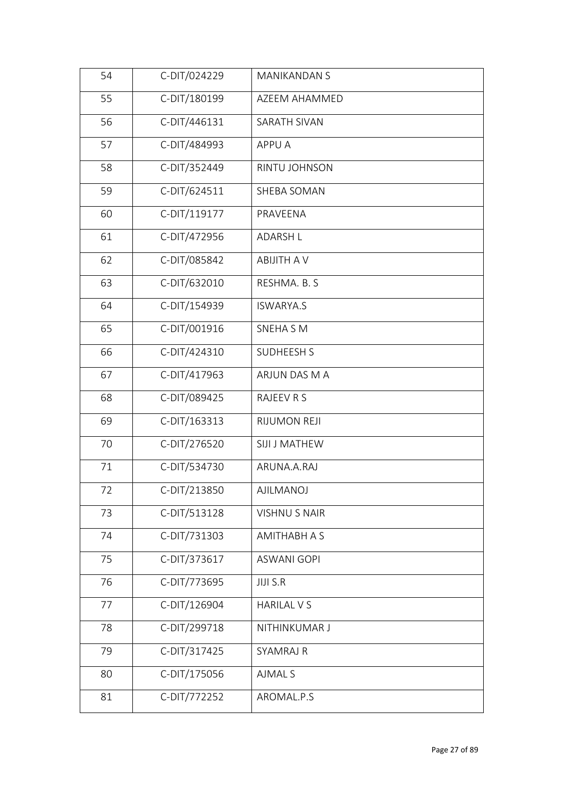| C-DIT/180199<br>55<br>AZEEM AHAMMED<br>56<br>C-DIT/446131<br>SARATH SIVAN<br>57<br>C-DIT/484993<br>APPU A<br>C-DIT/352449<br>58<br>RINTU JOHNSON<br>59<br>C-DIT/624511<br>SHEBA SOMAN<br>C-DIT/119177<br>60<br>PRAVEENA<br>61<br>C-DIT/472956<br><b>ADARSH L</b><br>C-DIT/085842<br><b>ABIJITH A V</b><br>62<br>C-DIT/632010<br>63<br>RESHMA. B. S<br>C-DIT/154939<br>64<br><b>ISWARYA.S</b><br>C-DIT/001916<br>65<br><b>SNEHA SM</b><br>C-DIT/424310<br>66<br><b>SUDHEESH S</b><br>67<br>C-DIT/417963<br>ARJUN DAS M A<br>C-DIT/089425<br>68<br>RAJEEV R S<br>69<br>C-DIT/163313<br>RIJUMON REJI<br>70<br>C-DIT/276520<br>SIJI J MATHEW<br>C-DIT/534730<br>71<br>ARUNA.A.RAJ<br>C-DIT/213850<br>72<br>AJILMANOJ<br>73<br>C-DIT/513128<br><b>VISHNU S NAIR</b><br>C-DIT/731303<br>74<br>AMITHABH A S<br>C-DIT/373617<br>75<br><b>ASWANI GOPI</b><br>76<br>C-DIT/773695<br><b>JIJI S.R</b><br>C-DIT/126904<br>77<br><b>HARILAL V S</b><br>78<br>C-DIT/299718<br>NITHINKUMAR J<br>79<br>C-DIT/317425<br><b>SYAMRAJ R</b><br>C-DIT/175056<br>80<br><b>AJMAL S</b><br>C-DIT/772252<br>81<br>AROMAL.P.S | 54 | C-DIT/024229 | <b>MANIKANDAN S</b> |
|----------------------------------------------------------------------------------------------------------------------------------------------------------------------------------------------------------------------------------------------------------------------------------------------------------------------------------------------------------------------------------------------------------------------------------------------------------------------------------------------------------------------------------------------------------------------------------------------------------------------------------------------------------------------------------------------------------------------------------------------------------------------------------------------------------------------------------------------------------------------------------------------------------------------------------------------------------------------------------------------------------------------------------------------------------------------------------------------------|----|--------------|---------------------|
|                                                                                                                                                                                                                                                                                                                                                                                                                                                                                                                                                                                                                                                                                                                                                                                                                                                                                                                                                                                                                                                                                                    |    |              |                     |
|                                                                                                                                                                                                                                                                                                                                                                                                                                                                                                                                                                                                                                                                                                                                                                                                                                                                                                                                                                                                                                                                                                    |    |              |                     |
|                                                                                                                                                                                                                                                                                                                                                                                                                                                                                                                                                                                                                                                                                                                                                                                                                                                                                                                                                                                                                                                                                                    |    |              |                     |
|                                                                                                                                                                                                                                                                                                                                                                                                                                                                                                                                                                                                                                                                                                                                                                                                                                                                                                                                                                                                                                                                                                    |    |              |                     |
|                                                                                                                                                                                                                                                                                                                                                                                                                                                                                                                                                                                                                                                                                                                                                                                                                                                                                                                                                                                                                                                                                                    |    |              |                     |
|                                                                                                                                                                                                                                                                                                                                                                                                                                                                                                                                                                                                                                                                                                                                                                                                                                                                                                                                                                                                                                                                                                    |    |              |                     |
|                                                                                                                                                                                                                                                                                                                                                                                                                                                                                                                                                                                                                                                                                                                                                                                                                                                                                                                                                                                                                                                                                                    |    |              |                     |
|                                                                                                                                                                                                                                                                                                                                                                                                                                                                                                                                                                                                                                                                                                                                                                                                                                                                                                                                                                                                                                                                                                    |    |              |                     |
|                                                                                                                                                                                                                                                                                                                                                                                                                                                                                                                                                                                                                                                                                                                                                                                                                                                                                                                                                                                                                                                                                                    |    |              |                     |
|                                                                                                                                                                                                                                                                                                                                                                                                                                                                                                                                                                                                                                                                                                                                                                                                                                                                                                                                                                                                                                                                                                    |    |              |                     |
|                                                                                                                                                                                                                                                                                                                                                                                                                                                                                                                                                                                                                                                                                                                                                                                                                                                                                                                                                                                                                                                                                                    |    |              |                     |
|                                                                                                                                                                                                                                                                                                                                                                                                                                                                                                                                                                                                                                                                                                                                                                                                                                                                                                                                                                                                                                                                                                    |    |              |                     |
|                                                                                                                                                                                                                                                                                                                                                                                                                                                                                                                                                                                                                                                                                                                                                                                                                                                                                                                                                                                                                                                                                                    |    |              |                     |
|                                                                                                                                                                                                                                                                                                                                                                                                                                                                                                                                                                                                                                                                                                                                                                                                                                                                                                                                                                                                                                                                                                    |    |              |                     |
|                                                                                                                                                                                                                                                                                                                                                                                                                                                                                                                                                                                                                                                                                                                                                                                                                                                                                                                                                                                                                                                                                                    |    |              |                     |
|                                                                                                                                                                                                                                                                                                                                                                                                                                                                                                                                                                                                                                                                                                                                                                                                                                                                                                                                                                                                                                                                                                    |    |              |                     |
|                                                                                                                                                                                                                                                                                                                                                                                                                                                                                                                                                                                                                                                                                                                                                                                                                                                                                                                                                                                                                                                                                                    |    |              |                     |
|                                                                                                                                                                                                                                                                                                                                                                                                                                                                                                                                                                                                                                                                                                                                                                                                                                                                                                                                                                                                                                                                                                    |    |              |                     |
|                                                                                                                                                                                                                                                                                                                                                                                                                                                                                                                                                                                                                                                                                                                                                                                                                                                                                                                                                                                                                                                                                                    |    |              |                     |
|                                                                                                                                                                                                                                                                                                                                                                                                                                                                                                                                                                                                                                                                                                                                                                                                                                                                                                                                                                                                                                                                                                    |    |              |                     |
|                                                                                                                                                                                                                                                                                                                                                                                                                                                                                                                                                                                                                                                                                                                                                                                                                                                                                                                                                                                                                                                                                                    |    |              |                     |
|                                                                                                                                                                                                                                                                                                                                                                                                                                                                                                                                                                                                                                                                                                                                                                                                                                                                                                                                                                                                                                                                                                    |    |              |                     |
|                                                                                                                                                                                                                                                                                                                                                                                                                                                                                                                                                                                                                                                                                                                                                                                                                                                                                                                                                                                                                                                                                                    |    |              |                     |
|                                                                                                                                                                                                                                                                                                                                                                                                                                                                                                                                                                                                                                                                                                                                                                                                                                                                                                                                                                                                                                                                                                    |    |              |                     |
|                                                                                                                                                                                                                                                                                                                                                                                                                                                                                                                                                                                                                                                                                                                                                                                                                                                                                                                                                                                                                                                                                                    |    |              |                     |
|                                                                                                                                                                                                                                                                                                                                                                                                                                                                                                                                                                                                                                                                                                                                                                                                                                                                                                                                                                                                                                                                                                    |    |              |                     |
|                                                                                                                                                                                                                                                                                                                                                                                                                                                                                                                                                                                                                                                                                                                                                                                                                                                                                                                                                                                                                                                                                                    |    |              |                     |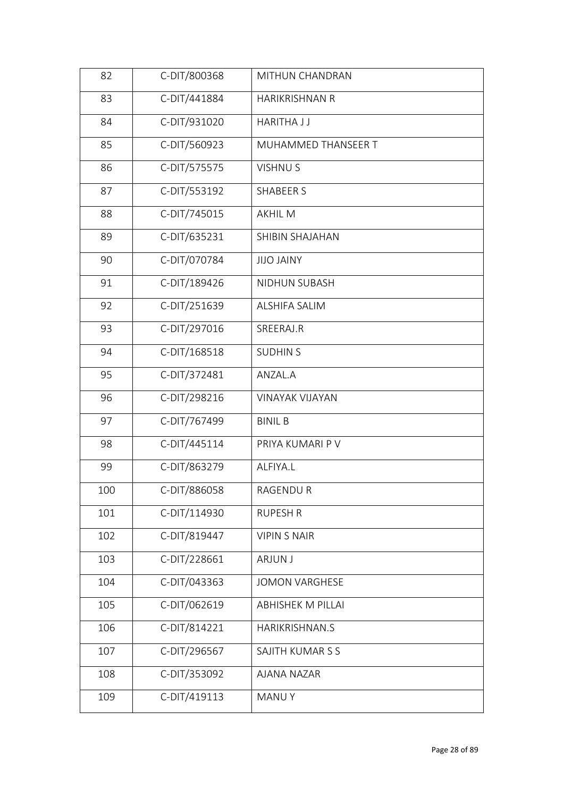| 82  | C-DIT/800368 | MITHUN CHANDRAN          |
|-----|--------------|--------------------------|
| 83  | C-DIT/441884 | HARIKRISHNAN R           |
| 84  | C-DIT/931020 | <b>HARITHA J J</b>       |
| 85  | C-DIT/560923 | MUHAMMED THANSEER T      |
| 86  | C-DIT/575575 | <b>VISHNUS</b>           |
| 87  | C-DIT/553192 | <b>SHABEER S</b>         |
| 88  | C-DIT/745015 | <b>AKHIL M</b>           |
| 89  | C-DIT/635231 | SHIBIN SHAJAHAN          |
| 90  | C-DIT/070784 | <b>YAINT OLIL</b>        |
| 91  | C-DIT/189426 | NIDHUN SUBASH            |
| 92  | C-DIT/251639 | <b>ALSHIFA SALIM</b>     |
| 93  | C-DIT/297016 | SREERAJ.R                |
| 94  | C-DIT/168518 | <b>SUDHIN S</b>          |
| 95  | C-DIT/372481 | ANZAL.A                  |
| 96  | C-DIT/298216 | <b>VINAYAK VIJAYAN</b>   |
| 97  | C-DIT/767499 | <b>BINIL B</b>           |
| 98  | C-DIT/445114 | PRIYA KUMARI P V         |
| 99  | C-DIT/863279 | ALFIYA.L                 |
| 100 | C-DIT/886058 | RAGENDU R                |
| 101 | C-DIT/114930 | <b>RUPESH R</b>          |
| 102 | C-DIT/819447 | <b>VIPIN S NAIR</b>      |
| 103 | C-DIT/228661 | <b>ARJUN J</b>           |
| 104 | C-DIT/043363 | <b>JOMON VARGHESE</b>    |
| 105 | C-DIT/062619 | <b>ABHISHEK M PILLAI</b> |
| 106 | C-DIT/814221 | HARIKRISHNAN.S           |
| 107 | C-DIT/296567 | SAJITH KUMAR S S         |
| 108 | C-DIT/353092 | <b>AJANA NAZAR</b>       |
| 109 | C-DIT/419113 | <b>MANUY</b>             |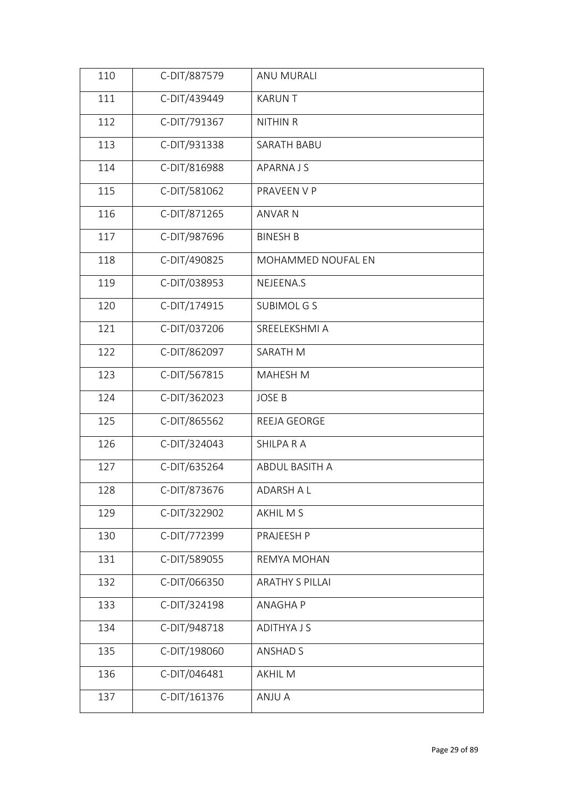| 110 | C-DIT/887579 | ANU MURALI             |
|-----|--------------|------------------------|
| 111 | C-DIT/439449 | <b>KARUNT</b>          |
| 112 | C-DIT/791367 | NITHIN R               |
| 113 | C-DIT/931338 | SARATH BABU            |
| 114 | C-DIT/816988 | <b>APARNAJS</b>        |
| 115 | C-DIT/581062 | PRAVEEN V P            |
| 116 | C-DIT/871265 | <b>ANVAR N</b>         |
| 117 | C-DIT/987696 | <b>BINESH B</b>        |
| 118 | C-DIT/490825 | MOHAMMED NOUFAL EN     |
| 119 | C-DIT/038953 | NEJEENA.S              |
| 120 | C-DIT/174915 | <b>SUBIMOL G S</b>     |
| 121 | C-DIT/037206 | SREELEKSHMI A          |
| 122 | C-DIT/862097 | SARATH M               |
| 123 | C-DIT/567815 | MAHESH M               |
| 124 | C-DIT/362023 | <b>JOSE B</b>          |
| 125 | C-DIT/865562 | REEJA GEORGE           |
| 126 | C-DIT/324043 | <b>SHILPA R A</b>      |
| 127 | C-DIT/635264 | ABDUL BASITH A         |
| 128 | C-DIT/873676 | ADARSH A L             |
| 129 | C-DIT/322902 | AKHIL M S              |
| 130 | C-DIT/772399 | PRAJEESH P             |
| 131 | C-DIT/589055 | REMYA MOHAN            |
| 132 | C-DIT/066350 | <b>ARATHY S PILLAI</b> |
| 133 | C-DIT/324198 | <b>ANAGHAP</b>         |
| 134 | C-DIT/948718 | <b>ADITHYA J S</b>     |
| 135 | C-DIT/198060 | <b>ANSHAD S</b>        |
| 136 | C-DIT/046481 | <b>AKHIL M</b>         |
| 137 | C-DIT/161376 | ANJU A                 |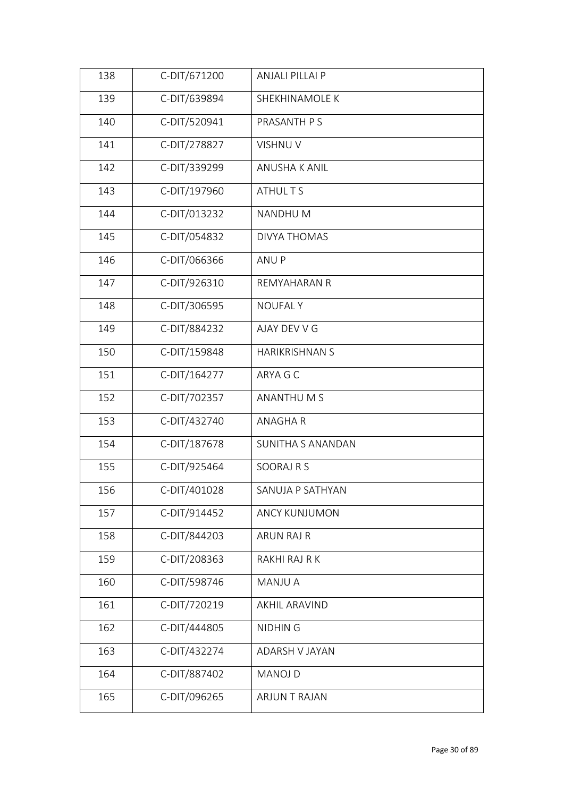| 138 | C-DIT/671200 | <b>ANJALI PILLAI P</b> |
|-----|--------------|------------------------|
| 139 | C-DIT/639894 | SHEKHINAMOLE K         |
| 140 | C-DIT/520941 | PRASANTH P S           |
| 141 | C-DIT/278827 | <b>VISHNU V</b>        |
| 142 | C-DIT/339299 | ANUSHA K ANIL          |
| 143 | C-DIT/197960 | ATHUL T S              |
| 144 | C-DIT/013232 | NANDHU M               |
| 145 | C-DIT/054832 | <b>DIVYA THOMAS</b>    |
| 146 | C-DIT/066366 | ANU P                  |
| 147 | C-DIT/926310 | <b>REMYAHARAN R</b>    |
| 148 | C-DIT/306595 | <b>NOUFALY</b>         |
| 149 | C-DIT/884232 | AJAY DEV V G           |
| 150 | C-DIT/159848 | <b>HARIKRISHNAN S</b>  |
| 151 | C-DIT/164277 | ARYA G C               |
| 152 | C-DIT/702357 | ANANTHU M S            |
| 153 | C-DIT/432740 | <b>ANAGHAR</b>         |
| 154 | C-DIT/187678 | SUNITHA S ANANDAN      |
| 155 | C-DIT/925464 | SOORAJ R S             |
| 156 | C-DIT/401028 | SANUJA P SATHYAN       |
| 157 | C-DIT/914452 | ANCY KUNJUMON          |
| 158 | C-DIT/844203 | <b>ARUN RAJ R</b>      |
| 159 | C-DIT/208363 | RAKHI RAJ R K          |
| 160 | C-DIT/598746 | <b>MANJU A</b>         |
| 161 | C-DIT/720219 | <b>AKHIL ARAVIND</b>   |
| 162 | C-DIT/444805 | <b>NIDHING</b>         |
| 163 | C-DIT/432274 | <b>ADARSH V JAYAN</b>  |
| 164 | C-DIT/887402 | <b>MANOJ D</b>         |
| 165 | C-DIT/096265 | ARJUN T RAJAN          |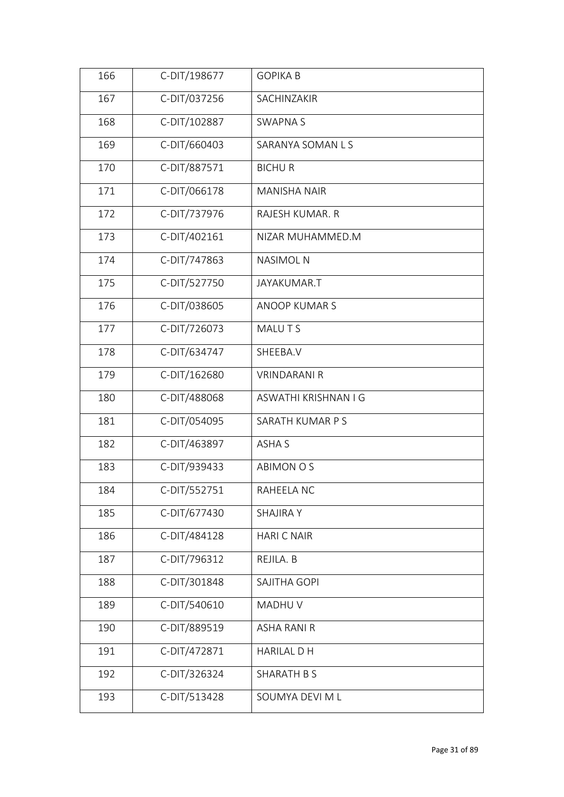| 166 | C-DIT/198677 | <b>GOPIKA B</b>      |  |
|-----|--------------|----------------------|--|
| 167 | C-DIT/037256 | SACHINZAKIR          |  |
| 168 | C-DIT/102887 | <b>SWAPNAS</b>       |  |
| 169 | C-DIT/660403 | SARANYA SOMAN L S    |  |
| 170 | C-DIT/887571 | <b>BICHUR</b>        |  |
| 171 | C-DIT/066178 | <b>MANISHA NAIR</b>  |  |
| 172 | C-DIT/737976 | RAJESH KUMAR. R      |  |
| 173 | C-DIT/402161 | NIZAR MUHAMMED.M     |  |
| 174 | C-DIT/747863 | <b>NASIMOL N</b>     |  |
| 175 | C-DIT/527750 | JAYAKUMAR.T          |  |
| 176 | C-DIT/038605 | <b>ANOOP KUMARS</b>  |  |
| 177 | C-DIT/726073 | MALU T S             |  |
| 178 | C-DIT/634747 | SHEEBA.V             |  |
| 179 | C-DIT/162680 | <b>VRINDARANI R</b>  |  |
| 180 | C-DIT/488068 | ASWATHI KRISHNAN I G |  |
| 181 | C-DIT/054095 | SARATH KUMAR P S     |  |
| 182 | C-DIT/463897 | ASHA S               |  |
| 183 | C-DIT/939433 | <b>ABIMON O S</b>    |  |
| 184 | C-DIT/552751 | RAHEELA NC           |  |
| 185 | C-DIT/677430 | <b>SHAJIRA Y</b>     |  |
| 186 | C-DIT/484128 | <b>HARIC NAIR</b>    |  |
| 187 | C-DIT/796312 | REJILA. B            |  |
| 188 | C-DIT/301848 | SAJITHA GOPI         |  |
| 189 | C-DIT/540610 | MADHU V              |  |
| 190 | C-DIT/889519 | <b>ASHA RANI R</b>   |  |
| 191 | C-DIT/472871 | <b>HARILAL D H</b>   |  |
| 192 | C-DIT/326324 | SHARATH B S          |  |
| 193 | C-DIT/513428 | SOUMYA DEVI M L      |  |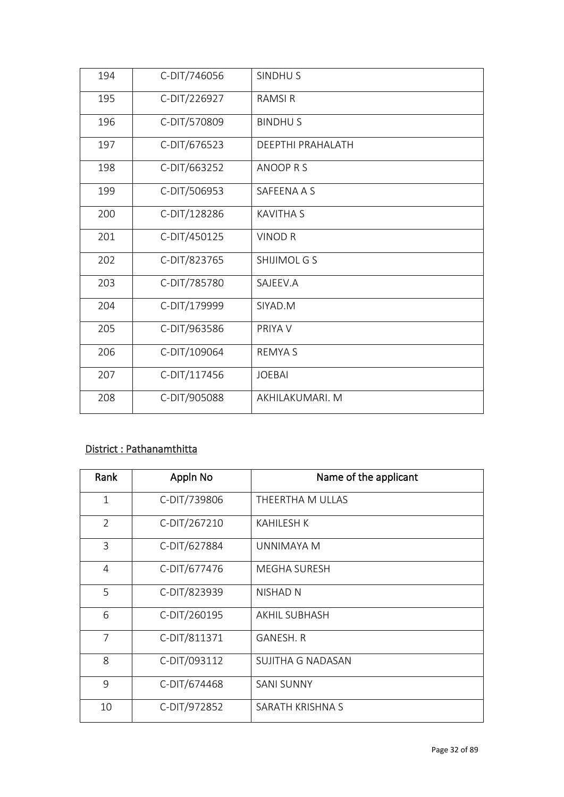| C-DIT/226927<br><b>RAMSIR</b><br>195<br>196<br>C-DIT/570809<br><b>BINDHUS</b><br>197<br>C-DIT/676523<br>DEEPTHI PRAHALATH<br>C-DIT/663252<br>ANOOP R S<br>198<br>C-DIT/506953<br>199<br>SAFEENA A S<br>C-DIT/128286<br>200<br><b>KAVITHA S</b><br>C-DIT/450125<br>201<br><b>VINOD R</b><br>202<br>C-DIT/823765<br>SHIJIMOL G S<br>203<br>C-DIT/785780<br>SAJEEV.A<br>204<br>C-DIT/179999<br>SIYAD.M<br>205<br>C-DIT/963586<br>PRIYA V<br>206<br>C-DIT/109064<br><b>REMYAS</b><br>207<br>C-DIT/117456<br><b>JOEBAI</b><br>208<br>C-DIT/905088<br>AKHILAKUMARI. M | 194 | C-DIT/746056 | SINDHU <sub>S</sub> |
|-----------------------------------------------------------------------------------------------------------------------------------------------------------------------------------------------------------------------------------------------------------------------------------------------------------------------------------------------------------------------------------------------------------------------------------------------------------------------------------------------------------------------------------------------------------------|-----|--------------|---------------------|
|                                                                                                                                                                                                                                                                                                                                                                                                                                                                                                                                                                 |     |              |                     |
|                                                                                                                                                                                                                                                                                                                                                                                                                                                                                                                                                                 |     |              |                     |
|                                                                                                                                                                                                                                                                                                                                                                                                                                                                                                                                                                 |     |              |                     |
|                                                                                                                                                                                                                                                                                                                                                                                                                                                                                                                                                                 |     |              |                     |
|                                                                                                                                                                                                                                                                                                                                                                                                                                                                                                                                                                 |     |              |                     |
|                                                                                                                                                                                                                                                                                                                                                                                                                                                                                                                                                                 |     |              |                     |
|                                                                                                                                                                                                                                                                                                                                                                                                                                                                                                                                                                 |     |              |                     |
|                                                                                                                                                                                                                                                                                                                                                                                                                                                                                                                                                                 |     |              |                     |
|                                                                                                                                                                                                                                                                                                                                                                                                                                                                                                                                                                 |     |              |                     |
|                                                                                                                                                                                                                                                                                                                                                                                                                                                                                                                                                                 |     |              |                     |
|                                                                                                                                                                                                                                                                                                                                                                                                                                                                                                                                                                 |     |              |                     |
|                                                                                                                                                                                                                                                                                                                                                                                                                                                                                                                                                                 |     |              |                     |
|                                                                                                                                                                                                                                                                                                                                                                                                                                                                                                                                                                 |     |              |                     |
|                                                                                                                                                                                                                                                                                                                                                                                                                                                                                                                                                                 |     |              |                     |

### District : Pathanamthitta

| Rank           | Appln No     | Name of the applicant |
|----------------|--------------|-----------------------|
| $\mathbf{1}$   | C-DIT/739806 | THEERTHA M ULLAS      |
| $\overline{2}$ | C-DIT/267210 | <b>KAHILESH K</b>     |
| 3              | C-DIT/627884 | UNNIMAYA M            |
| 4              | C-DIT/677476 | MEGHA SURESH          |
| 5              | C-DIT/823939 | <b>NISHAD N</b>       |
| 6              | C-DIT/260195 | AKHIL SUBHASH         |
| $\overline{7}$ | C-DIT/811371 | <b>GANESH, R</b>      |
| 8              | C-DIT/093112 | SUJITHA G NADASAN     |
| 9              | C-DIT/674468 | <b>SANI SUNNY</b>     |
| 10             | C-DIT/972852 | SARATH KRISHNA S      |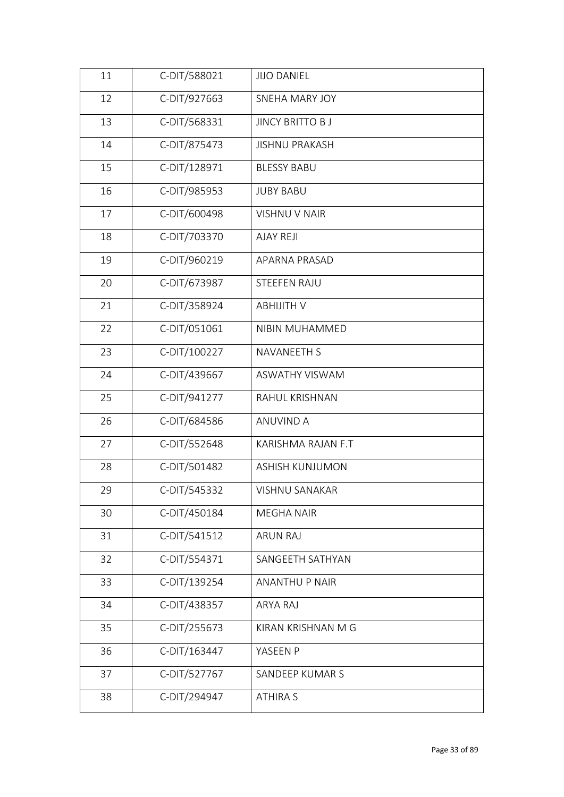| 11 | C-DIT/588021 | <b>JIJO DANIEL</b>     |
|----|--------------|------------------------|
| 12 | C-DIT/927663 | SNEHA MARY JOY         |
| 13 | C-DIT/568331 | <b>JINCY BRITTO BJ</b> |
| 14 | C-DIT/875473 | <b>JISHNU PRAKASH</b>  |
| 15 | C-DIT/128971 | <b>BLESSY BABU</b>     |
| 16 | C-DIT/985953 | <b>JUBY BABU</b>       |
| 17 | C-DIT/600498 | VISHNU V NAIR          |
| 18 | C-DIT/703370 | <b>AJAY REJI</b>       |
| 19 | C-DIT/960219 | APARNA PRASAD          |
| 20 | C-DIT/673987 | STEEFEN RAJU           |
| 21 | C-DIT/358924 | <b>ABHIJITH V</b>      |
| 22 | C-DIT/051061 | NIBIN MUHAMMED         |
| 23 | C-DIT/100227 | <b>NAVANEETH S</b>     |
| 24 | C-DIT/439667 | ASWATHY VISWAM         |
| 25 | C-DIT/941277 | RAHUL KRISHNAN         |
| 26 | C-DIT/684586 | <b>ANUVIND A</b>       |
| 27 | C-DIT/552648 | KARISHMA RAJAN F.T     |
| 28 | C-DIT/501482 | <b>ASHISH KUNJUMON</b> |
| 29 | C-DIT/545332 | VISHNU SANAKAR         |
| 30 | C-DIT/450184 | <b>MEGHA NAIR</b>      |
| 31 | C-DIT/541512 | <b>ARUN RAJ</b>        |
| 32 | C-DIT/554371 | SANGEETH SATHYAN       |
| 33 | C-DIT/139254 | <b>ANANTHU P NAIR</b>  |
| 34 | C-DIT/438357 | ARYA RAJ               |
| 35 | C-DIT/255673 | KIRAN KRISHNAN M G     |
| 36 | C-DIT/163447 | YASEEN P               |
| 37 | C-DIT/527767 | SANDEEP KUMAR S        |
| 38 | C-DIT/294947 | <b>ATHIRA S</b>        |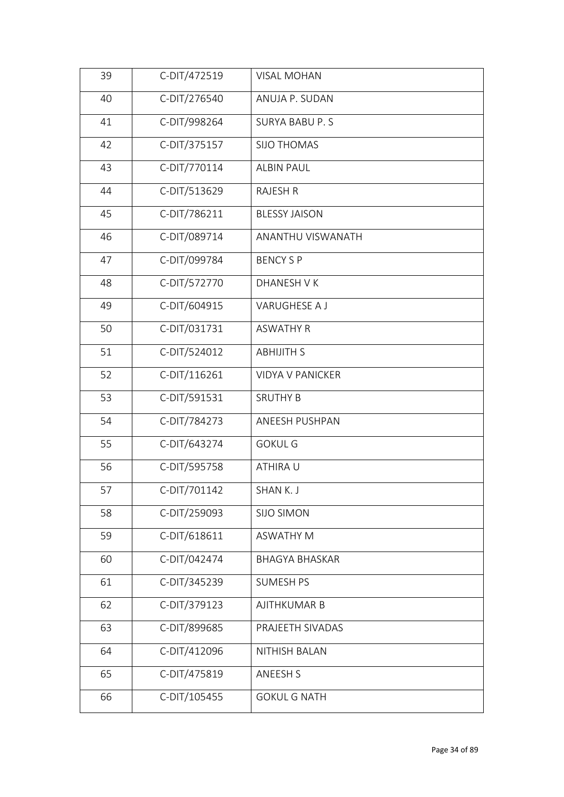| 39 | C-DIT/472519 | <b>VISAL MOHAN</b>      |
|----|--------------|-------------------------|
| 40 | C-DIT/276540 | ANUJA P. SUDAN          |
| 41 | C-DIT/998264 | <b>SURYA BABU P.S</b>   |
| 42 | C-DIT/375157 | <b>SIJO THOMAS</b>      |
| 43 | C-DIT/770114 | <b>ALBIN PAUL</b>       |
| 44 | C-DIT/513629 | <b>RAJESH R</b>         |
| 45 | C-DIT/786211 | <b>BLESSY JAISON</b>    |
| 46 | C-DIT/089714 | ANANTHU VISWANATH       |
| 47 | C-DIT/099784 | <b>BENCY S P</b>        |
| 48 | C-DIT/572770 | <b>DHANESH V K</b>      |
| 49 | C-DIT/604915 | VARUGHESE A J           |
| 50 | C-DIT/031731 | <b>ASWATHY R</b>        |
| 51 | C-DIT/524012 | <b>ABHIJITH S</b>       |
| 52 | C-DIT/116261 | <b>VIDYA V PANICKER</b> |
| 53 | C-DIT/591531 | <b>SRUTHY B</b>         |
| 54 | C-DIT/784273 | ANEESH PUSHPAN          |
| 55 | C-DIT/643274 | <b>GOKUL G</b>          |
| 56 | C-DIT/595758 | ATHIRA U                |
| 57 | C-DIT/701142 | SHAN K. J               |
| 58 | C-DIT/259093 | <b>SIJO SIMON</b>       |
| 59 | C-DIT/618611 | <b>ASWATHY M</b>        |
| 60 | C-DIT/042474 | <b>BHAGYA BHASKAR</b>   |
| 61 | C-DIT/345239 | <b>SUMESH PS</b>        |
| 62 | C-DIT/379123 | <b>AJITHKUMAR B</b>     |
| 63 | C-DIT/899685 | PRAJEETH SIVADAS        |
| 64 | C-DIT/412096 | NITHISH BALAN           |
| 65 | C-DIT/475819 | <b>ANEESH S</b>         |
| 66 | C-DIT/105455 | <b>GOKUL G NATH</b>     |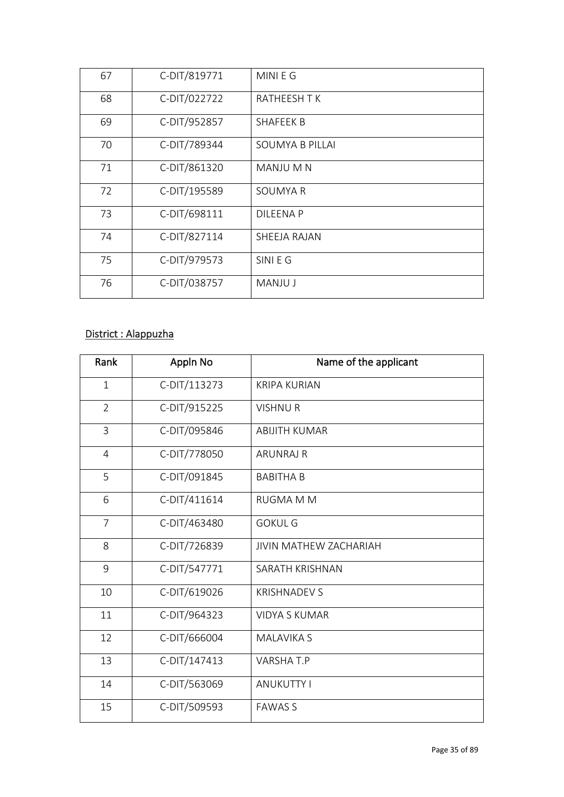| 67 | C-DIT/819771 | MINI E G            |
|----|--------------|---------------------|
| 68 | C-DIT/022722 | <b>RATHEESH T K</b> |
| 69 | C-DIT/952857 | SHAFEEK B           |
| 70 | C-DIT/789344 | SOUMYA B PILLAI     |
| 71 | C-DIT/861320 | MANJU M N           |
| 72 | C-DIT/195589 | SOUMYA R            |
| 73 | C-DIT/698111 | <b>DILEENAP</b>     |
| 74 | C-DIT/827114 | SHEEJA RAJAN        |
| 75 | C-DIT/979573 | SINI E G            |
| 76 | C-DIT/038757 | <b>MANJU J</b>      |

#### District : Alappuzha

| Rank           | Appln No     | Name of the applicant         |
|----------------|--------------|-------------------------------|
| $\mathbf{1}$   | C-DIT/113273 | <b>KRIPA KURIAN</b>           |
| $\overline{2}$ | C-DIT/915225 | <b>VISHNUR</b>                |
| $\overline{3}$ | C-DIT/095846 | <b>ABIJITH KUMAR</b>          |
| $\overline{4}$ | C-DIT/778050 | <b>ARUNRAJ R</b>              |
| 5              | C-DIT/091845 | <b>BABITHA B</b>              |
| 6              | C-DIT/411614 | <b>RUGMA M M</b>              |
| $\overline{7}$ | C-DIT/463480 | <b>GOKUL G</b>                |
| 8              | C-DIT/726839 | <b>JIVIN MATHEW ZACHARIAH</b> |
| 9              | C-DIT/547771 | SARATH KRISHNAN               |
| 10             | C-DIT/619026 | <b>KRISHNADEV S</b>           |
| 11             | C-DIT/964323 | <b>VIDYA S KUMAR</b>          |
| 12             | C-DIT/666004 | <b>MALAVIKA S</b>             |
| 13             | C-DIT/147413 | VARSHA T.P                    |
| 14             | C-DIT/563069 | <b>ANUKUTTY I</b>             |
| 15             | C-DIT/509593 | <b>FAWAS S</b>                |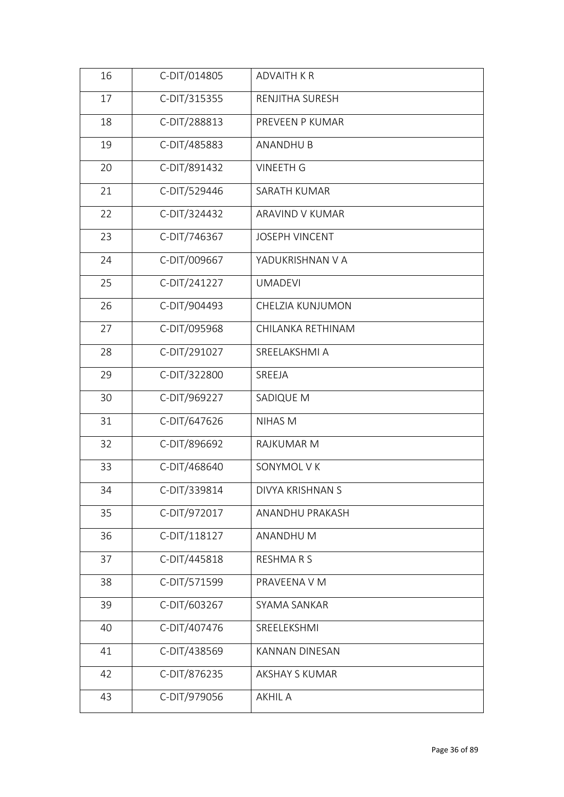| 16 | C-DIT/014805 | <b>ADVAITH KR</b>     |  |
|----|--------------|-----------------------|--|
| 17 | C-DIT/315355 | RENJITHA SURESH       |  |
| 18 | C-DIT/288813 | PREVEEN P KUMAR       |  |
| 19 | C-DIT/485883 | <b>ANANDHU B</b>      |  |
| 20 | C-DIT/891432 | <b>VINEETH G</b>      |  |
| 21 | C-DIT/529446 | SARATH KUMAR          |  |
| 22 | C-DIT/324432 | ARAVIND V KUMAR       |  |
| 23 | C-DIT/746367 | <b>JOSEPH VINCENT</b> |  |
| 24 | C-DIT/009667 | YADUKRISHNAN V A      |  |
| 25 | C-DIT/241227 | <b>UMADEVI</b>        |  |
| 26 | C-DIT/904493 | CHELZIA KUNJUMON      |  |
| 27 | C-DIT/095968 | CHILANKA RETHINAM     |  |
| 28 | C-DIT/291027 | SREELAKSHMI A         |  |
| 29 | C-DIT/322800 | SREEJA                |  |
| 30 | C-DIT/969227 | SADIQUE M             |  |
| 31 | C-DIT/647626 | <b>NIHAS M</b>        |  |
| 32 | C-DIT/896692 | RAJKUMAR M            |  |
| 33 | C-DIT/468640 | SONYMOL V K           |  |
| 34 | C-DIT/339814 | DIVYA KRISHNAN S      |  |
| 35 | C-DIT/972017 | ANANDHU PRAKASH       |  |
| 36 | C-DIT/118127 | ANANDHU M             |  |
| 37 | C-DIT/445818 | RESHMARS              |  |
| 38 | C-DIT/571599 | PRAVEENA V M          |  |
| 39 | C-DIT/603267 | SYAMA SANKAR          |  |
| 40 | C-DIT/407476 | SREELEKSHMI           |  |
| 41 | C-DIT/438569 | <b>KANNAN DINESAN</b> |  |
| 42 | C-DIT/876235 | <b>AKSHAY S KUMAR</b> |  |
| 43 | C-DIT/979056 | <b>AKHIL A</b>        |  |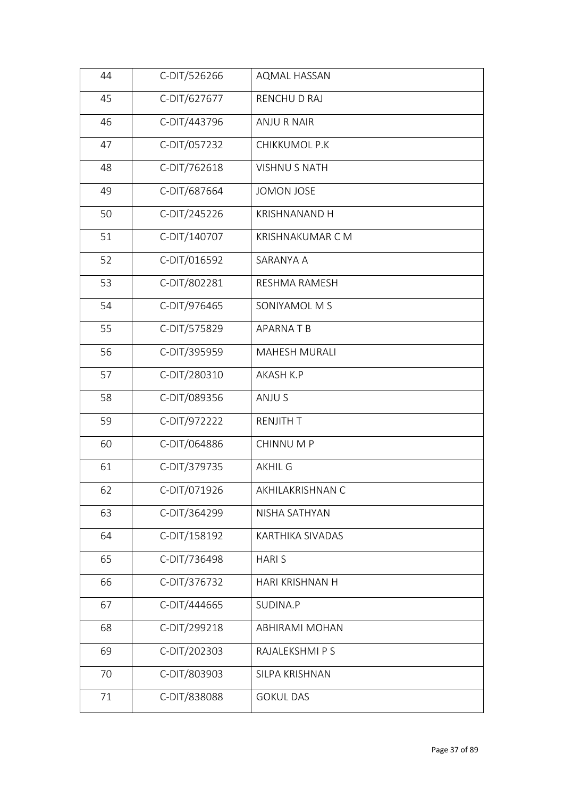| 44 | C-DIT/526266 | AQMAL HASSAN            |  |
|----|--------------|-------------------------|--|
| 45 | C-DIT/627677 | RENCHU D RAJ            |  |
| 46 | C-DIT/443796 | <b>ANJU R NAIR</b>      |  |
| 47 | C-DIT/057232 | CHIKKUMOL P.K           |  |
| 48 | C-DIT/762618 | <b>VISHNU S NATH</b>    |  |
| 49 | C-DIT/687664 | <b>JOMON JOSE</b>       |  |
| 50 | C-DIT/245226 | <b>KRISHNANAND H</b>    |  |
| 51 | C-DIT/140707 | <b>KRISHNAKUMAR C M</b> |  |
| 52 | C-DIT/016592 | SARANYA A               |  |
| 53 | C-DIT/802281 | <b>RESHMA RAMESH</b>    |  |
| 54 | C-DIT/976465 | SONIYAMOL M S           |  |
| 55 | C-DIT/575829 | APARNATB                |  |
| 56 | C-DIT/395959 | <b>MAHESH MURALI</b>    |  |
| 57 | C-DIT/280310 | AKASH K.P               |  |
| 58 | C-DIT/089356 | ANJU S                  |  |
| 59 | C-DIT/972222 | <b>RENJITH T</b>        |  |
| 60 | C-DIT/064886 | CHINNU M P              |  |
| 61 | C-DIT/379735 | <b>AKHIL G</b>          |  |
| 62 | C-DIT/071926 | AKHILAKRISHNAN C        |  |
| 63 | C-DIT/364299 | NISHA SATHYAN           |  |
| 64 | C-DIT/158192 | KARTHIKA SIVADAS        |  |
| 65 | C-DIT/736498 | <b>HARIS</b>            |  |
| 66 | C-DIT/376732 | HARI KRISHNAN H         |  |
| 67 | C-DIT/444665 | SUDINA.P                |  |
| 68 | C-DIT/299218 | <b>ABHIRAMI MOHAN</b>   |  |
| 69 | C-DIT/202303 | RAJALEKSHMI P S         |  |
| 70 | C-DIT/803903 | SILPA KRISHNAN          |  |
| 71 | C-DIT/838088 | <b>GOKUL DAS</b>        |  |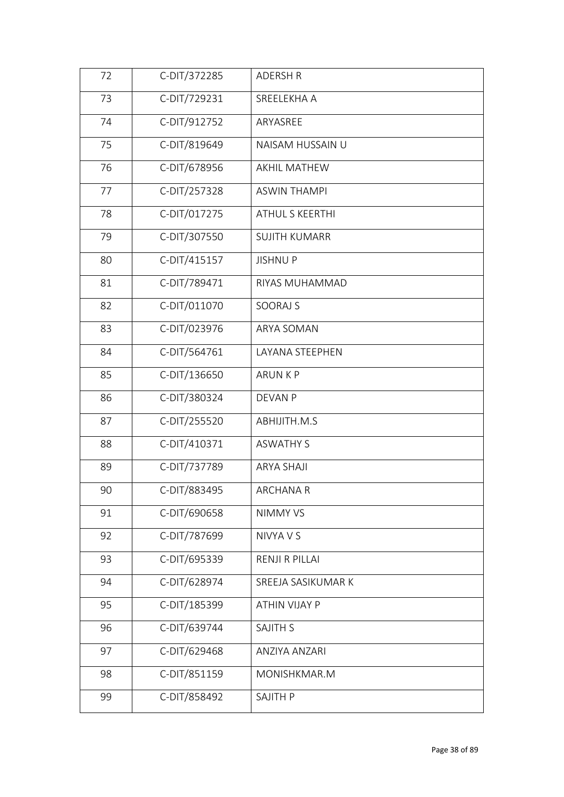| C-DIT/729231<br>73<br>SREELEKHA A<br>74<br>C-DIT/912752<br>ARYASREE<br>75<br>C-DIT/819649<br>NAISAM HUSSAIN U<br>C-DIT/678956<br>76<br>AKHIL MATHEW<br>C-DIT/257328<br>77<br><b>ASWIN THAMPI</b><br>C-DIT/017275<br>78<br>ATHUL S KEERTHI<br>C-DIT/307550<br>79<br><b>SUJITH KUMARR</b><br>C-DIT/415157<br>80<br><b>JISHNUP</b><br>C-DIT/789471<br>81<br>RIYAS MUHAMMAD<br>C-DIT/011070<br>82<br>SOORAJ S<br>C-DIT/023976<br>83<br>ARYA SOMAN<br>C-DIT/564761<br>84<br>LAYANA STEEPHEN<br>C-DIT/136650<br>85<br><b>ARUNKP</b><br>C-DIT/380324<br>86<br><b>DEVAN P</b><br>C-DIT/255520<br>87<br>ABHIJITH.M.S<br>C-DIT/410371<br>88<br><b>ASWATHY S</b><br>C-DIT/737789<br>89<br><b>ARYA SHAJI</b><br>90<br>C-DIT/883495<br><b>ARCHANA R</b><br>91<br>C-DIT/690658<br>NIMMY VS<br>C-DIT/787699<br>92<br>NIVYA V S<br>93<br>C-DIT/695339<br><b>RENJI R PILLAI</b><br>C-DIT/628974<br>94<br>SREEJA SASIKUMAR K<br>95<br>C-DIT/185399<br><b>ATHIN VIJAY P</b><br>C-DIT/639744<br>96<br><b>SAJITH S</b><br>C-DIT/629468<br>97<br>ANZIYA ANZARI<br>C-DIT/851159<br>98<br>MONISHKMAR.M<br>C-DIT/858492<br>99<br>SAJITH P | 72 | C-DIT/372285 | <b>ADERSH R</b> |
|------------------------------------------------------------------------------------------------------------------------------------------------------------------------------------------------------------------------------------------------------------------------------------------------------------------------------------------------------------------------------------------------------------------------------------------------------------------------------------------------------------------------------------------------------------------------------------------------------------------------------------------------------------------------------------------------------------------------------------------------------------------------------------------------------------------------------------------------------------------------------------------------------------------------------------------------------------------------------------------------------------------------------------------------------------------------------------------------------------------|----|--------------|-----------------|
|                                                                                                                                                                                                                                                                                                                                                                                                                                                                                                                                                                                                                                                                                                                                                                                                                                                                                                                                                                                                                                                                                                                  |    |              |                 |
|                                                                                                                                                                                                                                                                                                                                                                                                                                                                                                                                                                                                                                                                                                                                                                                                                                                                                                                                                                                                                                                                                                                  |    |              |                 |
|                                                                                                                                                                                                                                                                                                                                                                                                                                                                                                                                                                                                                                                                                                                                                                                                                                                                                                                                                                                                                                                                                                                  |    |              |                 |
|                                                                                                                                                                                                                                                                                                                                                                                                                                                                                                                                                                                                                                                                                                                                                                                                                                                                                                                                                                                                                                                                                                                  |    |              |                 |
|                                                                                                                                                                                                                                                                                                                                                                                                                                                                                                                                                                                                                                                                                                                                                                                                                                                                                                                                                                                                                                                                                                                  |    |              |                 |
|                                                                                                                                                                                                                                                                                                                                                                                                                                                                                                                                                                                                                                                                                                                                                                                                                                                                                                                                                                                                                                                                                                                  |    |              |                 |
|                                                                                                                                                                                                                                                                                                                                                                                                                                                                                                                                                                                                                                                                                                                                                                                                                                                                                                                                                                                                                                                                                                                  |    |              |                 |
|                                                                                                                                                                                                                                                                                                                                                                                                                                                                                                                                                                                                                                                                                                                                                                                                                                                                                                                                                                                                                                                                                                                  |    |              |                 |
|                                                                                                                                                                                                                                                                                                                                                                                                                                                                                                                                                                                                                                                                                                                                                                                                                                                                                                                                                                                                                                                                                                                  |    |              |                 |
|                                                                                                                                                                                                                                                                                                                                                                                                                                                                                                                                                                                                                                                                                                                                                                                                                                                                                                                                                                                                                                                                                                                  |    |              |                 |
|                                                                                                                                                                                                                                                                                                                                                                                                                                                                                                                                                                                                                                                                                                                                                                                                                                                                                                                                                                                                                                                                                                                  |    |              |                 |
|                                                                                                                                                                                                                                                                                                                                                                                                                                                                                                                                                                                                                                                                                                                                                                                                                                                                                                                                                                                                                                                                                                                  |    |              |                 |
|                                                                                                                                                                                                                                                                                                                                                                                                                                                                                                                                                                                                                                                                                                                                                                                                                                                                                                                                                                                                                                                                                                                  |    |              |                 |
|                                                                                                                                                                                                                                                                                                                                                                                                                                                                                                                                                                                                                                                                                                                                                                                                                                                                                                                                                                                                                                                                                                                  |    |              |                 |
|                                                                                                                                                                                                                                                                                                                                                                                                                                                                                                                                                                                                                                                                                                                                                                                                                                                                                                                                                                                                                                                                                                                  |    |              |                 |
|                                                                                                                                                                                                                                                                                                                                                                                                                                                                                                                                                                                                                                                                                                                                                                                                                                                                                                                                                                                                                                                                                                                  |    |              |                 |
|                                                                                                                                                                                                                                                                                                                                                                                                                                                                                                                                                                                                                                                                                                                                                                                                                                                                                                                                                                                                                                                                                                                  |    |              |                 |
|                                                                                                                                                                                                                                                                                                                                                                                                                                                                                                                                                                                                                                                                                                                                                                                                                                                                                                                                                                                                                                                                                                                  |    |              |                 |
|                                                                                                                                                                                                                                                                                                                                                                                                                                                                                                                                                                                                                                                                                                                                                                                                                                                                                                                                                                                                                                                                                                                  |    |              |                 |
|                                                                                                                                                                                                                                                                                                                                                                                                                                                                                                                                                                                                                                                                                                                                                                                                                                                                                                                                                                                                                                                                                                                  |    |              |                 |
|                                                                                                                                                                                                                                                                                                                                                                                                                                                                                                                                                                                                                                                                                                                                                                                                                                                                                                                                                                                                                                                                                                                  |    |              |                 |
|                                                                                                                                                                                                                                                                                                                                                                                                                                                                                                                                                                                                                                                                                                                                                                                                                                                                                                                                                                                                                                                                                                                  |    |              |                 |
|                                                                                                                                                                                                                                                                                                                                                                                                                                                                                                                                                                                                                                                                                                                                                                                                                                                                                                                                                                                                                                                                                                                  |    |              |                 |
|                                                                                                                                                                                                                                                                                                                                                                                                                                                                                                                                                                                                                                                                                                                                                                                                                                                                                                                                                                                                                                                                                                                  |    |              |                 |
|                                                                                                                                                                                                                                                                                                                                                                                                                                                                                                                                                                                                                                                                                                                                                                                                                                                                                                                                                                                                                                                                                                                  |    |              |                 |
|                                                                                                                                                                                                                                                                                                                                                                                                                                                                                                                                                                                                                                                                                                                                                                                                                                                                                                                                                                                                                                                                                                                  |    |              |                 |
|                                                                                                                                                                                                                                                                                                                                                                                                                                                                                                                                                                                                                                                                                                                                                                                                                                                                                                                                                                                                                                                                                                                  |    |              |                 |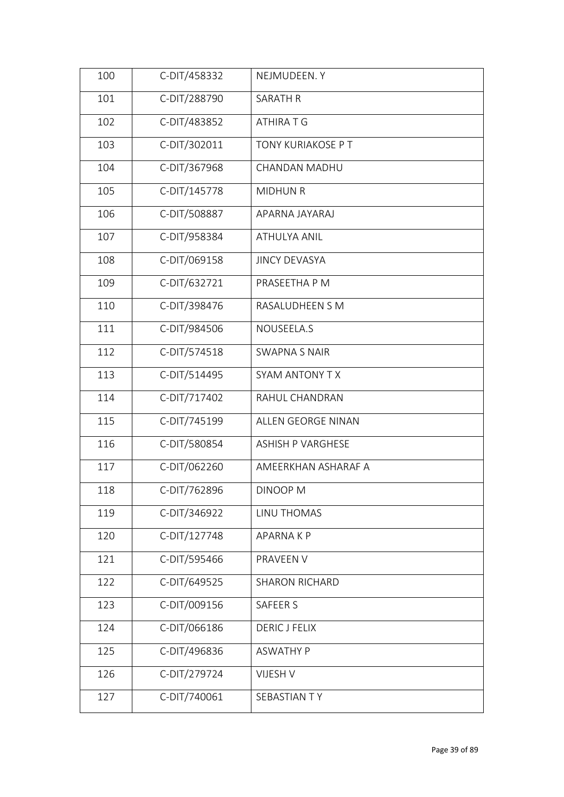| 100 | C-DIT/458332 | NEJMUDEEN.Y              |
|-----|--------------|--------------------------|
| 101 | C-DIT/288790 | <b>SARATH R</b>          |
| 102 | C-DIT/483852 | ATHIRA T G               |
| 103 | C-DIT/302011 | TONY KURIAKOSE P T       |
| 104 | C-DIT/367968 | CHANDAN MADHU            |
| 105 | C-DIT/145778 | <b>MIDHUN R</b>          |
| 106 | C-DIT/508887 | APARNA JAYARAJ           |
| 107 | C-DIT/958384 | <b>ATHULYA ANIL</b>      |
| 108 | C-DIT/069158 | <b>JINCY DEVASYA</b>     |
| 109 | C-DIT/632721 | PRASEETHA P M            |
| 110 | C-DIT/398476 | RASALUDHEEN S M          |
| 111 | C-DIT/984506 | NOUSEELA.S               |
| 112 | C-DIT/574518 | <b>SWAPNA S NAIR</b>     |
| 113 | C-DIT/514495 | SYAM ANTONY TX           |
| 114 | C-DIT/717402 | RAHUL CHANDRAN           |
| 115 | C-DIT/745199 | ALLEN GEORGE NINAN       |
| 116 | C-DIT/580854 | <b>ASHISH P VARGHESE</b> |
| 117 | C-DIT/062260 | AMEERKHAN ASHARAF A      |
| 118 | C-DIT/762896 | DINOOP M                 |
| 119 | C-DIT/346922 | LINU THOMAS              |
| 120 | C-DIT/127748 | <b>APARNAKP</b>          |
| 121 | C-DIT/595466 | PRAVEEN V                |
| 122 | C-DIT/649525 | <b>SHARON RICHARD</b>    |
| 123 | C-DIT/009156 | SAFEER S                 |
| 124 | C-DIT/066186 | <b>DERIC J FELIX</b>     |
| 125 | C-DIT/496836 | <b>ASWATHY P</b>         |
| 126 | C-DIT/279724 | VIJESH V                 |
| 127 | C-DIT/740061 | SEBASTIAN TY             |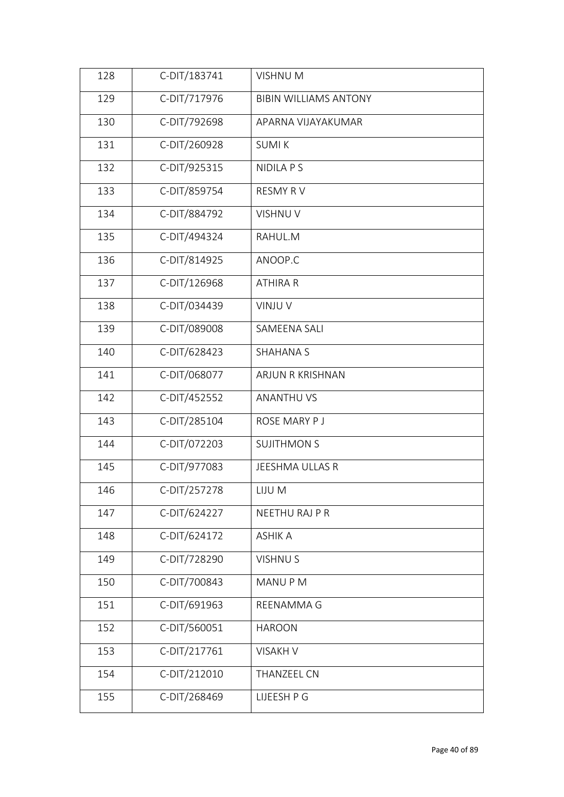| 128 | C-DIT/183741 | <b>VISHNUM</b>               |
|-----|--------------|------------------------------|
| 129 | C-DIT/717976 | <b>BIBIN WILLIAMS ANTONY</b> |
| 130 | C-DIT/792698 | APARNA VIJAYAKUMAR           |
| 131 | C-DIT/260928 | <b>SUMIK</b>                 |
| 132 | C-DIT/925315 | <b>NIDILA P S</b>            |
| 133 | C-DIT/859754 | <b>RESMY RV</b>              |
| 134 | C-DIT/884792 | VISHNU V                     |
| 135 | C-DIT/494324 | RAHUL.M                      |
| 136 | C-DIT/814925 | ANOOP.C                      |
| 137 | C-DIT/126968 | <b>ATHIRA R</b>              |
| 138 | C-DIT/034439 | VINJU V                      |
| 139 | C-DIT/089008 | SAMEENA SALI                 |
| 140 | C-DIT/628423 | <b>SHAHANA S</b>             |
| 141 | C-DIT/068077 | ARJUN R KRISHNAN             |
| 142 | C-DIT/452552 | <b>ANANTHU VS</b>            |
| 143 | C-DIT/285104 | ROSE MARY P J                |
| 144 | C-DIT/072203 | <b>SUJITHMON S</b>           |
| 145 | C-DIT/977083 | JEESHMA ULLAS R              |
| 146 | C-DIT/257278 | LIJU M                       |
| 147 | C-DIT/624227 | NEETHU RAJ P R               |
| 148 | C-DIT/624172 | <b>ASHIK A</b>               |
| 149 | C-DIT/728290 | <b>VISHNUS</b>               |
| 150 | C-DIT/700843 | MANU P M                     |
| 151 | C-DIT/691963 | REENAMMA G                   |
| 152 | C-DIT/560051 | <b>HAROON</b>                |
| 153 | C-DIT/217761 | <b>VISAKH V</b>              |
| 154 | C-DIT/212010 | THANZEEL CN                  |
| 155 | C-DIT/268469 | LIJEESH P G                  |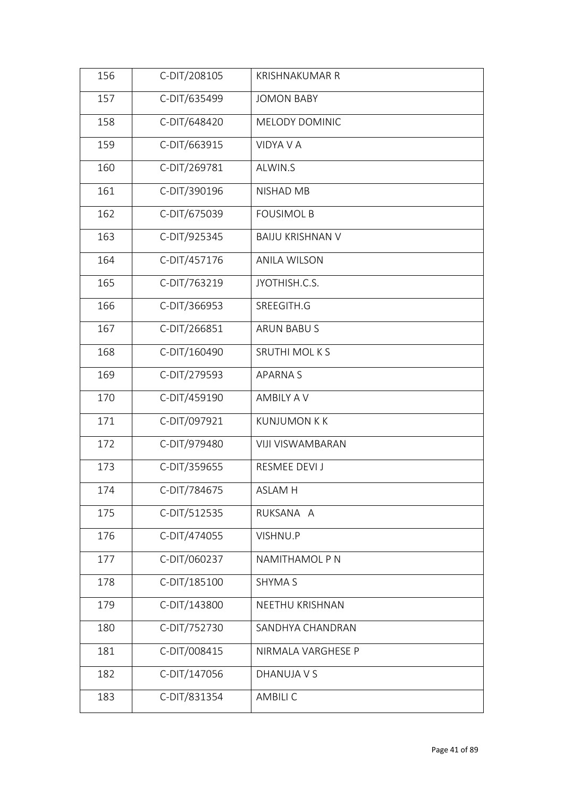| 156 | C-DIT/208105 | <b>KRISHNAKUMAR R</b>   |
|-----|--------------|-------------------------|
| 157 | C-DIT/635499 | <b>JOMON BABY</b>       |
| 158 | C-DIT/648420 | MELODY DOMINIC          |
| 159 | C-DIT/663915 | VIDYA V A               |
| 160 | C-DIT/269781 | ALWIN.S                 |
| 161 | C-DIT/390196 | NISHAD MB               |
| 162 | C-DIT/675039 | <b>FOUSIMOL B</b>       |
| 163 | C-DIT/925345 | <b>BAIJU KRISHNAN V</b> |
| 164 | C-DIT/457176 | <b>ANILA WILSON</b>     |
| 165 | C-DIT/763219 | JYOTHISH.C.S.           |
| 166 | C-DIT/366953 | SREEGITH.G              |
| 167 | C-DIT/266851 | ARUN BABU S             |
| 168 | C-DIT/160490 | <b>SRUTHI MOLKS</b>     |
| 169 | C-DIT/279593 | <b>APARNAS</b>          |
| 170 | C-DIT/459190 | <b>AMBILY A V</b>       |
| 171 | C-DIT/097921 | <b>KUNJUMON K K</b>     |
| 172 | C-DIT/979480 | <b>VIJI VISWAMBARAN</b> |
| 173 | C-DIT/359655 | RESMEE DEVI J           |
| 174 | C-DIT/784675 | <b>ASLAM H</b>          |
| 175 | C-DIT/512535 | RUKSANA A               |
| 176 | C-DIT/474055 | VISHNU.P                |
| 177 | C-DIT/060237 | NAMITHAMOL P N          |
| 178 | C-DIT/185100 | <b>SHYMA S</b>          |
| 179 | C-DIT/143800 | NEETHU KRISHNAN         |
| 180 | C-DIT/752730 | SANDHYA CHANDRAN        |
| 181 | C-DIT/008415 | NIRMALA VARGHESE P      |
| 182 | C-DIT/147056 | DHANUJA V S             |
| 183 | C-DIT/831354 | <b>AMBILI C</b>         |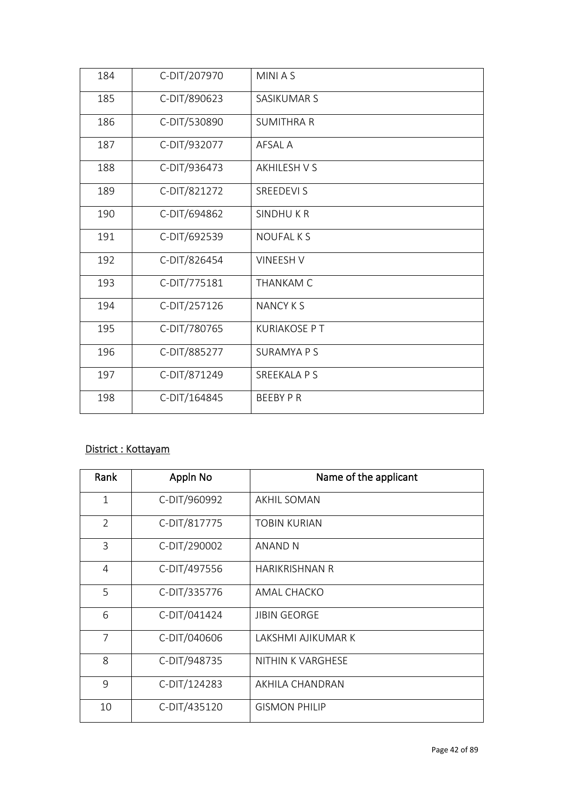| 184 | C-DIT/207970 | <b>MINIAS</b>       |
|-----|--------------|---------------------|
| 185 | C-DIT/890623 | SASIKUMAR S         |
| 186 | C-DIT/530890 | <b>SUMITHRA R</b>   |
| 187 | C-DIT/932077 | AFSAL A             |
| 188 | C-DIT/936473 | <b>AKHILESH V S</b> |
| 189 | C-DIT/821272 | SREEDEVI S          |
| 190 | C-DIT/694862 | SINDHUKR            |
| 191 | C-DIT/692539 | <b>NOUFALKS</b>     |
| 192 | C-DIT/826454 | <b>VINEESH V</b>    |
| 193 | C-DIT/775181 | <b>THANKAM C</b>    |
| 194 | C-DIT/257126 | <b>NANCY K S</b>    |
| 195 | C-DIT/780765 | <b>KURIAKOSE PT</b> |
| 196 | C-DIT/885277 | <b>SURAMYA P S</b>  |
| 197 | C-DIT/871249 | <b>SREEKALA P S</b> |
| 198 | C-DIT/164845 | <b>BEEBY P R</b>    |

#### District : Kottayam

| Rank           | Appln No     | Name of the applicant |
|----------------|--------------|-----------------------|
| $\mathbf{1}$   | C-DIT/960992 | AKHIL SOMAN           |
| $\overline{2}$ | C-DIT/817775 | <b>TOBIN KURIAN</b>   |
| $\overline{3}$ | C-DIT/290002 | ANAND N               |
| 4              | C-DIT/497556 | <b>HARIKRISHNAN R</b> |
| 5              | C-DIT/335776 | AMAL CHACKO           |
| 6              | C-DIT/041424 | <b>JIBIN GEORGE</b>   |
| $\overline{7}$ | C-DIT/040606 | I AKSHMI AJIKUMAR K   |
| 8              | C-DIT/948735 | NITHIN K VARGHESE     |
| 9              | C-DIT/124283 | AKHILA CHANDRAN       |
| 10             | C-DIT/435120 | <b>GISMON PHILIP</b>  |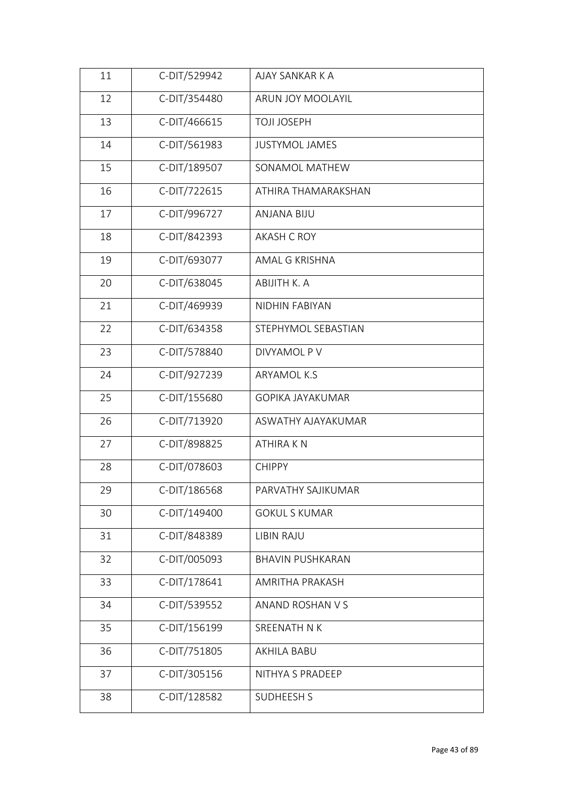| 11 | C-DIT/529942 | AJAY SANKAR K A         |
|----|--------------|-------------------------|
| 12 | C-DIT/354480 | ARUN JOY MOOLAYIL       |
| 13 | C-DIT/466615 | <b>TOJI JOSEPH</b>      |
| 14 | C-DIT/561983 | <b>JUSTYMOL JAMES</b>   |
| 15 | C-DIT/189507 | SONAMOL MATHEW          |
| 16 | C-DIT/722615 | ATHIRA THAMARAKSHAN     |
| 17 | C-DIT/996727 | <b>ANJANA BIJU</b>      |
| 18 | C-DIT/842393 | <b>AKASH C ROY</b>      |
| 19 | C-DIT/693077 | AMAL G KRISHNA          |
| 20 | C-DIT/638045 | ABIJITH K. A            |
| 21 | C-DIT/469939 | <b>NIDHIN FABIYAN</b>   |
| 22 | C-DIT/634358 | STEPHYMOL SEBASTIAN     |
| 23 | C-DIT/578840 | DIVYAMOL P V            |
| 24 | C-DIT/927239 | ARYAMOL K.S             |
| 25 | C-DIT/155680 | <b>GOPIKA JAYAKUMAR</b> |
| 26 | C-DIT/713920 | ASWATHY AJAYAKUMAR      |
| 27 | C-DIT/898825 | <b>ATHIRAKN</b>         |
| 28 | C-DIT/078603 | <b>CHIPPY</b>           |
| 29 | C-DIT/186568 | PARVATHY SAJIKUMAR      |
| 30 | C-DIT/149400 | <b>GOKUL S KUMAR</b>    |
| 31 | C-DIT/848389 | LIBIN RAJU              |
| 32 | C-DIT/005093 | <b>BHAVIN PUSHKARAN</b> |
| 33 | C-DIT/178641 | AMRITHA PRAKASH         |
| 34 | C-DIT/539552 | ANAND ROSHAN V S        |
| 35 | C-DIT/156199 | SREENATH N K            |
| 36 | C-DIT/751805 | AKHILA BABU             |
| 37 | C-DIT/305156 | NITHYA S PRADEEP        |
| 38 | C-DIT/128582 | <b>SUDHEESH S</b>       |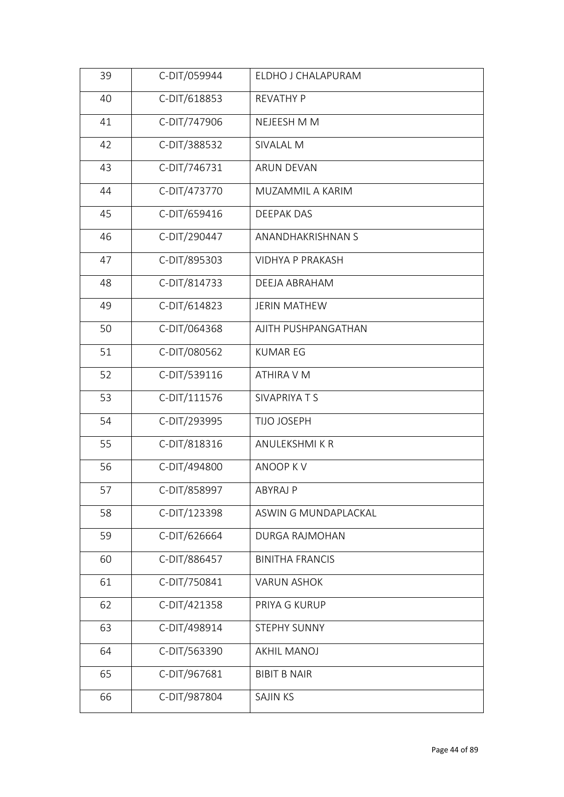| 39 | C-DIT/059944 | ELDHO J CHALAPURAM      |  |
|----|--------------|-------------------------|--|
| 40 | C-DIT/618853 | <b>REVATHY P</b>        |  |
| 41 | C-DIT/747906 | NEJEESH M M             |  |
| 42 | C-DIT/388532 | SIVALAL M               |  |
| 43 | C-DIT/746731 | <b>ARUN DEVAN</b>       |  |
| 44 | C-DIT/473770 | MUZAMMIL A KARIM        |  |
| 45 | C-DIT/659416 | <b>DEEPAK DAS</b>       |  |
| 46 | C-DIT/290447 | ANANDHAKRISHNAN S       |  |
| 47 | C-DIT/895303 | <b>VIDHYA P PRAKASH</b> |  |
| 48 | C-DIT/814733 | DEEJA ABRAHAM           |  |
| 49 | C-DIT/614823 | <b>JERIN MATHEW</b>     |  |
| 50 | C-DIT/064368 | AJITH PUSHPANGATHAN     |  |
| 51 | C-DIT/080562 | <b>KUMAR EG</b>         |  |
| 52 | C-DIT/539116 | ATHIRA V M              |  |
| 53 | C-DIT/111576 | SIVAPRIYA T S           |  |
| 54 | C-DIT/293995 | TIJO JOSEPH             |  |
| 55 | C-DIT/818316 | <b>ANULEKSHMIKR</b>     |  |
| 56 | C-DIT/494800 | ANOOP KV                |  |
| 57 | C-DIT/858997 | ABYRAJ P                |  |
| 58 | C-DIT/123398 | ASWIN G MUNDAPLACKAL    |  |
| 59 | C-DIT/626664 | <b>DURGA RAJMOHAN</b>   |  |
| 60 | C-DIT/886457 | <b>BINITHA FRANCIS</b>  |  |
| 61 | C-DIT/750841 | <b>VARUN ASHOK</b>      |  |
| 62 | C-DIT/421358 | PRIYA G KURUP           |  |
| 63 | C-DIT/498914 | STEPHY SUNNY            |  |
| 64 | C-DIT/563390 | <b>AKHIL MANOJ</b>      |  |
| 65 | C-DIT/967681 | <b>BIBIT B NAIR</b>     |  |
| 66 | C-DIT/987804 | <b>SAJIN KS</b>         |  |
|    |              |                         |  |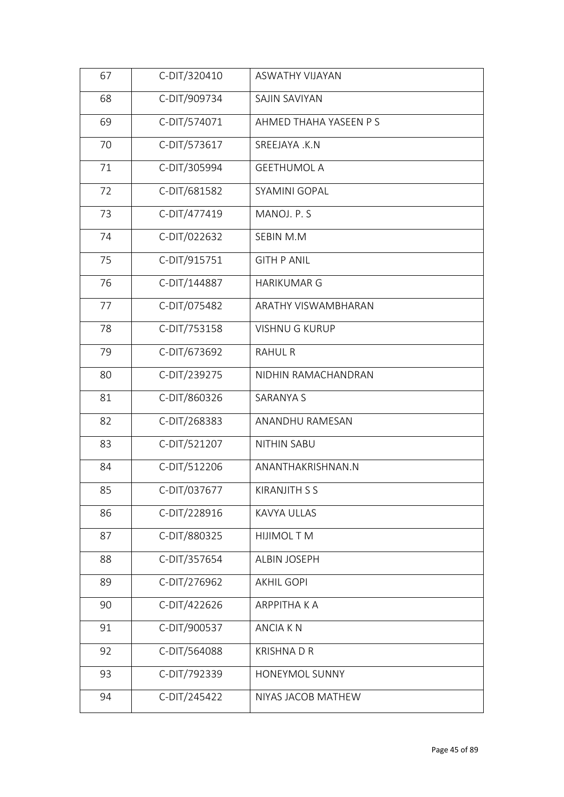| 67 | C-DIT/320410 | ASWATHY VIJAYAN        |
|----|--------------|------------------------|
| 68 | C-DIT/909734 | SAJIN SAVIYAN          |
| 69 | C-DIT/574071 | AHMED THAHA YASEEN P S |
| 70 | C-DIT/573617 | SREEJAYA .K.N          |
| 71 | C-DIT/305994 | <b>GEETHUMOL A</b>     |
| 72 | C-DIT/681582 | SYAMINI GOPAL          |
| 73 | C-DIT/477419 | MANOJ. P. S            |
| 74 | C-DIT/022632 | SEBIN M.M              |
| 75 | C-DIT/915751 | <b>GITH P ANIL</b>     |
| 76 | C-DIT/144887 | <b>HARIKUMAR G</b>     |
| 77 | C-DIT/075482 | ARATHY VISWAMBHARAN    |
| 78 | C-DIT/753158 | <b>VISHNU G KURUP</b>  |
| 79 | C-DIT/673692 | <b>RAHUL R</b>         |
| 80 | C-DIT/239275 | NIDHIN RAMACHANDRAN    |
| 81 | C-DIT/860326 | <b>SARANYA S</b>       |
| 82 | C-DIT/268383 | ANANDHU RAMESAN        |
| 83 | C-DIT/521207 | <b>NITHIN SABU</b>     |
| 84 | C-DIT/512206 | ANANTHAKRISHNAN.N      |
| 85 | C-DIT/037677 | KIRANJITH S S          |
| 86 | C-DIT/228916 | KAVYA ULLAS            |
| 87 | C-DIT/880325 | <b>HIJIMOL T M</b>     |
| 88 | C-DIT/357654 | <b>ALBIN JOSEPH</b>    |
| 89 | C-DIT/276962 | <b>AKHIL GOPI</b>      |
| 90 | C-DIT/422626 | <b>ARPPITHAKA</b>      |
| 91 | C-DIT/900537 | <b>ANCIAKN</b>         |
| 92 | C-DIT/564088 | <b>KRISHNADR</b>       |
| 93 | C-DIT/792339 | HONEYMOL SUNNY         |
| 94 | C-DIT/245422 | NIYAS JACOB MATHEW     |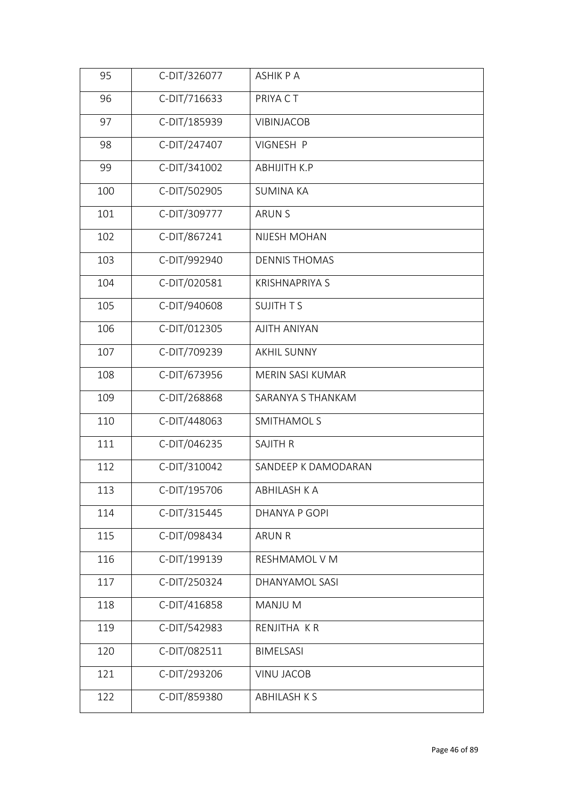| 95  | C-DIT/326077 | <b>ASHIK P A</b>      |  |
|-----|--------------|-----------------------|--|
| 96  | C-DIT/716633 | PRIYA CT              |  |
| 97  | C-DIT/185939 | VIBINJACOB            |  |
| 98  | C-DIT/247407 | VIGNESH P             |  |
| 99  | C-DIT/341002 | <b>ABHIJITH K.P</b>   |  |
| 100 | C-DIT/502905 | <b>SUMINA KA</b>      |  |
| 101 | C-DIT/309777 | <b>ARUN S</b>         |  |
| 102 | C-DIT/867241 | NIJESH MOHAN          |  |
| 103 | C-DIT/992940 | <b>DENNIS THOMAS</b>  |  |
| 104 | C-DIT/020581 | <b>KRISHNAPRIYA S</b> |  |
| 105 | C-DIT/940608 | <b>SUJITH TS</b>      |  |
| 106 | C-DIT/012305 | <b>AJITH ANIYAN</b>   |  |
| 107 | C-DIT/709239 | <b>AKHIL SUNNY</b>    |  |
| 108 | C-DIT/673956 | MERIN SASI KUMAR      |  |
| 109 | C-DIT/268868 | SARANYA S THANKAM     |  |
| 110 | C-DIT/448063 | <b>SMITHAMOL S</b>    |  |
| 111 | C-DIT/046235 | <b>SAJITH R</b>       |  |
| 112 | C-DIT/310042 | SANDEEP K DAMODARAN   |  |
| 113 | C-DIT/195706 | ABHILASH K A          |  |
| 114 | C-DIT/315445 | DHANYA P GOPI         |  |
| 115 | C-DIT/098434 | <b>ARUN R</b>         |  |
| 116 | C-DIT/199139 | RESHMAMOL V M         |  |
| 117 | C-DIT/250324 | DHANYAMOL SASI        |  |
| 118 | C-DIT/416858 | MANJU M               |  |
| 119 | C-DIT/542983 | RENJITHA KR           |  |
| 120 | C-DIT/082511 | BIMELSASI             |  |
| 121 | C-DIT/293206 | <b>VINU JACOB</b>     |  |
| 122 | C-DIT/859380 | <b>ABHILASH K S</b>   |  |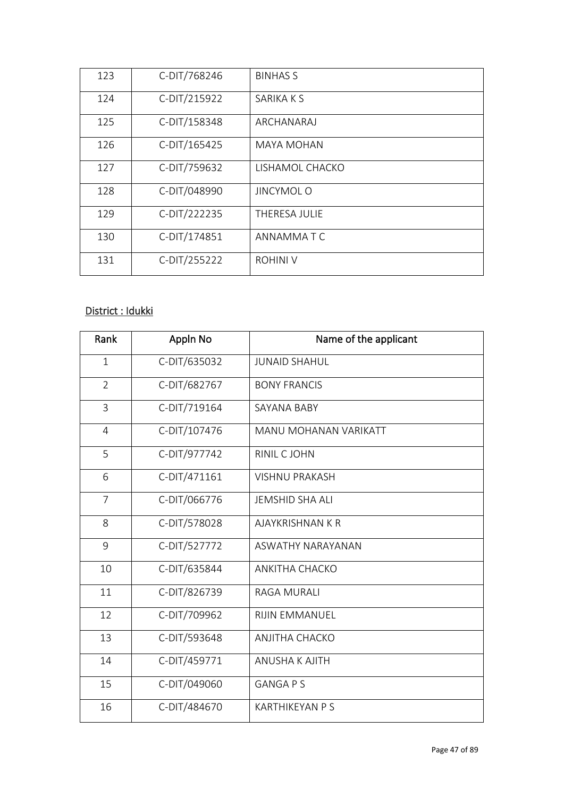| 123 | C-DIT/768246 | <b>BINHAS S</b>   |
|-----|--------------|-------------------|
| 124 | C-DIT/215922 | SARIKA K S        |
| 125 | C-DIT/158348 | ARCHANARAJ        |
| 126 | C-DIT/165425 | <b>MAYA MOHAN</b> |
| 127 | C-DIT/759632 | LISHAMOL CHACKO   |
| 128 | C-DIT/048990 | <b>JINCYMOL O</b> |
| 129 | C-DIT/222235 | THERESA JULIE     |
| 130 | C-DIT/174851 | ANNAMMA T C       |
| 131 | C-DIT/255222 | <b>ROHINI V</b>   |

# District : Idukki

| Rank           | Appln No     | Name of the applicant   |
|----------------|--------------|-------------------------|
| $\mathbf{1}$   | C-DIT/635032 | <b>JUNAID SHAHUL</b>    |
| $\overline{2}$ | C-DIT/682767 | <b>BONY FRANCIS</b>     |
| 3              | C-DIT/719164 | SAYANA BABY             |
| 4              | C-DIT/107476 | MANU MOHANAN VARIKATT   |
| 5              | C-DIT/977742 | RINIL C JOHN            |
| 6              | C-DIT/471161 | <b>VISHNU PRAKASH</b>   |
| $\overline{7}$ | C-DIT/066776 | <b>JEMSHID SHA ALI</b>  |
| 8              | C-DIT/578028 | <b>AJAYKRISHNAN K R</b> |
| 9              | C-DIT/527772 | ASWATHY NARAYANAN       |
| 10             | C-DIT/635844 | <b>ANKITHA CHACKO</b>   |
| 11             | C-DIT/826739 | <b>RAGA MURALI</b>      |
| 12             | C-DIT/709962 | <b>RIJIN EMMANUEL</b>   |
| 13             | C-DIT/593648 | <b>ANJITHA CHACKO</b>   |
| 14             | C-DIT/459771 | ANUSHA K AJITH          |
| 15             | C-DIT/049060 | <b>GANGA P S</b>        |
| 16             | C-DIT/484670 | <b>KARTHIKEYAN P S</b>  |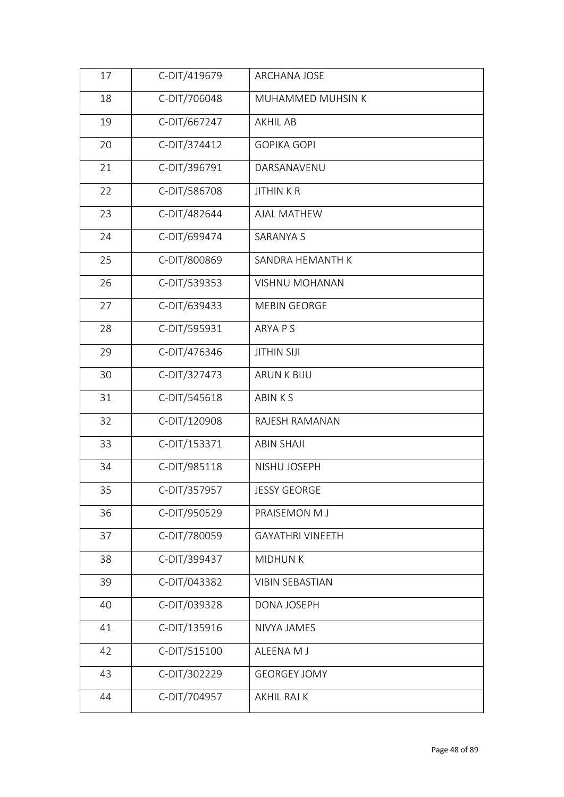| 17 | C-DIT/419679 | ARCHANA JOSE            |
|----|--------------|-------------------------|
| 18 | C-DIT/706048 | MUHAMMED MUHSIN K       |
| 19 | C-DIT/667247 | <b>AKHIL AB</b>         |
| 20 | C-DIT/374412 | <b>GOPIKA GOPI</b>      |
| 21 | C-DIT/396791 | DARSANAVENU             |
| 22 | C-DIT/586708 | <b>JITHINKR</b>         |
| 23 | C-DIT/482644 | <b>AJAL MATHEW</b>      |
| 24 | C-DIT/699474 | SARANYA S               |
| 25 | C-DIT/800869 | SANDRA HEMANTH K        |
| 26 | C-DIT/539353 | <b>VISHNU MOHANAN</b>   |
| 27 | C-DIT/639433 | <b>MEBIN GEORGE</b>     |
| 28 | C-DIT/595931 | <b>ARYA P S</b>         |
| 29 | C-DIT/476346 | <b>JITHIN SIJI</b>      |
| 30 | C-DIT/327473 | <b>ARUN K BIJU</b>      |
| 31 | C-DIT/545618 | <b>ABINKS</b>           |
| 32 | C-DIT/120908 | RAJESH RAMANAN          |
| 33 | C-DIT/153371 | <b>ABIN SHAJI</b>       |
| 34 | C-DIT/985118 | NISHU JOSEPH            |
| 35 | C-DIT/357957 | JESSY GEORGE            |
| 36 | C-DIT/950529 | PRAISEMON M J           |
| 37 | C-DIT/780059 | <b>GAYATHRI VINEETH</b> |
| 38 | C-DIT/399437 | <b>MIDHUNK</b>          |
| 39 | C-DIT/043382 | <b>VIBIN SEBASTIAN</b>  |
| 40 | C-DIT/039328 | DONA JOSEPH             |
| 41 | C-DIT/135916 | NIVYA JAMES             |
| 42 | C-DIT/515100 | ALEENA M J              |
| 43 | C-DIT/302229 | <b>GEORGEY JOMY</b>     |
| 44 | C-DIT/704957 | AKHIL RAJ K             |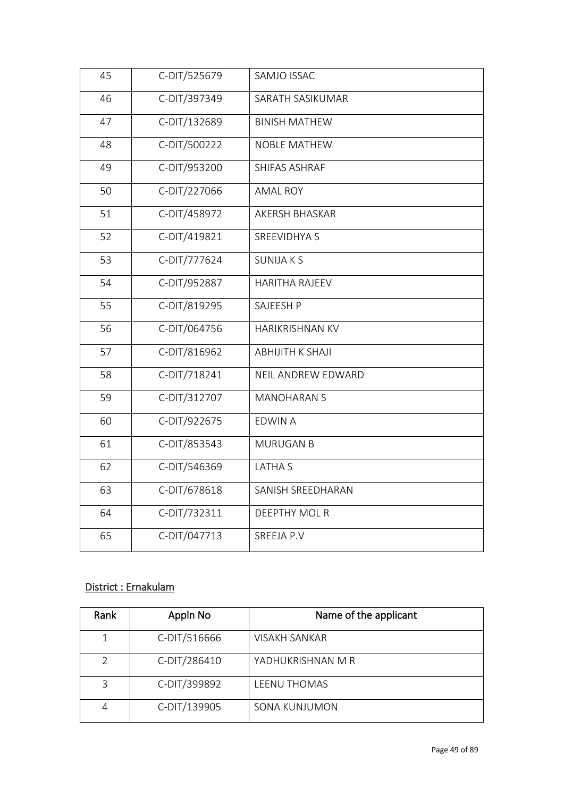| 45 | C-DIT/525679 | SAMJO ISSAC             |
|----|--------------|-------------------------|
| 46 | C-DIT/397349 | SARATH SASIKUMAR        |
| 47 | C-DIT/132689 | <b>BINISH MATHEW</b>    |
| 48 | C-DIT/500222 | <b>NOBLE MATHEW</b>     |
| 49 | C-DIT/953200 | SHIFAS ASHRAF           |
| 50 | C-DIT/227066 | <b>AMAL ROY</b>         |
| 51 | C-DIT/458972 | AKERSH BHASKAR          |
| 52 | C-DIT/419821 | <b>SREEVIDHYA S</b>     |
| 53 | C-DIT/777624 | <b>SUNIJAKS</b>         |
| 54 | C-DIT/952887 | <b>HARITHA RAJEEV</b>   |
| 55 | C-DIT/819295 | SAJEESH P               |
| 56 | C-DIT/064756 | HARIKRISHNAN KV         |
| 57 | C-DIT/816962 | <b>ABHIJITH K SHAJI</b> |
| 58 | C-DIT/718241 | NEIL ANDREW EDWARD      |
| 59 | C-DIT/312707 | <b>MANOHARAN S</b>      |
| 60 | C-DIT/922675 | <b>EDWIN A</b>          |
| 61 | C-DIT/853543 | <b>MURUGAN B</b>        |
| 62 | C-DIT/546369 | <b>LATHAS</b>           |
| 63 | C-DIT/678618 | SANISH SREEDHARAN       |
| 64 | C-DIT/732311 | DEEPTHY MOL R           |
| 65 | C-DIT/047713 | SREEJA P.V              |

### District : Ernakulam

| Rank | Appln No     | Name of the applicant |
|------|--------------|-----------------------|
|      | C-DIT/516666 | VISAKH SANKAR         |
| つ    | C-DIT/286410 | YADHUKRISHNAN M R     |
| 3    | C-DIT/399892 | LEENU THOMAS          |
|      | C-DIT/139905 | SONA KUNJUMON         |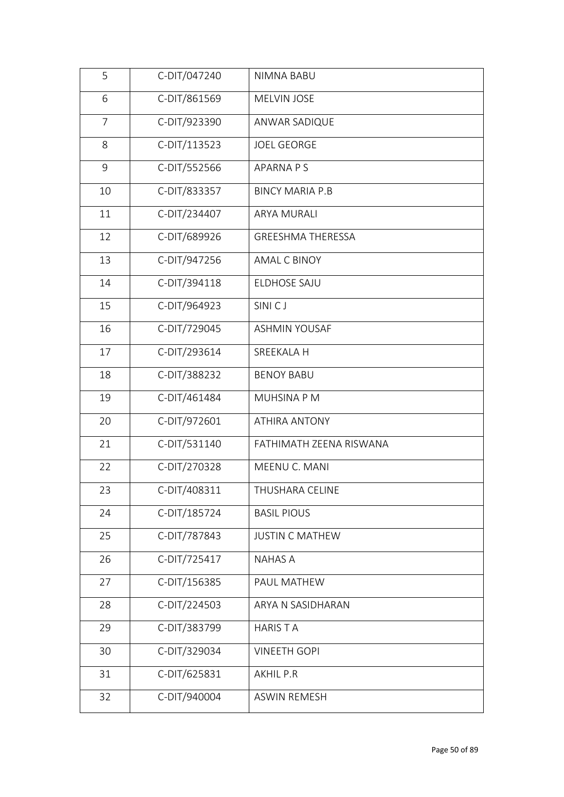| 5              | C-DIT/047240 | NIMNA BABU               |
|----------------|--------------|--------------------------|
| 6              | C-DIT/861569 | MELVIN JOSE              |
| $\overline{7}$ | C-DIT/923390 | ANWAR SADIQUE            |
| 8              | C-DIT/113523 | <b>JOEL GEORGE</b>       |
| 9              | C-DIT/552566 | APARNA P S               |
| 10             | C-DIT/833357 | <b>BINCY MARIA P.B</b>   |
| 11             | C-DIT/234407 | <b>ARYA MURALI</b>       |
| 12             | C-DIT/689926 | <b>GREESHMA THERESSA</b> |
| 13             | C-DIT/947256 | <b>AMAL C BINOY</b>      |
| 14             | C-DIT/394118 | ELDHOSE SAJU             |
| 15             | C-DIT/964923 | SINI <sub>CJ</sub>       |
| 16             | C-DIT/729045 | <b>ASHMIN YOUSAF</b>     |
| 17             | C-DIT/293614 | SREEKALA H               |
| 18             | C-DIT/388232 | <b>BENOY BABU</b>        |
| 19             | C-DIT/461484 | MUHSINA P M              |
| 20             | C-DIT/972601 | <b>ATHIRA ANTONY</b>     |
| 21             | C-DIT/531140 | FATHIMATH ZEENA RISWANA  |
| 22             | C-DIT/270328 | MEENU C. MANI            |
| 23             | C-DIT/408311 | THUSHARA CELINE          |
| 24             | C-DIT/185724 | <b>BASIL PIOUS</b>       |
| 25             | C-DIT/787843 | <b>JUSTIN C MATHEW</b>   |
| 26             | C-DIT/725417 | <b>NAHAS A</b>           |
| 27             | C-DIT/156385 | PAUL MATHEW              |
| 28             | C-DIT/224503 | ARYA N SASIDHARAN        |
| 29             | C-DIT/383799 | <b>HARISTA</b>           |
| 30             | C-DIT/329034 | <b>VINEETH GOPI</b>      |
| 31             | C-DIT/625831 | <b>AKHIL P.R</b>         |
| 32             | C-DIT/940004 | <b>ASWIN REMESH</b>      |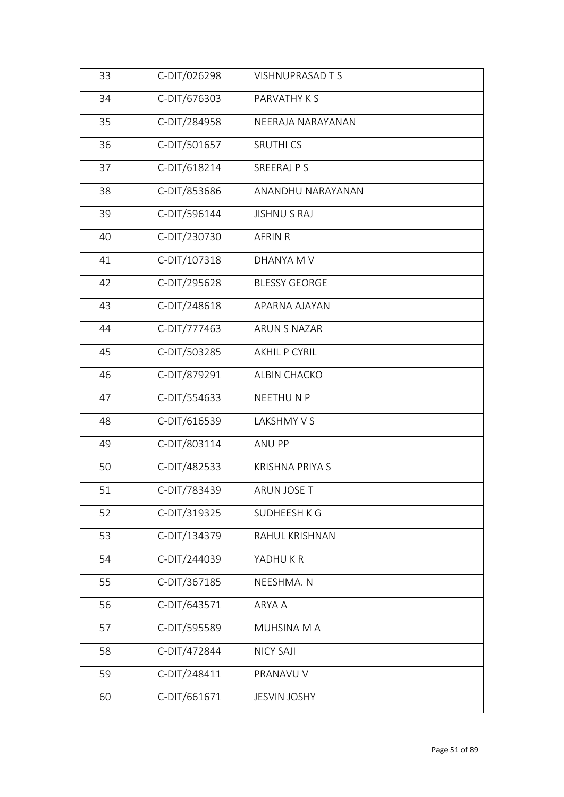| 33 | C-DIT/026298 | <b>VISHNUPRASAD T S</b> |
|----|--------------|-------------------------|
| 34 | C-DIT/676303 | PARVATHY K S            |
| 35 | C-DIT/284958 | NEERAJA NARAYANAN       |
| 36 | C-DIT/501657 | <b>SRUTHICS</b>         |
| 37 | C-DIT/618214 | SREERAJ P S             |
| 38 | C-DIT/853686 | ANANDHU NARAYANAN       |
| 39 | C-DIT/596144 | <b>JISHNU S RAJ</b>     |
| 40 | C-DIT/230730 | <b>AFRIN R</b>          |
| 41 | C-DIT/107318 | DHANYA M V              |
| 42 | C-DIT/295628 | <b>BLESSY GEORGE</b>    |
| 43 | C-DIT/248618 | APARNA AJAYAN           |
| 44 | C-DIT/777463 | ARUN S NAZAR            |
| 45 | C-DIT/503285 | <b>AKHIL P CYRIL</b>    |
| 46 | C-DIT/879291 | ALBIN CHACKO            |
| 47 | C-DIT/554633 | NEETHUNP                |
| 48 | C-DIT/616539 | LAKSHMY V S             |
| 49 | C-DIT/803114 | ANU PP                  |
| 50 | C-DIT/482533 | <b>KRISHNA PRIYA S</b>  |
| 51 | C-DIT/783439 | ARUN JOSE T             |
| 52 | C-DIT/319325 | SUDHEESH K G            |
| 53 | C-DIT/134379 | RAHUL KRISHNAN          |
| 54 | C-DIT/244039 | YADHUKR                 |
| 55 | C-DIT/367185 | NEESHMA. N              |
| 56 | C-DIT/643571 | ARYA A                  |
| 57 | C-DIT/595589 | MUHSINA M A             |
| 58 | C-DIT/472844 | <b>NICY SAJI</b>        |
| 59 | C-DIT/248411 | PRANAVU V               |
| 60 | C-DIT/661671 | <b>JESVIN JOSHY</b>     |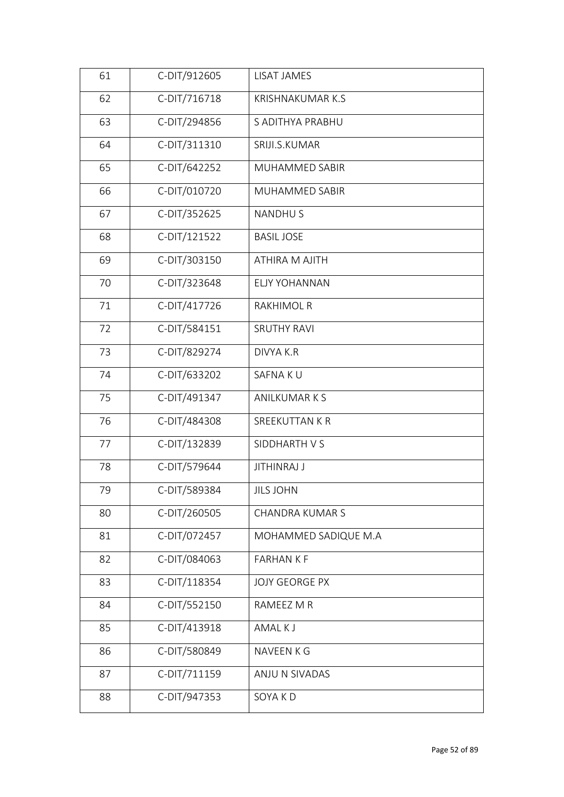| 61 | C-DIT/912605 | LISAT JAMES             |
|----|--------------|-------------------------|
| 62 | C-DIT/716718 | <b>KRISHNAKUMAR K.S</b> |
| 63 | C-DIT/294856 | S ADITHYA PRABHU        |
| 64 | C-DIT/311310 | SRIJI.S.KUMAR           |
| 65 | C-DIT/642252 | MUHAMMED SABIR          |
| 66 | C-DIT/010720 | MUHAMMED SABIR          |
| 67 | C-DIT/352625 | <b>NANDHUS</b>          |
| 68 | C-DIT/121522 | <b>BASIL JOSE</b>       |
| 69 | C-DIT/303150 | <b>ATHIRA M AJITH</b>   |
| 70 | C-DIT/323648 | <b>ELJY YOHANNAN</b>    |
| 71 | C-DIT/417726 | <b>RAKHIMOL R</b>       |
| 72 | C-DIT/584151 | <b>SRUTHY RAVI</b>      |
| 73 | C-DIT/829274 | DIVYA K.R               |
| 74 | C-DIT/633202 | SAFNA KU                |
| 75 | C-DIT/491347 | <b>ANILKUMARKS</b>      |
| 76 | C-DIT/484308 | SREEKUTTAN K R          |
| 77 | C-DIT/132839 | SIDDHARTH V S           |
| 78 | C-DIT/579644 | <b>JITHINRAJ J</b>      |
| 79 | C-DIT/589384 | JILS JOHN               |
| 80 | C-DIT/260505 | <b>CHANDRA KUMAR S</b>  |
| 81 | C-DIT/072457 | MOHAMMED SADIQUE M.A    |
| 82 | C-DIT/084063 | <b>FARHANKF</b>         |
| 83 | C-DIT/118354 | <b>JOJY GEORGE PX</b>   |
| 84 | C-DIT/552150 | RAMEEZ M R              |
| 85 | C-DIT/413918 | AMAL K J                |
| 86 | C-DIT/580849 | NAVEEN K G              |
| 87 | C-DIT/711159 | ANJU N SIVADAS          |
| 88 | C-DIT/947353 | SOYA KD                 |
|    |              |                         |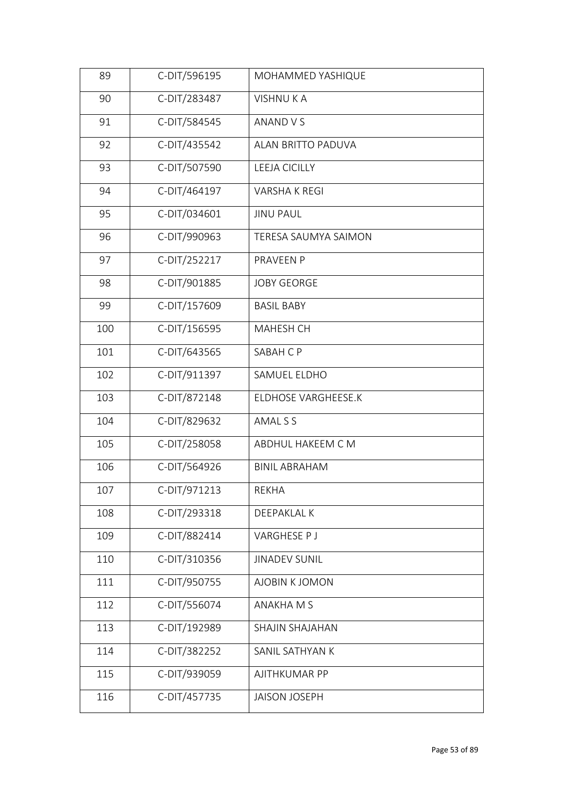| C-DIT/283487<br>90<br><b>VISHNUKA</b>       |  |
|---------------------------------------------|--|
|                                             |  |
| 91<br>C-DIT/584545<br>ANAND V S             |  |
| 92<br>C-DIT/435542<br>ALAN BRITTO PADUVA    |  |
| C-DIT/507590<br>93<br>LEEJA CICILLY         |  |
| C-DIT/464197<br>94<br><b>VARSHAKREGI</b>    |  |
| C-DIT/034601<br>95<br><b>JINU PAUL</b>      |  |
| C-DIT/990963<br>96<br>TERESA SAUMYA SAIMON  |  |
| C-DIT/252217<br>97<br>PRAVEEN P             |  |
| 98<br>C-DIT/901885<br><b>JOBY GEORGE</b>    |  |
| C-DIT/157609<br>99<br><b>BASIL BABY</b>     |  |
| C-DIT/156595<br>100<br>MAHESH CH            |  |
| 101<br>C-DIT/643565<br>SABAH C P            |  |
| C-DIT/911397<br>102<br>SAMUEL ELDHO         |  |
| 103<br>C-DIT/872148<br>ELDHOSE VARGHEESE.K  |  |
| 104<br>C-DIT/829632<br>AMAL S S             |  |
| 105<br>C-DIT/258058<br>ABDHUL HAKEEM C M    |  |
| 106<br>C-DIT/564926<br><b>BINIL ABRAHAM</b> |  |
| C-DIT/971213<br>107<br>REKHA                |  |
| C-DIT/293318<br>108<br>DEEPAKLAL K          |  |
| C-DIT/882414<br>109<br>VARGHESE P J         |  |
| C-DIT/310356<br>110<br><b>JINADEV SUNIL</b> |  |
| C-DIT/950755<br>111<br>AJOBIN K JOMON       |  |
| C-DIT/556074<br>112<br>ANAKHA M S           |  |
| 113<br>C-DIT/192989<br>SHAJIN SHAJAHAN      |  |
| C-DIT/382252<br>114<br>SANIL SATHYAN K      |  |
| 115<br>C-DIT/939059<br>AJITHKUMAR PP        |  |
| C-DIT/457735<br>116<br><b>JAISON JOSEPH</b> |  |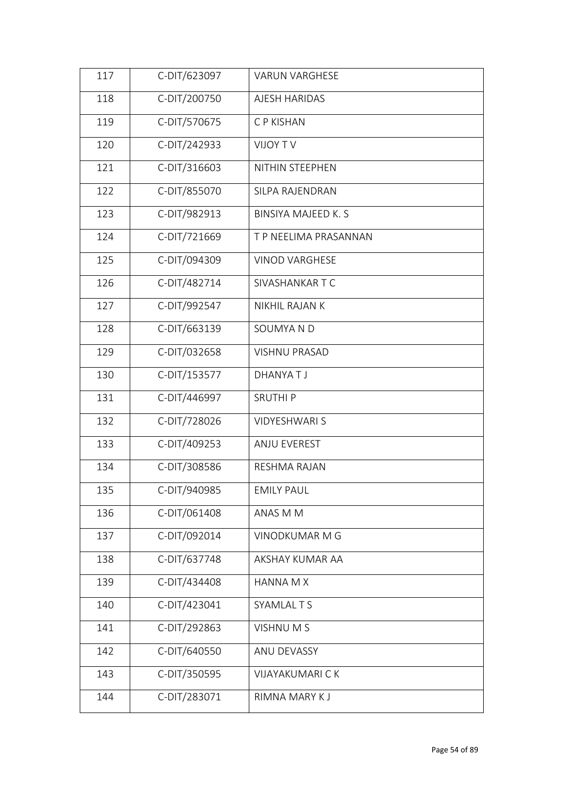| 117 | C-DIT/623097 | <b>VARUN VARGHESE</b>      |  |
|-----|--------------|----------------------------|--|
| 118 | C-DIT/200750 | AJESH HARIDAS              |  |
| 119 | C-DIT/570675 | C P KISHAN                 |  |
| 120 | C-DIT/242933 | VIJOY TV                   |  |
| 121 | C-DIT/316603 | NITHIN STEEPHEN            |  |
| 122 | C-DIT/855070 | SILPA RAJENDRAN            |  |
| 123 | C-DIT/982913 | <b>BINSIYA MAJEED K. S</b> |  |
| 124 | C-DIT/721669 | T P NEELIMA PRASANNAN      |  |
| 125 | C-DIT/094309 | <b>VINOD VARGHESE</b>      |  |
| 126 | C-DIT/482714 | SIVASHANKAR T C            |  |
| 127 | C-DIT/992547 | NIKHIL RAJAN K             |  |
| 128 | C-DIT/663139 | SOUMYA N D                 |  |
| 129 | C-DIT/032658 | <b>VISHNU PRASAD</b>       |  |
| 130 | C-DIT/153577 | DHANYATJ                   |  |
| 131 | C-DIT/446997 | <b>SRUTHIP</b>             |  |
| 132 | C-DIT/728026 | <b>VIDYESHWARI S</b>       |  |
| 133 | C-DIT/409253 | ANJU EVEREST               |  |
| 134 | C-DIT/308586 | RESHMA RAJAN               |  |
| 135 | C-DIT/940985 | <b>EMILY PAUL</b>          |  |
| 136 | C-DIT/061408 | ANAS M M                   |  |
| 137 | C-DIT/092014 | VINODKUMAR M G             |  |
| 138 | C-DIT/637748 | AKSHAY KUMAR AA            |  |
| 139 | C-DIT/434408 | <b>HANNA M X</b>           |  |
| 140 | C-DIT/423041 | <b>SYAMLAL T S</b>         |  |
| 141 | C-DIT/292863 | VISHNUM S                  |  |
| 142 | C-DIT/640550 | ANU DEVASSY                |  |
| 143 | C-DIT/350595 | <b>VIJAYAKUMARI CK</b>     |  |
| 144 | C-DIT/283071 | RIMNA MARY K J             |  |
|     |              |                            |  |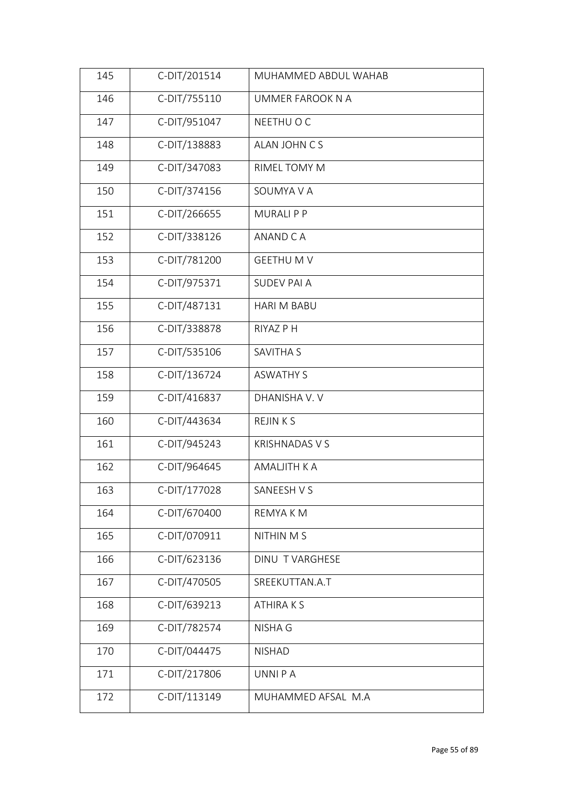| 145 | C-DIT/201514 | MUHAMMED ABDUL WAHAB  |
|-----|--------------|-----------------------|
| 146 | C-DIT/755110 | UMMER FAROOK N A      |
| 147 | C-DIT/951047 | NEETHU O C            |
| 148 | C-DIT/138883 | ALAN JOHN CS          |
| 149 | C-DIT/347083 | RIMEL TOMY M          |
| 150 | C-DIT/374156 | SOUMYA V A            |
| 151 | C-DIT/266655 | <b>MURALIPP</b>       |
| 152 | C-DIT/338126 | ANAND C A             |
| 153 | C-DIT/781200 | <b>GEETHUMV</b>       |
| 154 | C-DIT/975371 | <b>SUDEV PAI A</b>    |
| 155 | C-DIT/487131 | <b>HARI M BABU</b>    |
| 156 | C-DIT/338878 | RIYAZ P H             |
| 157 | C-DIT/535106 | <b>SAVITHA S</b>      |
| 158 | C-DIT/136724 | <b>ASWATHY S</b>      |
| 159 | C-DIT/416837 | DHANISHA V. V         |
| 160 | C-DIT/443634 | <b>REJINKS</b>        |
| 161 | C-DIT/945243 | <b>KRISHNADAS V S</b> |
| 162 | C-DIT/964645 | AMALJITH K A          |
| 163 | C-DIT/177028 | SANEESH V S           |
| 164 | C-DIT/670400 | REMYA K M             |
| 165 | C-DIT/070911 | NITHIN M S            |
| 166 | C-DIT/623136 | DINU TVARGHESE        |
| 167 | C-DIT/470505 | SREEKUTTAN.A.T        |
| 168 | C-DIT/639213 | <b>ATHIRAKS</b>       |
| 169 | C-DIT/782574 | <b>NISHA G</b>        |
| 170 | C-DIT/044475 | <b>NISHAD</b>         |
| 171 | C-DIT/217806 | UNNI P A              |
| 172 | C-DIT/113149 | MUHAMMED AFSAL M.A    |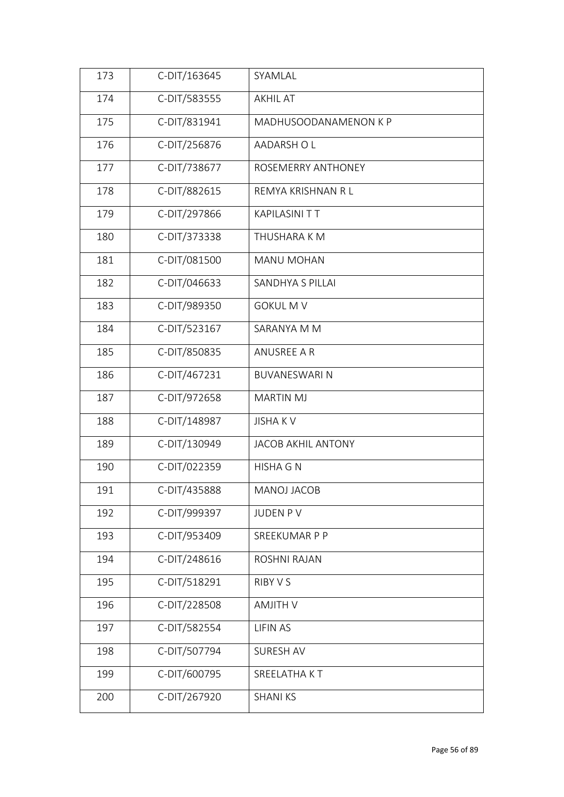| 173 | C-DIT/163645 | SYAMLAL                   |
|-----|--------------|---------------------------|
| 174 | C-DIT/583555 | <b>AKHIL AT</b>           |
| 175 | C-DIT/831941 | MADHUSOODANAMENON K P     |
| 176 | C-DIT/256876 | AADARSH O L               |
| 177 | C-DIT/738677 | ROSEMERRY ANTHONEY        |
| 178 | C-DIT/882615 | REMYA KRISHNAN R L        |
| 179 | C-DIT/297866 | <b>KAPILASINI TT</b>      |
| 180 | C-DIT/373338 | THUSHARA K M              |
| 181 | C-DIT/081500 | <b>MANU MOHAN</b>         |
| 182 | C-DIT/046633 | SANDHYA S PILLAI          |
| 183 | C-DIT/989350 | <b>GOKUL M V</b>          |
| 184 | C-DIT/523167 | SARANYA M M               |
| 185 | C-DIT/850835 | <b>ANUSREE A R</b>        |
| 186 | C-DIT/467231 | <b>BUVANESWARI N</b>      |
| 187 | C-DIT/972658 | <b>MARTIN MJ</b>          |
| 188 | C-DIT/148987 | <b>JISHAKV</b>            |
| 189 | C-DIT/130949 | <b>JACOB AKHIL ANTONY</b> |
| 190 | C-DIT/022359 | <b>HISHA G N</b>          |
| 191 | C-DIT/435888 | MANOJ JACOB               |
| 192 | C-DIT/999397 | JUDEN PV                  |
| 193 | C-DIT/953409 | SREEKUMAR P P             |
| 194 | C-DIT/248616 | ROSHNI RAJAN              |
| 195 | C-DIT/518291 | RIBY V S                  |
| 196 | C-DIT/228508 | <b>AMJITH V</b>           |
| 197 | C-DIT/582554 | <b>LIFIN AS</b>           |
| 198 | C-DIT/507794 | SURESH AV                 |
| 199 | C-DIT/600795 | SREELATHA KT              |
| 200 | C-DIT/267920 | <b>SHANI KS</b>           |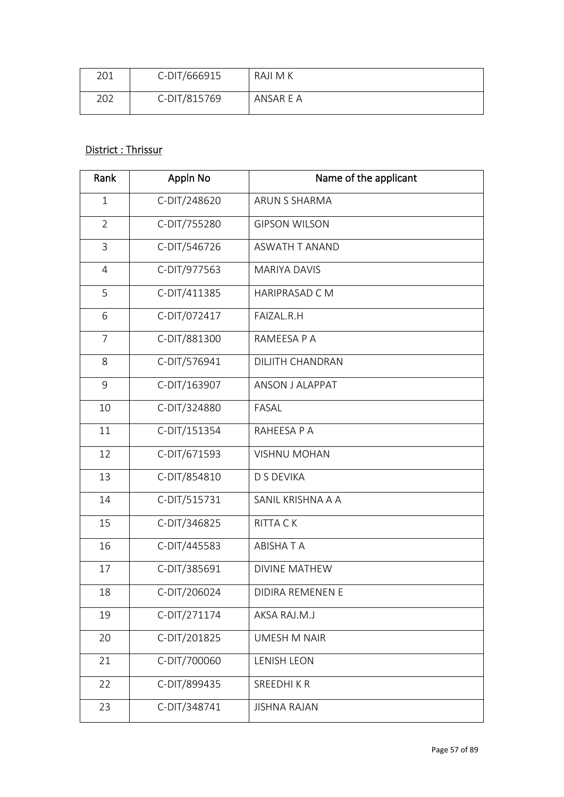| 201 | C-DIT/666915 | RAJI M K  |
|-----|--------------|-----------|
| 202 | C-DIT/815769 | ANSAR E A |

### District : Thrissur

| Rank           | Appln No     | Name of the applicant   |  |
|----------------|--------------|-------------------------|--|
| $\mathbf{1}$   | C-DIT/248620 | ARUN S SHARMA           |  |
| $\overline{2}$ | C-DIT/755280 | <b>GIPSON WILSON</b>    |  |
| $\overline{3}$ | C-DIT/546726 | ASWATH T ANAND          |  |
| $\overline{4}$ | C-DIT/977563 | <b>MARIYA DAVIS</b>     |  |
| 5              | C-DIT/411385 | <b>HARIPRASAD CM</b>    |  |
| 6              | C-DIT/072417 | FAIZAL.R.H              |  |
| $\overline{7}$ | C-DIT/881300 | RAMEESA P A             |  |
| 8              | C-DIT/576941 | <b>DILJITH CHANDRAN</b> |  |
| 9              | C-DIT/163907 | ANSON J ALAPPAT         |  |
| 10             | C-DIT/324880 | FASAL                   |  |
| 11             | C-DIT/151354 | RAHEESA P A             |  |
| 12             | C-DIT/671593 | <b>VISHNU MOHAN</b>     |  |
| 13             | C-DIT/854810 | <b>D S DEVIKA</b>       |  |
| 14             | C-DIT/515731 | SANIL KRISHNA A A       |  |
| 15             | C-DIT/346825 | <b>RITTA CK</b>         |  |
| 16             | C-DIT/445583 | <b>ABISHATA</b>         |  |
| 17             | C-DIT/385691 | <b>DIVINE MATHEW</b>    |  |
| 18             | C-DIT/206024 | DIDIRA REMENEN E        |  |
| 19             | C-DIT/271174 | AKSA RAJ.M.J            |  |
| 20             | C-DIT/201825 | <b>UMESH M NAIR</b>     |  |
| 21             | C-DIT/700060 | <b>LENISH LEON</b>      |  |
| 22             | C-DIT/899435 | SREEDHIKR               |  |
| 23             | C-DIT/348741 | <b>JISHNA RAJAN</b>     |  |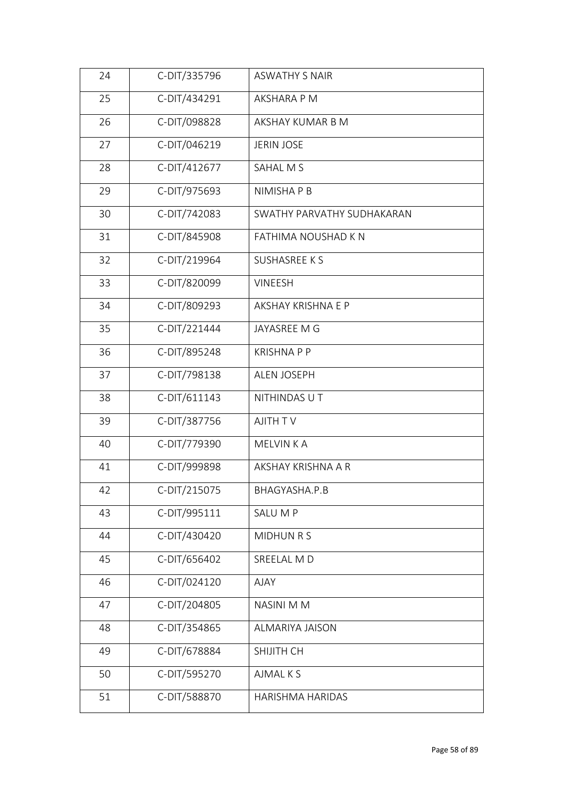| 24 | C-DIT/335796 | <b>ASWATHY S NAIR</b>      |  |
|----|--------------|----------------------------|--|
| 25 | C-DIT/434291 | AKSHARA P M                |  |
| 26 | C-DIT/098828 | AKSHAY KUMAR B M           |  |
| 27 | C-DIT/046219 | <b>JERIN JOSE</b>          |  |
| 28 | C-DIT/412677 | SAHAL M S                  |  |
| 29 | C-DIT/975693 | NIMISHA P B                |  |
| 30 | C-DIT/742083 | SWATHY PARVATHY SUDHAKARAN |  |
| 31 | C-DIT/845908 | FATHIMA NOUSHAD K N        |  |
| 32 | C-DIT/219964 | <b>SUSHASREE KS</b>        |  |
| 33 | C-DIT/820099 | <b>VINEESH</b>             |  |
| 34 | C-DIT/809293 | AKSHAY KRISHNA E P         |  |
| 35 | C-DIT/221444 | JAYASREE M G               |  |
| 36 | C-DIT/895248 | <b>KRISHNAPP</b>           |  |
| 37 | C-DIT/798138 | <b>ALEN JOSEPH</b>         |  |
| 38 | C-DIT/611143 | NITHINDAS U T              |  |
| 39 | C-DIT/387756 | AJITH TV                   |  |
| 40 | C-DIT/779390 | MELVIN K A                 |  |
| 41 | C-DIT/999898 | AKSHAY KRISHNA A R         |  |
| 42 | C-DIT/215075 | BHAGYASHA.P.B              |  |
| 43 | C-DIT/995111 | SALU M P                   |  |
| 44 | C-DIT/430420 | MIDHUN R S                 |  |
| 45 | C-DIT/656402 | SREELAL MD                 |  |
| 46 | C-DIT/024120 | <b>AJAY</b>                |  |
| 47 | C-DIT/204805 | NASINI M M                 |  |
| 48 | C-DIT/354865 | <b>ALMARIYA JAISON</b>     |  |
| 49 | C-DIT/678884 | SHIJITH CH                 |  |
| 50 | C-DIT/595270 | AJMAL K S                  |  |
| 51 | C-DIT/588870 | HARISHMA HARIDAS           |  |
|    |              |                            |  |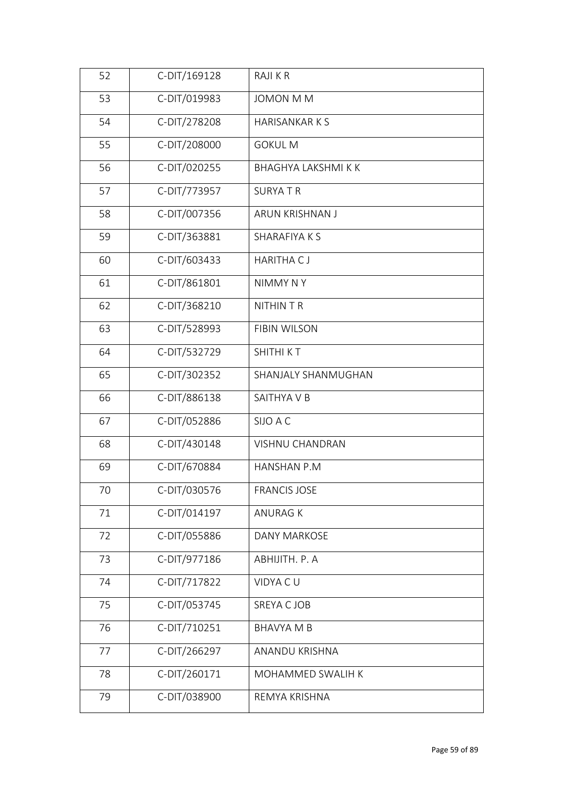| 52 | C-DIT/169128 | RAJI K R                   |
|----|--------------|----------------------------|
| 53 | C-DIT/019983 | <b>JOMON M M</b>           |
| 54 | C-DIT/278208 | <b>HARISANKARKS</b>        |
| 55 | C-DIT/208000 | <b>GOKUL M</b>             |
| 56 | C-DIT/020255 | <b>BHAGHYA LAKSHMI K K</b> |
| 57 | C-DIT/773957 | <b>SURYATR</b>             |
| 58 | C-DIT/007356 | ARUN KRISHNAN J            |
| 59 | C-DIT/363881 | SHARAFIYA K S              |
| 60 | C-DIT/603433 | <b>HARITHA CJ</b>          |
| 61 | C-DIT/861801 | NIMMY NY                   |
| 62 | C-DIT/368210 | <b>NITHIN T R</b>          |
| 63 | C-DIT/528993 | <b>FIBIN WILSON</b>        |
| 64 | C-DIT/532729 | SHITHI KT                  |
| 65 | C-DIT/302352 | SHANJALY SHANMUGHAN        |
| 66 | C-DIT/886138 | SAITHYA V B                |
| 67 | C-DIT/052886 | SIJO A C                   |
| 68 | C-DIT/430148 | VISHNU CHANDRAN            |
| 69 | C-DIT/670884 | <b>HANSHAN P.M</b>         |
| 70 | C-DIT/030576 | <b>FRANCIS JOSE</b>        |
| 71 | C-DIT/014197 | <b>ANURAG K</b>            |
| 72 | C-DIT/055886 | <b>DANY MARKOSE</b>        |
| 73 | C-DIT/977186 | ABHIJITH. P. A             |
| 74 | C-DIT/717822 | VIDYA CU                   |
| 75 | C-DIT/053745 | SREYA C JOB                |
| 76 | C-DIT/710251 | <b>BHAVYA M B</b>          |
| 77 | C-DIT/266297 | ANANDU KRISHNA             |
| 78 | C-DIT/260171 | MOHAMMED SWALIH K          |
| 79 | C-DIT/038900 | REMYA KRISHNA              |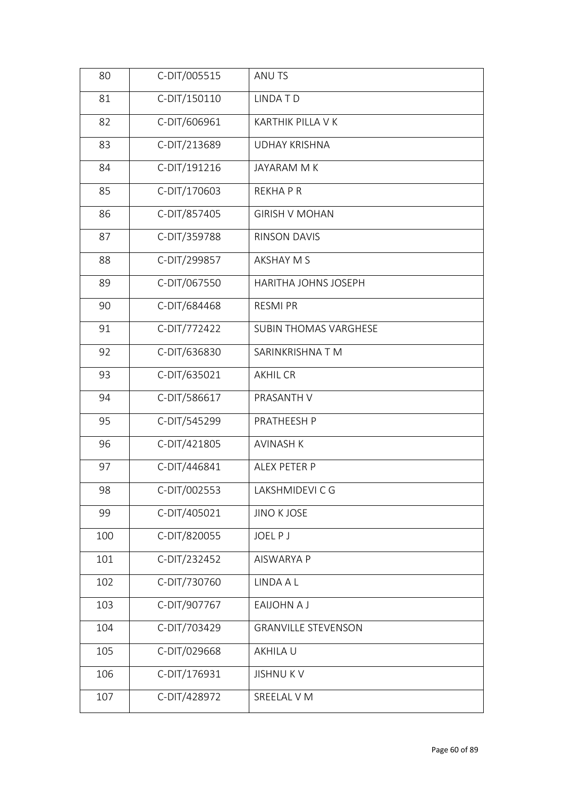| C-DIT/150110<br>LINDA T D<br>81<br>C-DIT/606961<br>82<br>KARTHIK PILLA V K<br>C-DIT/213689<br>83<br><b>UDHAY KRISHNA</b><br>C-DIT/191216<br>84<br>JAYARAM M K<br>C-DIT/170603<br>85<br><b>REKHAPR</b><br>C-DIT/857405<br>86<br><b>GIRISH V MOHAN</b><br>C-DIT/359788<br>87<br><b>RINSON DAVIS</b><br>C-DIT/299857<br>88<br><b>AKSHAY M S</b><br>C-DIT/067550<br>89<br>HARITHA JOHNS JOSEPH<br>C-DIT/684468<br>90<br><b>RESMI PR</b><br>C-DIT/772422<br>91<br><b>SUBIN THOMAS VARGHESE</b><br>C-DIT/636830<br>92<br>SARINKRISHNA TM<br>C-DIT/635021<br>93<br><b>AKHIL CR</b><br>94<br>C-DIT/586617<br>PRASANTH V<br>C-DIT/545299<br>95<br>PRATHEESH P<br>96<br>C-DIT/421805<br><b>AVINASH K</b><br>97<br>C-DIT/446841<br>ALEX PETER P<br>C-DIT/002553<br>98<br>LAKSHMIDEVI C G<br>C-DIT/405021<br><b>JINO K JOSE</b><br>99<br>C-DIT/820055<br>100<br><b>JOELPJ</b><br>C-DIT/232452<br>101<br><b>AISWARYA P</b><br>C-DIT/730760<br>102<br>LINDA A L<br>C-DIT/907767<br>103<br>EAIJOHN A J<br>104<br>C-DIT/703429<br><b>GRANVILLE STEVENSON</b><br>105<br>C-DIT/029668<br>AKHILA U<br>C-DIT/176931<br>106<br><b>JISHNUKV</b> | 80  | C-DIT/005515 | ANU TS      |  |
|---------------------------------------------------------------------------------------------------------------------------------------------------------------------------------------------------------------------------------------------------------------------------------------------------------------------------------------------------------------------------------------------------------------------------------------------------------------------------------------------------------------------------------------------------------------------------------------------------------------------------------------------------------------------------------------------------------------------------------------------------------------------------------------------------------------------------------------------------------------------------------------------------------------------------------------------------------------------------------------------------------------------------------------------------------------------------------------------------------------------------|-----|--------------|-------------|--|
|                                                                                                                                                                                                                                                                                                                                                                                                                                                                                                                                                                                                                                                                                                                                                                                                                                                                                                                                                                                                                                                                                                                           |     |              |             |  |
|                                                                                                                                                                                                                                                                                                                                                                                                                                                                                                                                                                                                                                                                                                                                                                                                                                                                                                                                                                                                                                                                                                                           |     |              |             |  |
|                                                                                                                                                                                                                                                                                                                                                                                                                                                                                                                                                                                                                                                                                                                                                                                                                                                                                                                                                                                                                                                                                                                           |     |              |             |  |
|                                                                                                                                                                                                                                                                                                                                                                                                                                                                                                                                                                                                                                                                                                                                                                                                                                                                                                                                                                                                                                                                                                                           |     |              |             |  |
|                                                                                                                                                                                                                                                                                                                                                                                                                                                                                                                                                                                                                                                                                                                                                                                                                                                                                                                                                                                                                                                                                                                           |     |              |             |  |
|                                                                                                                                                                                                                                                                                                                                                                                                                                                                                                                                                                                                                                                                                                                                                                                                                                                                                                                                                                                                                                                                                                                           |     |              |             |  |
|                                                                                                                                                                                                                                                                                                                                                                                                                                                                                                                                                                                                                                                                                                                                                                                                                                                                                                                                                                                                                                                                                                                           |     |              |             |  |
|                                                                                                                                                                                                                                                                                                                                                                                                                                                                                                                                                                                                                                                                                                                                                                                                                                                                                                                                                                                                                                                                                                                           |     |              |             |  |
|                                                                                                                                                                                                                                                                                                                                                                                                                                                                                                                                                                                                                                                                                                                                                                                                                                                                                                                                                                                                                                                                                                                           |     |              |             |  |
|                                                                                                                                                                                                                                                                                                                                                                                                                                                                                                                                                                                                                                                                                                                                                                                                                                                                                                                                                                                                                                                                                                                           |     |              |             |  |
|                                                                                                                                                                                                                                                                                                                                                                                                                                                                                                                                                                                                                                                                                                                                                                                                                                                                                                                                                                                                                                                                                                                           |     |              |             |  |
|                                                                                                                                                                                                                                                                                                                                                                                                                                                                                                                                                                                                                                                                                                                                                                                                                                                                                                                                                                                                                                                                                                                           |     |              |             |  |
|                                                                                                                                                                                                                                                                                                                                                                                                                                                                                                                                                                                                                                                                                                                                                                                                                                                                                                                                                                                                                                                                                                                           |     |              |             |  |
|                                                                                                                                                                                                                                                                                                                                                                                                                                                                                                                                                                                                                                                                                                                                                                                                                                                                                                                                                                                                                                                                                                                           |     |              |             |  |
|                                                                                                                                                                                                                                                                                                                                                                                                                                                                                                                                                                                                                                                                                                                                                                                                                                                                                                                                                                                                                                                                                                                           |     |              |             |  |
|                                                                                                                                                                                                                                                                                                                                                                                                                                                                                                                                                                                                                                                                                                                                                                                                                                                                                                                                                                                                                                                                                                                           |     |              |             |  |
|                                                                                                                                                                                                                                                                                                                                                                                                                                                                                                                                                                                                                                                                                                                                                                                                                                                                                                                                                                                                                                                                                                                           |     |              |             |  |
|                                                                                                                                                                                                                                                                                                                                                                                                                                                                                                                                                                                                                                                                                                                                                                                                                                                                                                                                                                                                                                                                                                                           |     |              |             |  |
|                                                                                                                                                                                                                                                                                                                                                                                                                                                                                                                                                                                                                                                                                                                                                                                                                                                                                                                                                                                                                                                                                                                           |     |              |             |  |
|                                                                                                                                                                                                                                                                                                                                                                                                                                                                                                                                                                                                                                                                                                                                                                                                                                                                                                                                                                                                                                                                                                                           |     |              |             |  |
|                                                                                                                                                                                                                                                                                                                                                                                                                                                                                                                                                                                                                                                                                                                                                                                                                                                                                                                                                                                                                                                                                                                           |     |              |             |  |
|                                                                                                                                                                                                                                                                                                                                                                                                                                                                                                                                                                                                                                                                                                                                                                                                                                                                                                                                                                                                                                                                                                                           |     |              |             |  |
|                                                                                                                                                                                                                                                                                                                                                                                                                                                                                                                                                                                                                                                                                                                                                                                                                                                                                                                                                                                                                                                                                                                           |     |              |             |  |
|                                                                                                                                                                                                                                                                                                                                                                                                                                                                                                                                                                                                                                                                                                                                                                                                                                                                                                                                                                                                                                                                                                                           |     |              |             |  |
|                                                                                                                                                                                                                                                                                                                                                                                                                                                                                                                                                                                                                                                                                                                                                                                                                                                                                                                                                                                                                                                                                                                           |     |              |             |  |
|                                                                                                                                                                                                                                                                                                                                                                                                                                                                                                                                                                                                                                                                                                                                                                                                                                                                                                                                                                                                                                                                                                                           |     |              |             |  |
|                                                                                                                                                                                                                                                                                                                                                                                                                                                                                                                                                                                                                                                                                                                                                                                                                                                                                                                                                                                                                                                                                                                           | 107 | C-DIT/428972 | SREELAL V M |  |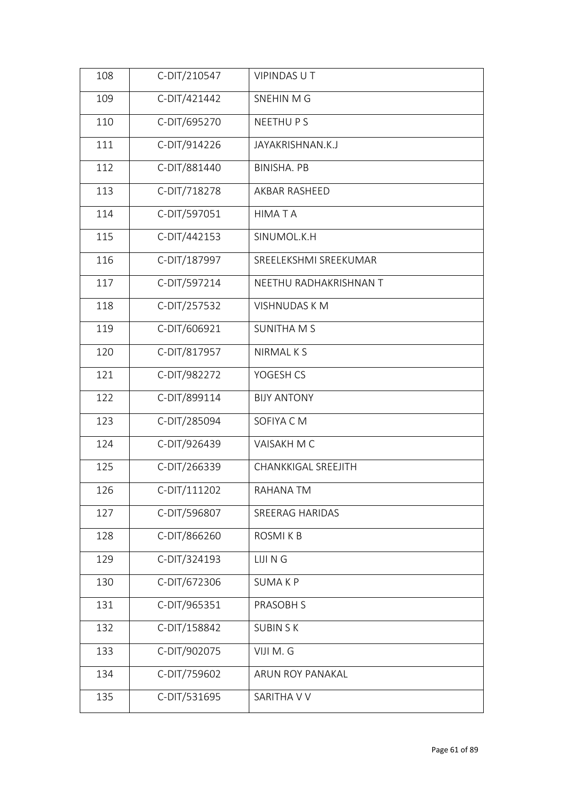| 108 | C-DIT/210547 | <b>VIPINDAS UT</b>         |
|-----|--------------|----------------------------|
| 109 | C-DIT/421442 | SNEHIN M G                 |
| 110 | C-DIT/695270 | NEETHU P S                 |
| 111 | C-DIT/914226 | JAYAKRISHNAN.K.J           |
| 112 | C-DIT/881440 | <b>BINISHA. PB</b>         |
| 113 | C-DIT/718278 | AKBAR RASHEED              |
| 114 | C-DIT/597051 | <b>HIMATA</b>              |
| 115 | C-DIT/442153 | SINUMOL.K.H                |
| 116 | C-DIT/187997 | SREELEKSHMI SREEKUMAR      |
| 117 | C-DIT/597214 | NEETHU RADHAKRISHNAN T     |
| 118 | C-DIT/257532 | <b>VISHNUDAS KM</b>        |
| 119 | C-DIT/606921 | <b>SUNITHA M S</b>         |
| 120 | C-DIT/817957 | NIRMAL K S                 |
| 121 | C-DIT/982272 | YOGESH CS                  |
| 122 | C-DIT/899114 | <b>BIJY ANTONY</b>         |
| 123 | C-DIT/285094 | SOFIYA CM                  |
| 124 | C-DIT/926439 | VAISAKH M C                |
| 125 | C-DIT/266339 | <b>CHANKKIGAL SREEJITH</b> |
| 126 | C-DIT/111202 | RAHANA TM                  |
| 127 | C-DIT/596807 | SREERAG HARIDAS            |
| 128 | C-DIT/866260 | ROSMI K B                  |
| 129 | C-DIT/324193 | LIJI N G                   |
| 130 | C-DIT/672306 | <b>SUMAKP</b>              |
| 131 | C-DIT/965351 | PRASOBH S                  |
| 132 | C-DIT/158842 | <b>SUBIN SK</b>            |
| 133 | C-DIT/902075 | VIJI M. G                  |
| 134 | C-DIT/759602 | ARUN ROY PANAKAL           |
| 135 | C-DIT/531695 | SARITHA V V                |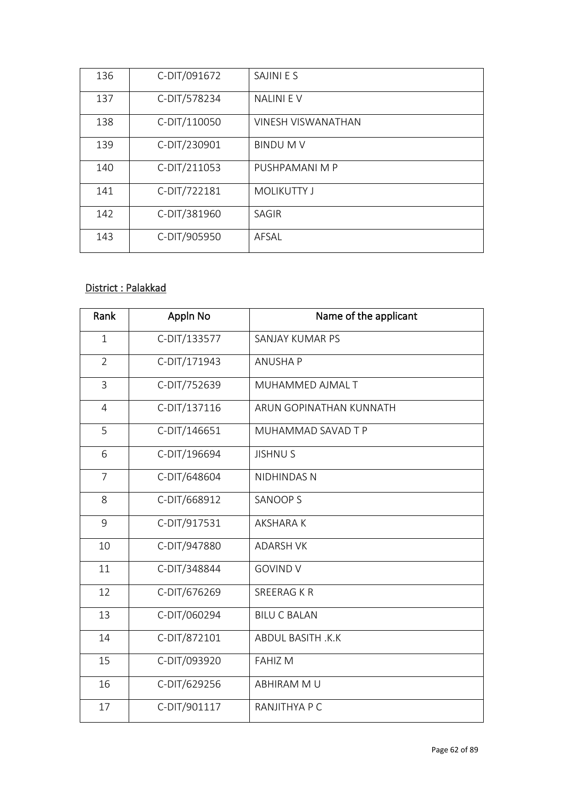| 136 | C-DIT/091672 | SAJINI E S                |
|-----|--------------|---------------------------|
| 137 | C-DIT/578234 | <b>NALINIEV</b>           |
| 138 | C-DIT/110050 | <b>VINESH VISWANATHAN</b> |
| 139 | C-DIT/230901 | <b>BINDUMV</b>            |
| 140 | C-DIT/211053 | PUSHPAMANI M P            |
| 141 | C-DIT/722181 | <b>MOLIKUTTY J</b>        |
| 142 | C-DIT/381960 | SAGIR                     |
| 143 | C-DIT/905950 | AFSAL                     |

# District : Palakkad

| Rank           | Appln No     | Name of the applicant     |
|----------------|--------------|---------------------------|
| $\mathbf{1}$   | C-DIT/133577 | SANJAY KUMAR PS           |
| $\overline{2}$ | C-DIT/171943 | <b>ANUSHAP</b>            |
| $\overline{3}$ | C-DIT/752639 | MUHAMMED AJMAL T          |
| $\overline{4}$ | C-DIT/137116 | ARUN GOPINATHAN KUNNATH   |
| 5              | C-DIT/146651 | MUHAMMAD SAVAD T P        |
| 6              | C-DIT/196694 | <b>JISHNUS</b>            |
| $\overline{7}$ | C-DIT/648604 | NIDHINDAS N               |
| 8              | C-DIT/668912 | <b>SANOOP S</b>           |
| 9              | C-DIT/917531 | <b>AKSHARAK</b>           |
| 10             | C-DIT/947880 | <b>ADARSH VK</b>          |
| 11             | C-DIT/348844 | <b>GOVIND V</b>           |
| 12             | C-DIT/676269 | <b>SREERAG K R</b>        |
| 13             | C-DIT/060294 | <b>BILU C BALAN</b>       |
| 14             | C-DIT/872101 | <b>ABDUL BASITH, K.K.</b> |
| 15             | C-DIT/093920 | <b>FAHIZ M</b>            |
| 16             | C-DIT/629256 | ABHIRAM MU                |
| 17             | C-DIT/901117 | RANJITHYA P C             |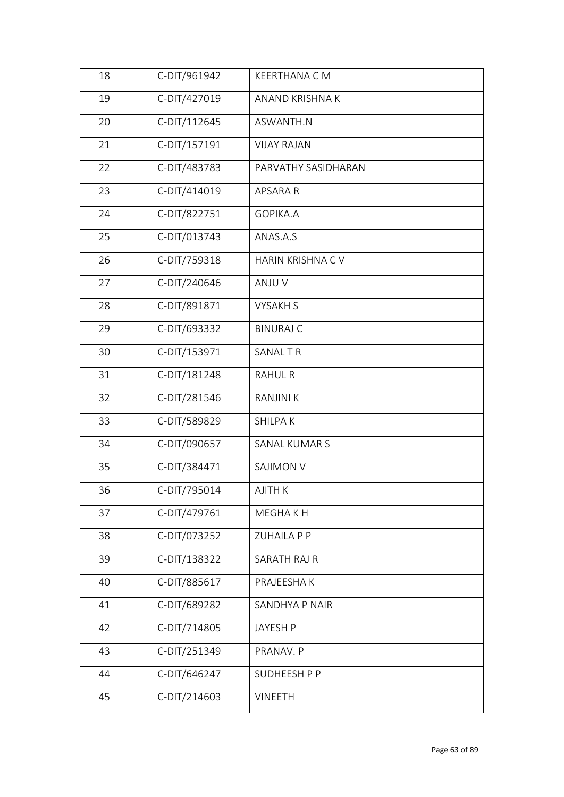| 18 | C-DIT/961942 | KEERTHANA C M           |
|----|--------------|-------------------------|
| 19 | C-DIT/427019 | ANAND KRISHNA K         |
| 20 | C-DIT/112645 | ASWANTH.N               |
| 21 | C-DIT/157191 | <b>VIJAY RAJAN</b>      |
| 22 | C-DIT/483783 | PARVATHY SASIDHARAN     |
| 23 | C-DIT/414019 | APSARA R                |
| 24 | C-DIT/822751 | GOPIKA.A                |
| 25 | C-DIT/013743 | ANAS.A.S                |
| 26 | C-DIT/759318 | <b>HARIN KRISHNA CV</b> |
| 27 | C-DIT/240646 | ANJU V                  |
| 28 | C-DIT/891871 | <b>VYSAKH S</b>         |
| 29 | C-DIT/693332 | <b>BINURAJ C</b>        |
| 30 | C-DIT/153971 | SANAL TR                |
| 31 | C-DIT/181248 | <b>RAHUL R</b>          |
| 32 | C-DIT/281546 | <b>RANJINI K</b>        |
| 33 | C-DIT/589829 | <b>SHILPAK</b>          |
| 34 | C-DIT/090657 | <b>SANAL KUMAR S</b>    |
| 35 | C-DIT/384471 | <b>SAJIMON V</b>        |
| 36 | C-DIT/795014 | AJITH K                 |
| 37 | C-DIT/479761 | MEGHA K H               |
| 38 | C-DIT/073252 | <b>ZUHAILA P P</b>      |
| 39 | C-DIT/138322 | SARATH RAJ R            |
| 40 | C-DIT/885617 | PRAJEESHA K             |
| 41 | C-DIT/689282 | SANDHYA P NAIR          |
| 42 | C-DIT/714805 | JAYESH P                |
| 43 | C-DIT/251349 | PRANAV. P               |
| 44 | C-DIT/646247 | SUDHEESH P P            |
| 45 | C-DIT/214603 | <b>VINEETH</b>          |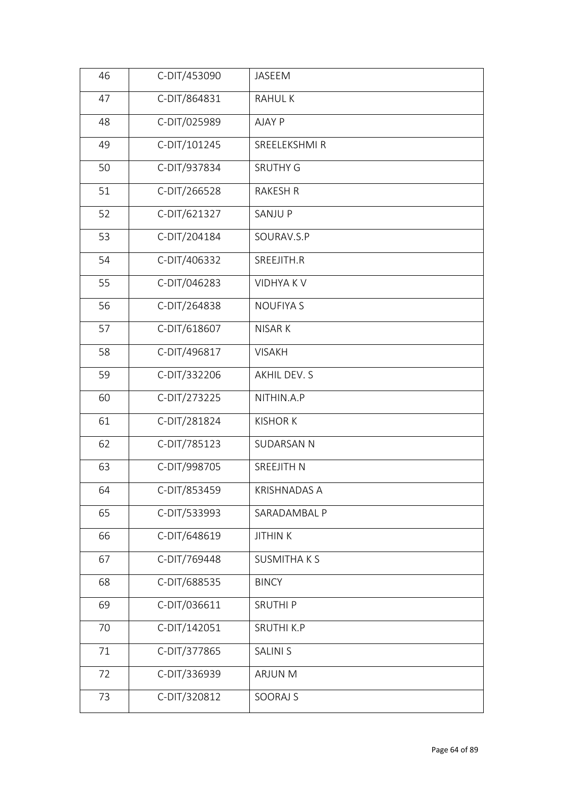| 46 | C-DIT/453090 | JASEEM              |
|----|--------------|---------------------|
| 47 | C-DIT/864831 | <b>RAHULK</b>       |
| 48 | C-DIT/025989 | AJAY P              |
| 49 | C-DIT/101245 | SREELEKSHMI R       |
| 50 | C-DIT/937834 | <b>SRUTHY G</b>     |
| 51 | C-DIT/266528 | <b>RAKESH R</b>     |
| 52 | C-DIT/621327 | <b>SANJUP</b>       |
| 53 | C-DIT/204184 | SOURAV.S.P          |
| 54 | C-DIT/406332 | SREEJITH.R          |
| 55 | C-DIT/046283 | <b>VIDHYAKV</b>     |
| 56 | C-DIT/264838 | <b>NOUFIYA S</b>    |
| 57 | C-DIT/618607 | NISAR K             |
| 58 | C-DIT/496817 | <b>VISAKH</b>       |
| 59 | C-DIT/332206 | AKHIL DEV. S        |
| 60 | C-DIT/273225 | NITHIN.A.P          |
| 61 | C-DIT/281824 | <b>KISHOR K</b>     |
| 62 | C-DIT/785123 | <b>SUDARSAN N</b>   |
| 63 | C-DIT/998705 | SREEJITH N          |
| 64 | C-DIT/853459 | <b>KRISHNADAS A</b> |
| 65 | C-DIT/533993 | SARADAMBAL P        |
| 66 | C-DIT/648619 | <b>JITHIN K</b>     |
| 67 | C-DIT/769448 | <b>SUSMITHAKS</b>   |
| 68 | C-DIT/688535 | <b>BINCY</b>        |
| 69 | C-DIT/036611 | <b>SRUTHIP</b>      |
| 70 | C-DIT/142051 | <b>SRUTHI K.P</b>   |
| 71 | C-DIT/377865 | <b>SALINI S</b>     |
| 72 | C-DIT/336939 | <b>ARJUN M</b>      |
| 73 | C-DIT/320812 | SOORAJ S            |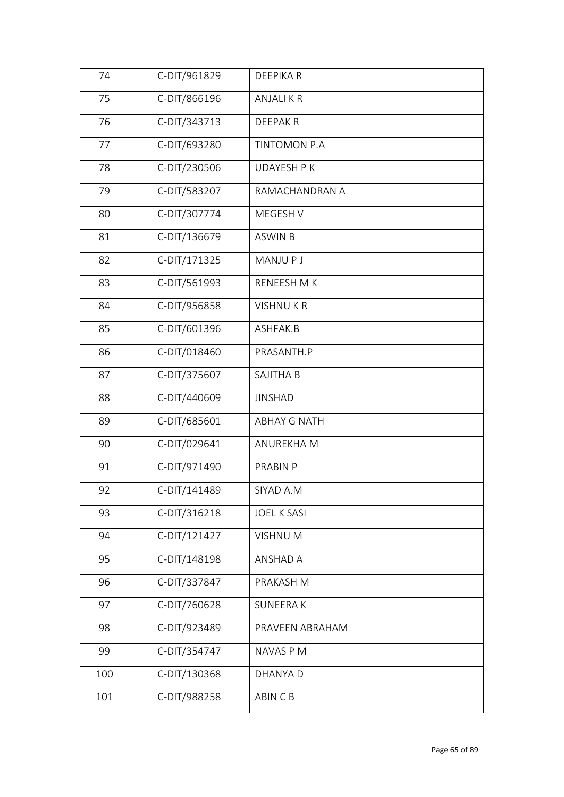| 74  | C-DIT/961829 | DEEPIKA R           |
|-----|--------------|---------------------|
| 75  | C-DIT/866196 | <b>ANJALIKR</b>     |
| 76  | C-DIT/343713 | <b>DEEPAKR</b>      |
| 77  | C-DIT/693280 | TINTOMON P.A        |
| 78  | C-DIT/230506 | <b>UDAYESH P K</b>  |
| 79  | C-DIT/583207 | RAMACHANDRAN A      |
| 80  | C-DIT/307774 | MEGESH V            |
| 81  | C-DIT/136679 | <b>ASWIN B</b>      |
| 82  | C-DIT/171325 | <b>MANJUPJ</b>      |
| 83  | C-DIT/561993 | RENEESH M K         |
| 84  | C-DIT/956858 | <b>VISHNUKR</b>     |
| 85  | C-DIT/601396 | ASHFAK.B            |
| 86  | C-DIT/018460 | PRASANTH.P          |
| 87  | C-DIT/375607 | SAJITHA B           |
| 88  | C-DIT/440609 | <b>JINSHAD</b>      |
| 89  | C-DIT/685601 | <b>ABHAY G NATH</b> |
| 90  | C-DIT/029641 | ANUREKHA M          |
| 91  | C-DIT/971490 | PRABIN P            |
| 92  | C-DIT/141489 | SIYAD A.M           |
| 93  | C-DIT/316218 | <b>JOEL K SASI</b>  |
| 94  | C-DIT/121427 | VISHNU M            |
| 95  | C-DIT/148198 | ANSHAD A            |
| 96  | C-DIT/337847 | PRAKASH M           |
| 97  | C-DIT/760628 | <b>SUNEERAK</b>     |
| 98  | C-DIT/923489 | PRAVEEN ABRAHAM     |
| 99  | C-DIT/354747 | NAVAS P M           |
| 100 | C-DIT/130368 | DHANYA D            |
| 101 | C-DIT/988258 | ABIN C B            |
|     |              |                     |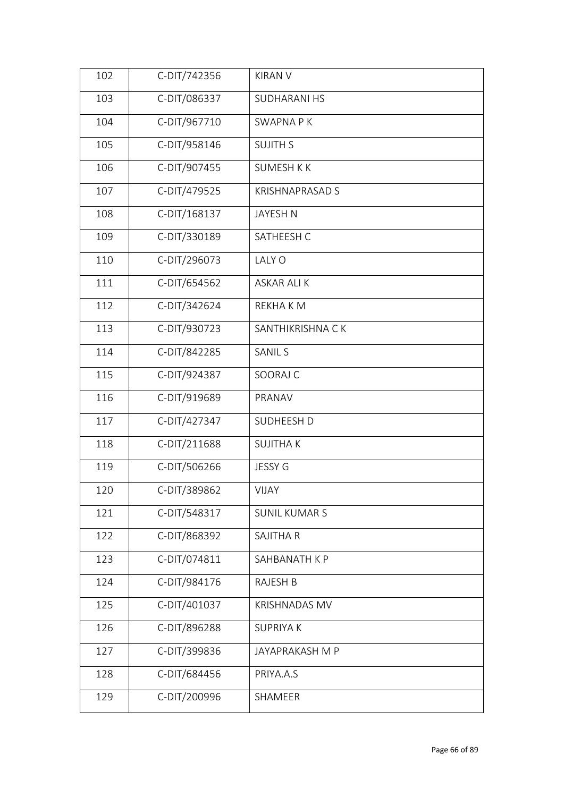| 102 | C-DIT/742356 | <b>KIRAN V</b>         |
|-----|--------------|------------------------|
| 103 | C-DIT/086337 | <b>SUDHARANI HS</b>    |
| 104 | C-DIT/967710 | <b>SWAPNA PK</b>       |
| 105 | C-DIT/958146 | <b>SUJITH S</b>        |
| 106 | C-DIT/907455 | <b>SUMESH K K</b>      |
| 107 | C-DIT/479525 | <b>KRISHNAPRASAD S</b> |
| 108 | C-DIT/168137 | <b>JAYESH N</b>        |
| 109 | C-DIT/330189 | SATHEESH C             |
| 110 | C-DIT/296073 | LALY O                 |
| 111 | C-DIT/654562 | <b>ASKAR ALI K</b>     |
| 112 | C-DIT/342624 | REKHA K M              |
| 113 | C-DIT/930723 | SANTHIKRISHNA CK       |
| 114 | C-DIT/842285 | <b>SANIL S</b>         |
| 115 | C-DIT/924387 | SOORAJ C               |
| 116 | C-DIT/919689 | PRANAV                 |
| 117 | C-DIT/427347 | SUDHEESH D             |
| 118 | C-DIT/211688 | <b>SUJITHAK</b>        |
| 119 | C-DIT/506266 | JESSY G                |
| 120 | C-DIT/389862 | <b>VIJAY</b>           |
| 121 | C-DIT/548317 | <b>SUNIL KUMAR S</b>   |
| 122 | C-DIT/868392 | SAJITHA R              |
| 123 | C-DIT/074811 | SAHBANATH K P          |
| 124 | C-DIT/984176 | RAJESH B               |
| 125 | C-DIT/401037 | <b>KRISHNADAS MV</b>   |
| 126 | C-DIT/896288 | <b>SUPRIYAK</b>        |
| 127 | C-DIT/399836 | JAYAPRAKASH M P        |
| 128 | C-DIT/684456 | PRIYA.A.S              |
| 129 | C-DIT/200996 | SHAMEER                |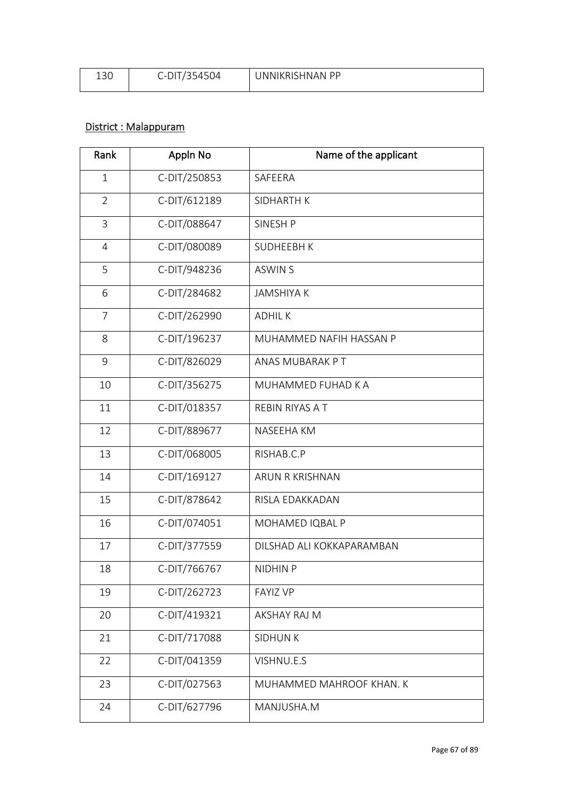| י ה<br>ISU | - -<br>~ ~ <sub>"</sub> | D D<br>. Ni<br>JNNIKRISHNA. |
|------------|-------------------------|-----------------------------|
|            |                         |                             |

# District : Malappuram

| Rank           | Appln No     | Name of the applicant     |  |
|----------------|--------------|---------------------------|--|
| $\mathbf{1}$   | C-DIT/250853 | SAFEERA                   |  |
| $\overline{2}$ | C-DIT/612189 | <b>SIDHARTH K</b>         |  |
| $\overline{3}$ | C-DIT/088647 | SINESH P                  |  |
| $\overline{4}$ | C-DIT/080089 | <b>SUDHEEBH K</b>         |  |
| 5              | C-DIT/948236 | <b>ASWIN S</b>            |  |
| 6              | C-DIT/284682 | <b>JAMSHIYA K</b>         |  |
| $\overline{7}$ | C-DIT/262990 | <b>ADHILK</b>             |  |
| 8              | C-DIT/196237 | MUHAMMED NAFIH HASSAN P   |  |
| 9              | C-DIT/826029 | ANAS MUBARAK PT           |  |
| 10             | C-DIT/356275 | MUHAMMED FUHAD K A        |  |
| 11             | C-DIT/018357 | REBIN RIYAS A T           |  |
| 12             | C-DIT/889677 | NASEEHA KM                |  |
| 13             | C-DIT/068005 | RISHAB.C.P                |  |
| 14             | C-DIT/169127 | ARUN R KRISHNAN           |  |
| 15             | C-DIT/878642 | RISLA EDAKKADAN           |  |
| 16             | C-DIT/074051 | MOHAMED IQBAL P           |  |
| 17             | C-DIT/377559 | DILSHAD ALI KOKKAPARAMBAN |  |
| 18             | C-DIT/766767 | NIDHIN P                  |  |
| 19             | C-DIT/262723 | <b>FAYIZ VP</b>           |  |
| 20             | C-DIT/419321 | AKSHAY RAJ M              |  |
| 21             | C-DIT/717088 | <b>SIDHUNK</b>            |  |
| 22             | C-DIT/041359 | VISHNU.E.S                |  |
| 23             | C-DIT/027563 | MUHAMMED MAHROOF KHAN. K  |  |
| 24             | C-DIT/627796 | MANJUSHA.M                |  |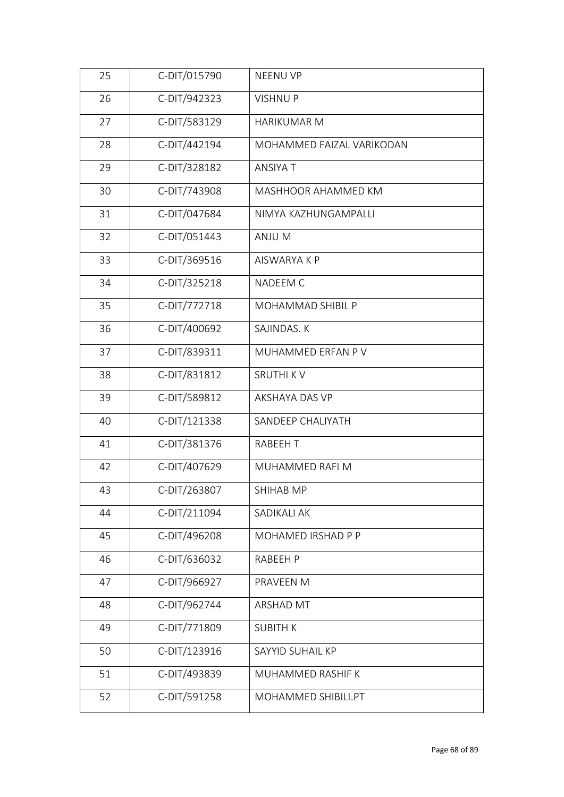| 26<br>C-DIT/942323<br><b>VISHNUP</b><br>C-DIT/583129<br>27<br>HARIKUMAR M<br>C-DIT/442194<br>28<br>MOHAMMED FAIZAL VARIKODAN<br>C-DIT/328182<br>ANSIYA T<br>29<br>C-DIT/743908<br>30<br>MASHHOOR AHAMMED KM<br>C-DIT/047684<br>31<br>NIMYA KAZHUNGAMPALLI |  |
|-----------------------------------------------------------------------------------------------------------------------------------------------------------------------------------------------------------------------------------------------------------|--|
|                                                                                                                                                                                                                                                           |  |
|                                                                                                                                                                                                                                                           |  |
|                                                                                                                                                                                                                                                           |  |
|                                                                                                                                                                                                                                                           |  |
|                                                                                                                                                                                                                                                           |  |
|                                                                                                                                                                                                                                                           |  |
| C-DIT/051443<br>32<br>ANJU M                                                                                                                                                                                                                              |  |
| C-DIT/369516<br>33<br>AISWARYA K P                                                                                                                                                                                                                        |  |
| C-DIT/325218<br>34<br>NADEEM C                                                                                                                                                                                                                            |  |
| C-DIT/772718<br>35<br>MOHAMMAD SHIBIL P                                                                                                                                                                                                                   |  |
| C-DIT/400692<br>36<br>SAJINDAS. K                                                                                                                                                                                                                         |  |
| C-DIT/839311<br>37<br>MUHAMMED ERFAN P V                                                                                                                                                                                                                  |  |
| C-DIT/831812<br><b>SRUTHI KV</b><br>38                                                                                                                                                                                                                    |  |
| C-DIT/589812<br>39<br>AKSHAYA DAS VP                                                                                                                                                                                                                      |  |
| C-DIT/121338<br>40<br>SANDEEP CHALIYATH                                                                                                                                                                                                                   |  |
| C-DIT/381376<br>41<br><b>RABEEHT</b>                                                                                                                                                                                                                      |  |
| C-DIT/407629<br>42<br>MUHAMMED RAFI M                                                                                                                                                                                                                     |  |
| C-DIT/263807<br>43<br>SHIHAB MP                                                                                                                                                                                                                           |  |
| C-DIT/211094<br>SADIKALI AK<br>44                                                                                                                                                                                                                         |  |
| C-DIT/496208<br>MOHAMED IRSHAD P P<br>45                                                                                                                                                                                                                  |  |
| C-DIT/636032<br>46<br>RABEEH P                                                                                                                                                                                                                            |  |
| C-DIT/966927<br>PRAVEEN M<br>47                                                                                                                                                                                                                           |  |
| C-DIT/962744<br>ARSHAD MT<br>48                                                                                                                                                                                                                           |  |
| C-DIT/771809<br>49<br><b>SUBITH K</b>                                                                                                                                                                                                                     |  |
| C-DIT/123916<br>50<br>SAYYID SUHAIL KP                                                                                                                                                                                                                    |  |
| C-DIT/493839<br>51<br>MUHAMMED RASHIF K                                                                                                                                                                                                                   |  |
| C-DIT/591258<br>52<br>MOHAMMED SHIBILI.PT                                                                                                                                                                                                                 |  |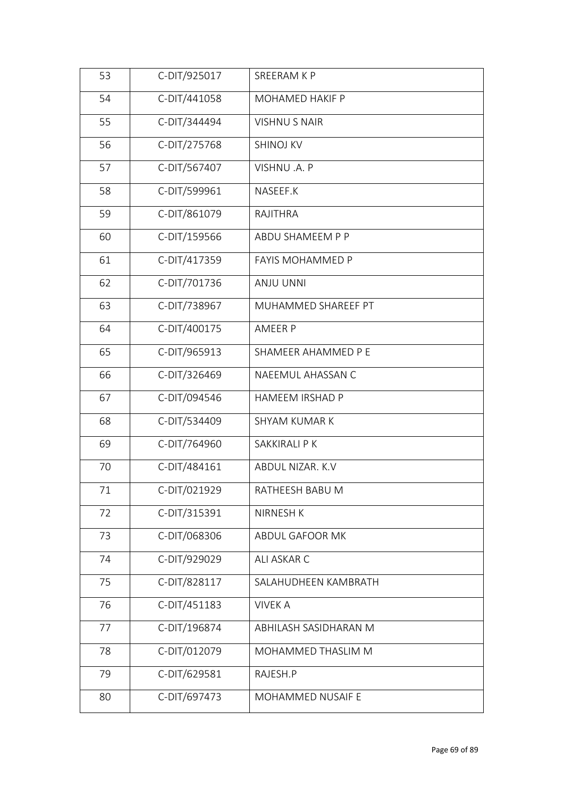| 53<br>C-DIT/925017<br>SREERAM K P           |  |
|---------------------------------------------|--|
| C-DIT/441058<br>54<br>MOHAMED HAKIF P       |  |
| C-DIT/344494<br>55<br><b>VISHNUS NAIR</b>   |  |
| 56<br>C-DIT/275768<br><b>SHINOJ KV</b>      |  |
| 57<br>C-DIT/567407<br>VISHNU .A. P          |  |
| 58<br>C-DIT/599961<br>NASEEF.K              |  |
| C-DIT/861079<br>59<br>RAJITHRA              |  |
| C-DIT/159566<br>60<br>ABDU SHAMEEM P P      |  |
| C-DIT/417359<br>61<br>FAYIS MOHAMMED P      |  |
| C-DIT/701736<br>62<br><b>ANJU UNNI</b>      |  |
| C-DIT/738967<br>63<br>MUHAMMED SHAREEF PT   |  |
| C-DIT/400175<br>64<br>AMEER P               |  |
| C-DIT/965913<br>65<br>SHAMEER AHAMMED P E   |  |
| C-DIT/326469<br>66<br>NAEEMUL AHASSAN C     |  |
| C-DIT/094546<br>67<br>HAMEEM IRSHAD P       |  |
| C-DIT/534409<br>68<br>SHYAM KUMAR K         |  |
| C-DIT/764960<br>69<br>SAKKIRALI P K         |  |
| C-DIT/484161<br>70<br>ABDUL NIZAR. K.V      |  |
| 71<br>C-DIT/021929<br>RATHEESH BABU M       |  |
| C-DIT/315391<br>72<br>NIRNESH K             |  |
| C-DIT/068306<br>73<br>ABDUL GAFOOR MK       |  |
| C-DIT/929029<br>74<br>ALI ASKAR C           |  |
| C-DIT/828117<br>75<br>SALAHUDHEEN KAMBRATH  |  |
| C-DIT/451183<br>76<br><b>VIVEK A</b>        |  |
| C-DIT/196874<br>77<br>ABHILASH SASIDHARAN M |  |
| C-DIT/012079<br>78<br>MOHAMMED THASLIM M    |  |
| C-DIT/629581<br>79<br>RAJESH.P              |  |
| C-DIT/697473<br>80<br>MOHAMMED NUSAIF E     |  |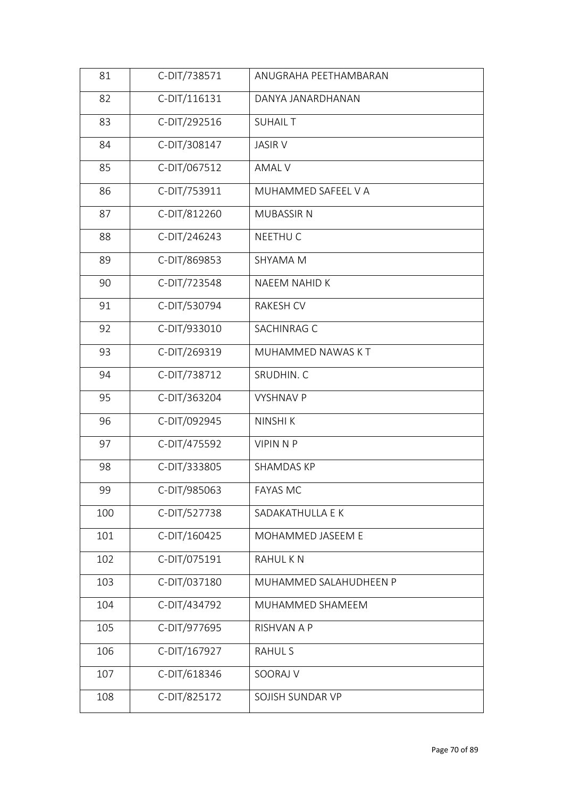| 81  | C-DIT/738571 | ANUGRAHA PEETHAMBARAN  |  |
|-----|--------------|------------------------|--|
| 82  | C-DIT/116131 | DANYA JANARDHANAN      |  |
| 83  | C-DIT/292516 | <b>SUHAIL T</b>        |  |
| 84  | C-DIT/308147 | <b>JASIR V</b>         |  |
| 85  | C-DIT/067512 | <b>AMAL V</b>          |  |
| 86  | C-DIT/753911 | MUHAMMED SAFEEL V A    |  |
| 87  | C-DIT/812260 | <b>MUBASSIR N</b>      |  |
| 88  | C-DIT/246243 | NEETHU C               |  |
| 89  | C-DIT/869853 | SHYAMA M               |  |
| 90  | C-DIT/723548 | NAEEM NAHID K          |  |
| 91  | C-DIT/530794 | RAKESH CV              |  |
| 92  | C-DIT/933010 | SACHINRAG C            |  |
| 93  | C-DIT/269319 | MUHAMMED NAWAS KT      |  |
| 94  | C-DIT/738712 | SRUDHIN. C             |  |
| 95  | C-DIT/363204 | <b>VYSHNAV P</b>       |  |
| 96  | C-DIT/092945 | NINSHI K               |  |
| 97  | C-DIT/475592 | <b>VIPIN N P</b>       |  |
| 98  | C-DIT/333805 | SHAMDAS KP             |  |
| 99  | C-DIT/985063 | <b>FAYAS MC</b>        |  |
| 100 | C-DIT/527738 | SADAKATHULLA E K       |  |
| 101 | C-DIT/160425 | MOHAMMED JASEEM E      |  |
| 102 | C-DIT/075191 | <b>RAHULKN</b>         |  |
| 103 | C-DIT/037180 | MUHAMMED SALAHUDHEEN P |  |
| 104 | C-DIT/434792 | MUHAMMED SHAMEEM       |  |
| 105 | C-DIT/977695 | RISHVAN A P            |  |
| 106 | C-DIT/167927 | <b>RAHUL S</b>         |  |
| 107 | C-DIT/618346 | SOORAJ V               |  |
| 108 | C-DIT/825172 | SOJISH SUNDAR VP       |  |
|     |              |                        |  |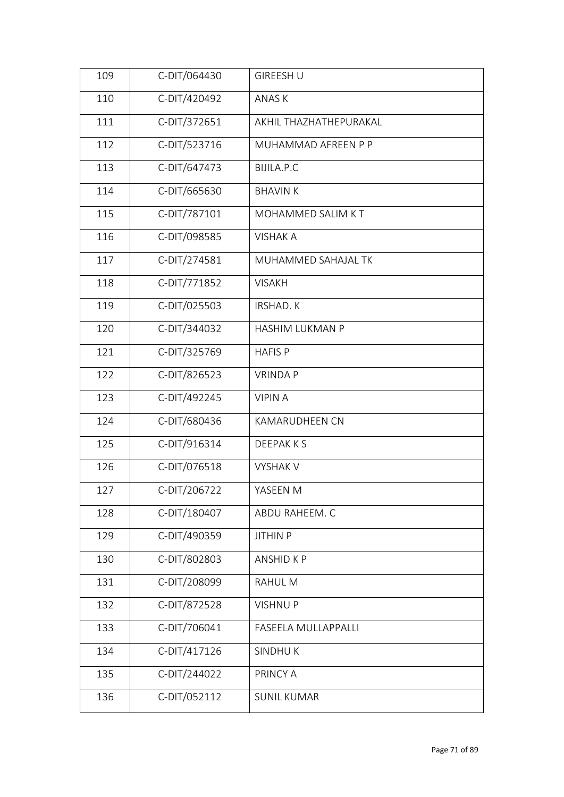| 109 | C-DIT/064430 | <b>GIREESH U</b>       |
|-----|--------------|------------------------|
| 110 | C-DIT/420492 | ANAS K                 |
| 111 | C-DIT/372651 | AKHIL THAZHATHEPURAKAL |
| 112 | C-DIT/523716 | MUHAMMAD AFREEN P P    |
| 113 | C-DIT/647473 | BIJILA.P.C             |
| 114 | C-DIT/665630 | <b>BHAVIN K</b>        |
| 115 | C-DIT/787101 | MOHAMMED SALIM KT      |
| 116 | C-DIT/098585 | <b>VISHAK A</b>        |
| 117 | C-DIT/274581 | MUHAMMED SAHAJAL TK    |
| 118 | C-DIT/771852 | <b>VISAKH</b>          |
| 119 | C-DIT/025503 | <b>IRSHAD. K</b>       |
| 120 | C-DIT/344032 | HASHIM LUKMAN P        |
| 121 | C-DIT/325769 | <b>HAFIS P</b>         |
| 122 | C-DIT/826523 | <b>VRINDAP</b>         |
| 123 | C-DIT/492245 | <b>VIPINA</b>          |
| 124 | C-DIT/680436 | <b>KAMARUDHEEN CN</b>  |
| 125 | C-DIT/916314 | DEEPAK K S             |
| 126 | C-DIT/076518 | <b>VYSHAK V</b>        |
| 127 | C-DIT/206722 | YASEEN M               |
| 128 | C-DIT/180407 | ABDU RAHEEM. C         |
| 129 | C-DIT/490359 | <b>JITHIN P</b>        |
| 130 | C-DIT/802803 | ANSHID K P             |
| 131 | C-DIT/208099 | RAHUL M                |
| 132 | C-DIT/872528 | <b>VISHNUP</b>         |
| 133 | C-DIT/706041 | FASEELA MULLAPPALLI    |
| 134 | C-DIT/417126 | <b>SINDHUK</b>         |
| 135 | C-DIT/244022 | PRINCY A               |
| 136 | C-DIT/052112 | <b>SUNIL KUMAR</b>     |
|     |              |                        |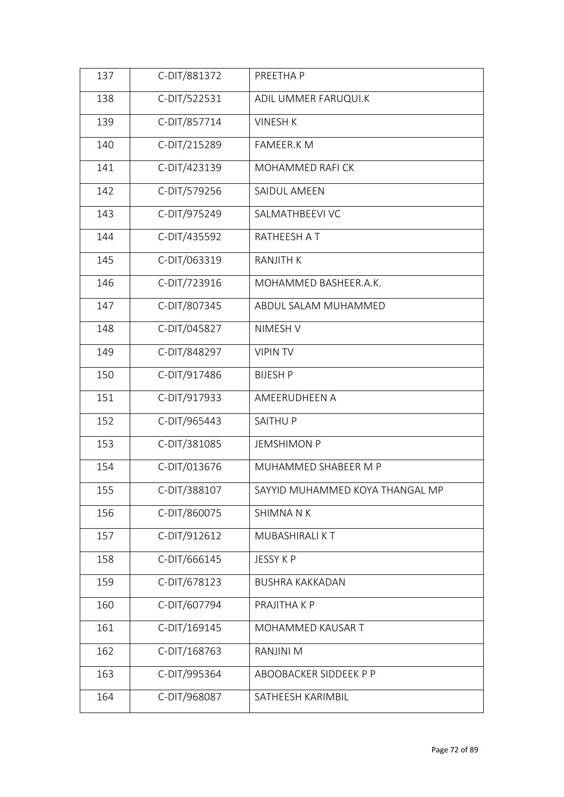| 137 | C-DIT/881372 | PREETHA P                       |
|-----|--------------|---------------------------------|
| 138 | C-DIT/522531 | ADIL UMMER FARUQUI.K            |
| 139 | C-DIT/857714 | <b>VINESH K</b>                 |
| 140 | C-DIT/215289 | FAMEER.K M                      |
| 141 | C-DIT/423139 | MOHAMMED RAFI CK                |
| 142 | C-DIT/579256 | SAIDUL AMEEN                    |
| 143 | C-DIT/975249 | SALMATHBEEVI VC                 |
| 144 | C-DIT/435592 | RATHEESH AT                     |
| 145 | C-DIT/063319 | <b>RANJITH K</b>                |
| 146 | C-DIT/723916 | MOHAMMED BASHEER.A.K.           |
| 147 | C-DIT/807345 | ABDUL SALAM MUHAMMED            |
| 148 | C-DIT/045827 | NIMESH V                        |
| 149 | C-DIT/848297 | <b>VIPIN TV</b>                 |
| 150 | C-DIT/917486 | <b>BIJESH P</b>                 |
| 151 | C-DIT/917933 | AMEERUDHEEN A                   |
| 152 | C-DIT/965443 | SAITHU P                        |
| 153 | C-DIT/381085 | <b>JEMSHIMON P</b>              |
| 154 | C-DIT/013676 | MUHAMMED SHABEER M P            |
| 155 | C-DIT/388107 | SAYYID MUHAMMED KOYA THANGAL MP |
| 156 | C-DIT/860075 | SHIMNA N K                      |
| 157 | C-DIT/912612 | MUBASHIRALI KT                  |
| 158 | C-DIT/666145 | JESSY K P                       |
| 159 | C-DIT/678123 | <b>BUSHRA KAKKADAN</b>          |
| 160 | C-DIT/607794 | PRAJITHA K P                    |
| 161 | C-DIT/169145 | MOHAMMED KAUSAR T               |
| 162 | C-DIT/168763 | RANJINI M                       |
| 163 | C-DIT/995364 | ABOOBACKER SIDDEEK P P          |
| 164 | C-DIT/968087 | SATHEESH KARIMBIL               |
|     |              |                                 |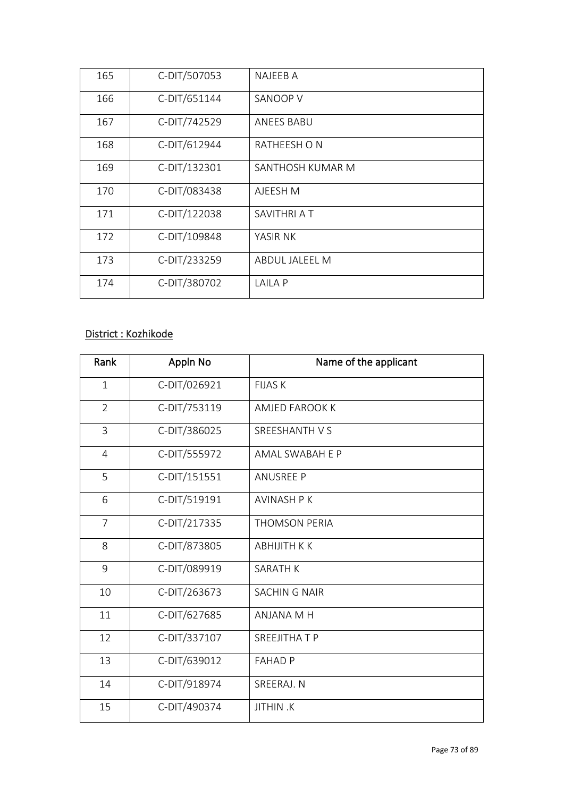| 165 | C-DIT/507053 | NAJEEB A         |  |
|-----|--------------|------------------|--|
| 166 | C-DIT/651144 | SANOOP V         |  |
| 167 | C-DIT/742529 | ANEES BABU       |  |
| 168 | C-DIT/612944 | RATHEESH ON      |  |
| 169 | C-DIT/132301 | SANTHOSH KUMAR M |  |
| 170 | C-DIT/083438 | AJEESH M         |  |
| 171 | C-DIT/122038 | SAVITHRI A T     |  |
| 172 | C-DIT/109848 | YASIR NK         |  |
| 173 | C-DIT/233259 | ABDUL JALEEL M   |  |
| 174 | C-DIT/380702 | <b>LAILA P</b>   |  |

## District : Kozhikode

| Rank           | Appln No     | Name of the applicant |
|----------------|--------------|-----------------------|
| $\mathbf{1}$   | C-DIT/026921 | <b>FIJAS K</b>        |
| $\overline{2}$ | C-DIT/753119 | AMJED FAROOK K        |
| 3              | C-DIT/386025 | SREESHANTH V S        |
| $\overline{4}$ | C-DIT/555972 | AMAL SWABAH E P       |
| 5              | C-DIT/151551 | <b>ANUSREE P</b>      |
| 6              | C-DIT/519191 | <b>AVINASH P K</b>    |
| $\overline{7}$ | C-DIT/217335 | <b>THOMSON PERIA</b>  |
| 8              | C-DIT/873805 | <b>ABHIJITH K K</b>   |
| 9              | C-DIT/089919 | <b>SARATH K</b>       |
| 10             | C-DIT/263673 | <b>SACHING NAIR</b>   |
| 11             | C-DIT/627685 | ANJANA M H            |
| 12             | C-DIT/337107 | SREEJITHA T P         |
| 13             | C-DIT/639012 | <b>FAHAD P</b>        |
| 14             | C-DIT/918974 | SREERAJ. N            |
| 15             | C-DIT/490374 | <b>JITHIN.K</b>       |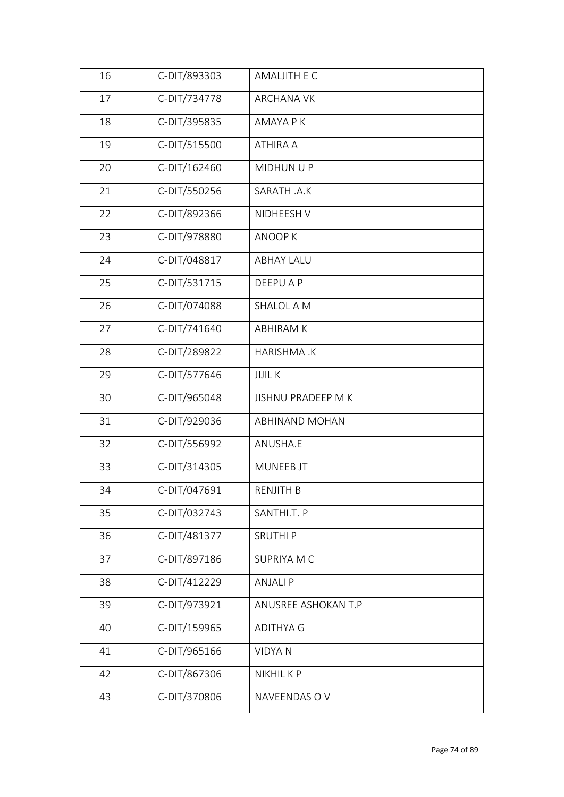| 16 | C-DIT/893303 | AMALJITH E C        |
|----|--------------|---------------------|
| 17 | C-DIT/734778 | <b>ARCHANA VK</b>   |
| 18 | C-DIT/395835 | AMAYA P K           |
| 19 | C-DIT/515500 | ATHIRA A            |
| 20 | C-DIT/162460 | MIDHUN U P          |
| 21 | C-DIT/550256 | SARATH .A.K         |
| 22 | C-DIT/892366 | NIDHEESH V          |
| 23 | C-DIT/978880 | ANOOP K             |
| 24 | C-DIT/048817 | <b>ABHAY LALU</b>   |
| 25 | C-DIT/531715 | <b>DEEPUAP</b>      |
| 26 | C-DIT/074088 | SHALOL A M          |
| 27 | C-DIT/741640 | <b>ABHIRAM K</b>    |
| 28 | C-DIT/289822 | HARISHMA.K          |
| 29 | C-DIT/577646 | <b>JIJIL K</b>      |
| 30 | C-DIT/965048 | JISHNU PRADEEP M K  |
| 31 | C-DIT/929036 | ABHINAND MOHAN      |
| 32 | C-DIT/556992 | ANUSHA.E            |
| 33 | C-DIT/314305 | MUNEEB JT           |
| 34 | C-DIT/047691 | RENJITH B           |
| 35 | C-DIT/032743 | SANTHI.T. P         |
| 36 | C-DIT/481377 | <b>SRUTHIP</b>      |
| 37 | C-DIT/897186 | SUPRIYA M C         |
| 38 | C-DIT/412229 | <b>ANJALIP</b>      |
| 39 | C-DIT/973921 | ANUSREE ASHOKAN T.P |
| 40 | C-DIT/159965 | <b>ADITHYA G</b>    |
| 41 | C-DIT/965166 | <b>VIDYAN</b>       |
| 42 | C-DIT/867306 | NIKHIL K P          |
| 43 | C-DIT/370806 | NAVEENDAS OV        |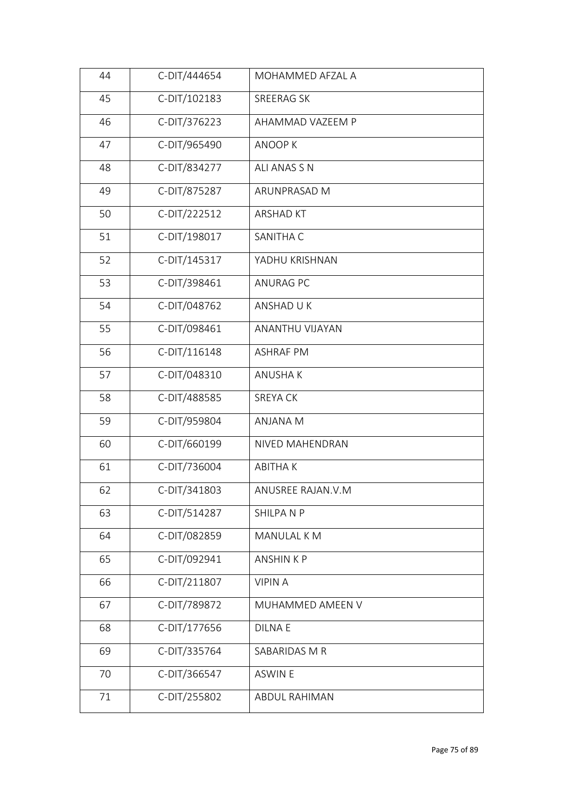| 44 | C-DIT/444654 | MOHAMMED AFZAL A     |  |
|----|--------------|----------------------|--|
| 45 | C-DIT/102183 | SREERAG SK           |  |
| 46 | C-DIT/376223 | AHAMMAD VAZEEM P     |  |
| 47 | C-DIT/965490 | <b>ANOOPK</b>        |  |
| 48 | C-DIT/834277 | ALI ANAS S N         |  |
| 49 | C-DIT/875287 | ARUNPRASAD M         |  |
| 50 | C-DIT/222512 | <b>ARSHAD KT</b>     |  |
| 51 | C-DIT/198017 | SANITHA C            |  |
| 52 | C-DIT/145317 | YADHU KRISHNAN       |  |
| 53 | C-DIT/398461 | <b>ANURAG PC</b>     |  |
| 54 | C-DIT/048762 | ANSHAD U K           |  |
| 55 | C-DIT/098461 | ANANTHU VIJAYAN      |  |
| 56 | C-DIT/116148 | <b>ASHRAF PM</b>     |  |
| 57 | C-DIT/048310 | <b>ANUSHAK</b>       |  |
| 58 | C-DIT/488585 | <b>SREYA CK</b>      |  |
| 59 | C-DIT/959804 | ANJANA M             |  |
| 60 | C-DIT/660199 | NIVED MAHENDRAN      |  |
| 61 | C-DIT/736004 | <b>ABITHAK</b>       |  |
| 62 | C-DIT/341803 | ANUSREE RAJAN.V.M    |  |
| 63 | C-DIT/514287 | SHILPANP             |  |
| 64 | C-DIT/082859 | MANULAL K M          |  |
| 65 | C-DIT/092941 | <b>ANSHINKP</b>      |  |
| 66 | C-DIT/211807 | <b>VIPINA</b>        |  |
| 67 | C-DIT/789872 | MUHAMMED AMEEN V     |  |
| 68 | C-DIT/177656 | <b>DILNAE</b>        |  |
| 69 | C-DIT/335764 | SABARIDAS M R        |  |
| 70 | C-DIT/366547 | <b>ASWIN E</b>       |  |
| 71 | C-DIT/255802 | <b>ABDUL RAHIMAN</b> |  |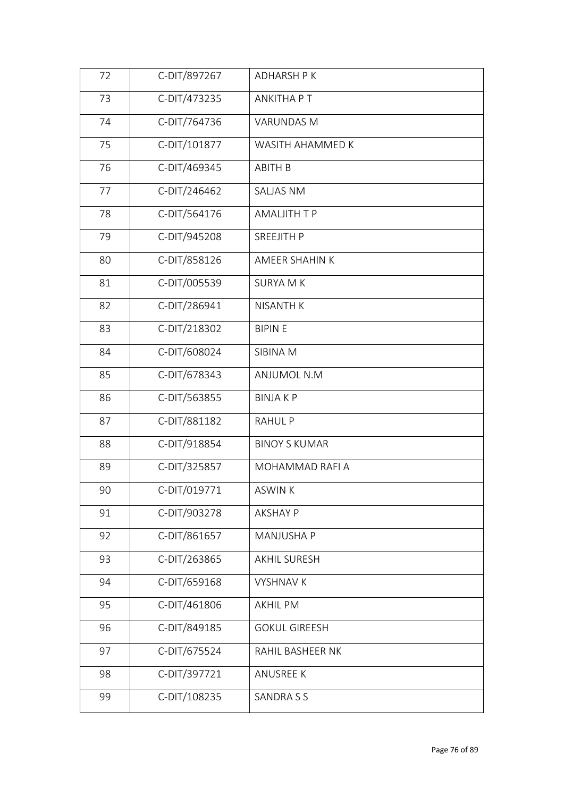| 72 | C-DIT/897267 | <b>ADHARSH PK</b>    |
|----|--------------|----------------------|
| 73 | C-DIT/473235 | <b>ANKITHA PT</b>    |
| 74 | C-DIT/764736 | <b>VARUNDAS M</b>    |
| 75 | C-DIT/101877 | WASITH AHAMMED K     |
| 76 | C-DIT/469345 | <b>ABITH B</b>       |
| 77 | C-DIT/246462 | <b>SALJAS NM</b>     |
| 78 | C-DIT/564176 | <b>AMALJITH T P</b>  |
| 79 | C-DIT/945208 | SREEJITH P           |
| 80 | C-DIT/858126 | AMEER SHAHIN K       |
| 81 | C-DIT/005539 | <b>SURYA M K</b>     |
| 82 | C-DIT/286941 | <b>NISANTH K</b>     |
| 83 | C-DIT/218302 | <b>BIPINE</b>        |
| 84 | C-DIT/608024 | SIBINA M             |
| 85 | C-DIT/678343 | ANJUMOL N.M          |
| 86 | C-DIT/563855 | <b>BINJAKP</b>       |
| 87 | C-DIT/881182 | <b>RAHULP</b>        |
| 88 | C-DIT/918854 | <b>BINOY S KUMAR</b> |
| 89 | C-DIT/325857 | MOHAMMAD RAFI A      |
| 90 | C-DIT/019771 | ASWIN K              |
| 91 | C-DIT/903278 | <b>AKSHAY P</b>      |
| 92 | C-DIT/861657 | MANJUSHA P           |
| 93 | C-DIT/263865 | <b>AKHIL SURESH</b>  |
| 94 | C-DIT/659168 | <b>VYSHNAV K</b>     |
| 95 | C-DIT/461806 | <b>AKHIL PM</b>      |
| 96 | C-DIT/849185 | <b>GOKUL GIREESH</b> |
| 97 | C-DIT/675524 | RAHIL BASHEER NK     |
| 98 | C-DIT/397721 | <b>ANUSREE K</b>     |
| 99 | C-DIT/108235 | SANDRA S S           |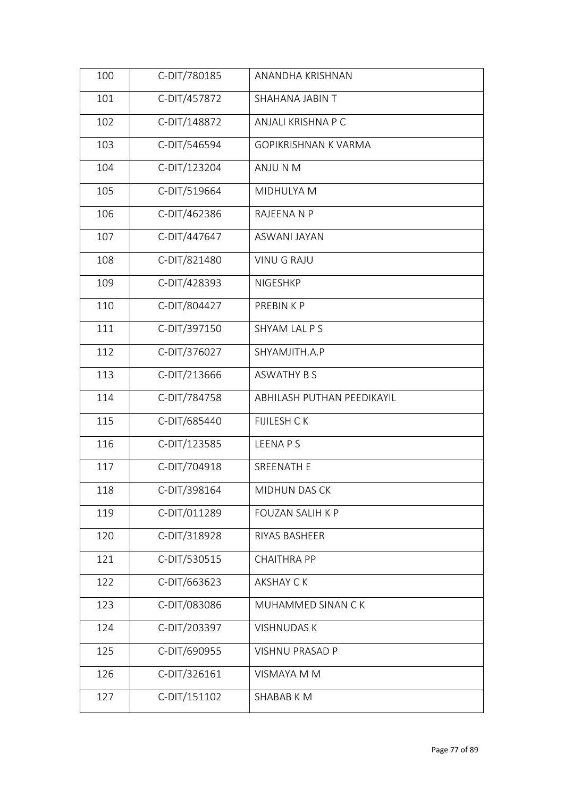| 100 | C-DIT/780185 | ANANDHA KRISHNAN           |
|-----|--------------|----------------------------|
| 101 | C-DIT/457872 | SHAHANA JABIN T            |
| 102 | C-DIT/148872 | ANJALI KRISHNA P C         |
| 103 | C-DIT/546594 | GOPIKRISHNAN K VARMA       |
| 104 | C-DIT/123204 | ANJU N M                   |
| 105 | C-DIT/519664 | MIDHULYA M                 |
| 106 | C-DIT/462386 | RAJEENA N P                |
| 107 | C-DIT/447647 | <b>ASWANI JAYAN</b>        |
| 108 | C-DIT/821480 | <b>VINU G RAJU</b>         |
| 109 | C-DIT/428393 | <b>NIGESHKP</b>            |
| 110 | C-DIT/804427 | PREBIN K P                 |
| 111 | C-DIT/397150 | SHYAM LAL P S              |
| 112 | C-DIT/376027 | SHYAMJITH.A.P              |
| 113 | C-DIT/213666 | <b>ASWATHY B S</b>         |
| 114 | C-DIT/784758 | ABHILASH PUTHAN PEEDIKAYIL |
| 115 | C-DIT/685440 | <b>FIJILESH CK</b>         |
| 116 | C-DIT/123585 | <b>LEENAPS</b>             |
| 117 | C-DIT/704918 | SREENATH E                 |
| 118 | C-DIT/398164 | MIDHUN DAS CK              |
| 119 | C-DIT/011289 | <b>FOUZAN SALIH K P</b>    |
| 120 | C-DIT/318928 | RIYAS BASHEER              |
| 121 | C-DIT/530515 | <b>CHAITHRA PP</b>         |
| 122 | C-DIT/663623 | <b>AKSHAY CK</b>           |
| 123 | C-DIT/083086 | MUHAMMED SINAN CK          |
| 124 | C-DIT/203397 | <b>VISHNUDAS K</b>         |
| 125 | C-DIT/690955 | <b>VISHNU PRASAD P</b>     |
| 126 | C-DIT/326161 | <b>VISMAYA M M</b>         |
| 127 | C-DIT/151102 | SHABAB K M                 |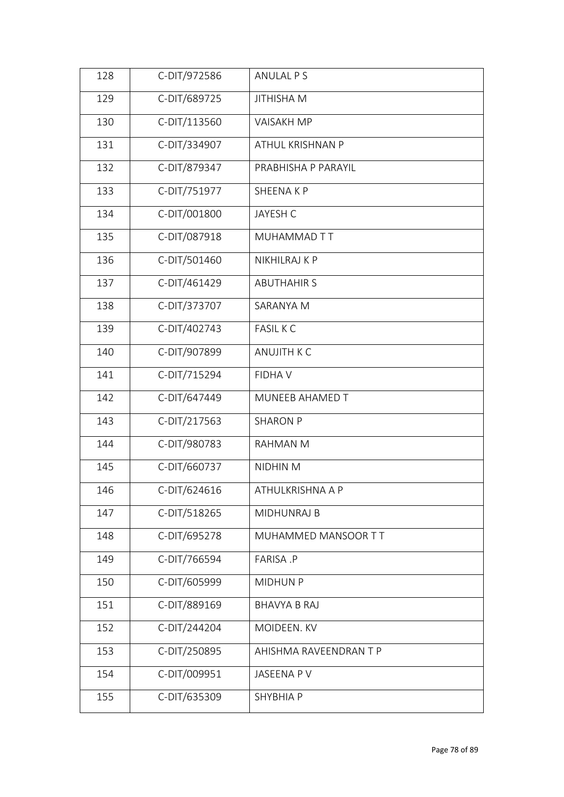| 128 | C-DIT/972586 | ANULAL P S             |
|-----|--------------|------------------------|
| 129 | C-DIT/689725 | <b>JITHISHA M</b>      |
| 130 | C-DIT/113560 | <b>VAISAKH MP</b>      |
| 131 | C-DIT/334907 | ATHUL KRISHNAN P       |
| 132 | C-DIT/879347 | PRABHISHA P PARAYIL    |
| 133 | C-DIT/751977 | SHEENAKP               |
| 134 | C-DIT/001800 | JAYESH C               |
| 135 | C-DIT/087918 | MUHAMMAD TT            |
| 136 | C-DIT/501460 | NIKHILRAJ K P          |
| 137 | C-DIT/461429 | <b>ABUTHAHIR S</b>     |
| 138 | C-DIT/373707 | SARANYA M              |
| 139 | C-DIT/402743 | <b>FASIL K C</b>       |
| 140 | C-DIT/907899 | <b>ANUJITH K C</b>     |
| 141 | C-DIT/715294 | <b>FIDHAV</b>          |
| 142 | C-DIT/647449 | MUNEEB AHAMED T        |
| 143 | C-DIT/217563 | <b>SHARON P</b>        |
| 144 | C-DIT/980783 | RAHMAN M               |
| 145 | C-DIT/660737 | NIDHIN M               |
| 146 | C-DIT/624616 | ATHULKRISHNA A P       |
| 147 | C-DIT/518265 | MIDHUNRAJ B            |
| 148 | C-DIT/695278 | MUHAMMED MANSOOR TT    |
| 149 | C-DIT/766594 | FARISA .P              |
| 150 | C-DIT/605999 | <b>MIDHUN P</b>        |
| 151 | C-DIT/889169 | <b>BHAVYA B RAJ</b>    |
| 152 | C-DIT/244204 | MOIDEEN. KV            |
| 153 | C-DIT/250895 | AHISHMA RAVEENDRAN T P |
| 154 | C-DIT/009951 | JASEENA P V            |
| 155 | C-DIT/635309 | SHYBHIA P              |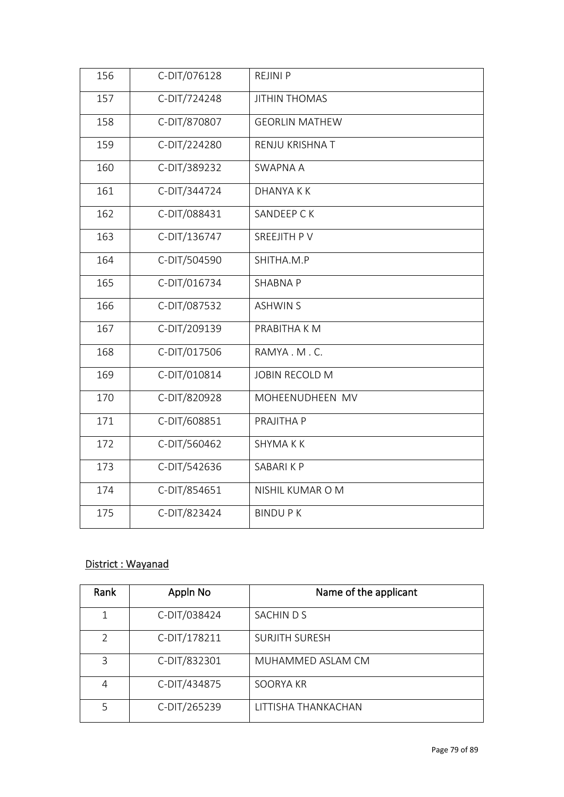| 156 | C-DIT/076128 | <b>REJINI P</b>       |
|-----|--------------|-----------------------|
| 157 | C-DIT/724248 | <b>JITHIN THOMAS</b>  |
| 158 | C-DIT/870807 | <b>GEORLIN MATHEW</b> |
| 159 | C-DIT/224280 | RENJU KRISHNA T       |
| 160 | C-DIT/389232 | <b>SWAPNA A</b>       |
| 161 | C-DIT/344724 | <b>DHANYAKK</b>       |
| 162 | C-DIT/088431 | SANDEEP C K           |
| 163 | C-DIT/136747 | SREEJITH PV           |
| 164 | C-DIT/504590 | SHITHA.M.P            |
| 165 | C-DIT/016734 | <b>SHABNA P</b>       |
| 166 | C-DIT/087532 | <b>ASHWIN S</b>       |
| 167 | C-DIT/209139 | PRABITHA K M          |
| 168 | C-DIT/017506 | RAMYA.M.C.            |
| 169 | C-DIT/010814 | <b>JOBIN RECOLD M</b> |
| 170 | C-DIT/820928 | MOHEENUDHEEN MV       |
| 171 | C-DIT/608851 | PRAJITHA P            |
| 172 | C-DIT/560462 | SHYMA K K             |
| 173 | C-DIT/542636 | SABARIKP              |
| 174 | C-DIT/854651 | NISHIL KUMAR O M      |
| 175 | C-DIT/823424 | <b>BINDUPK</b>        |
|     |              |                       |

## District : Wayanad

| Rank | Appln No     | Name of the applicant |
|------|--------------|-----------------------|
| 1    | C-DIT/038424 | SACHINDS              |
| V    | C-DIT/178211 | <b>SURJITH SURESH</b> |
| 3    | C-DIT/832301 | MUHAMMED ASLAM CM     |
| 4    | C-DIT/434875 | SOORYA KR             |
|      | C-DIT/265239 | LITTISHA THANKACHAN   |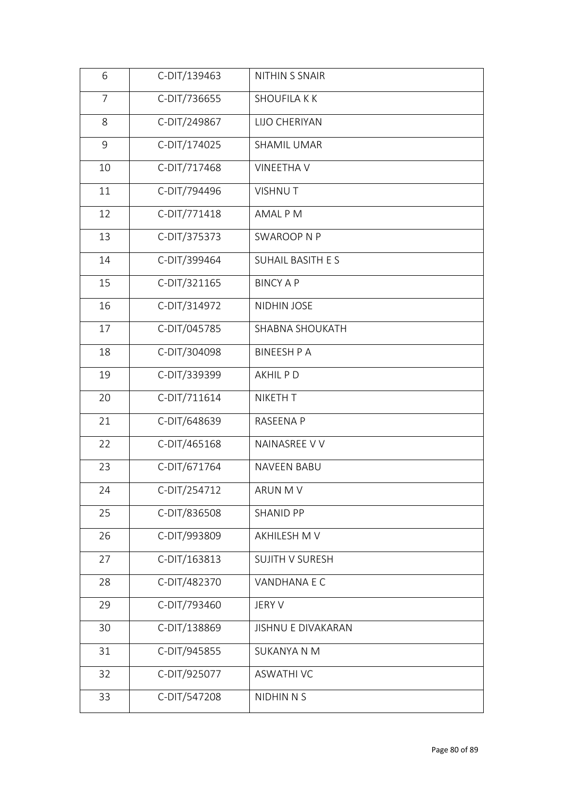| 6  | C-DIT/139463 | NITHIN S SNAIR            |
|----|--------------|---------------------------|
| 7  | C-DIT/736655 | <b>SHOUFILA K K</b>       |
| 8  | C-DIT/249867 | LIJO CHERIYAN             |
| 9  | C-DIT/174025 | <b>SHAMIL UMAR</b>        |
| 10 | C-DIT/717468 | <b>VINEETHA V</b>         |
| 11 | C-DIT/794496 | <b>VISHNUT</b>            |
| 12 | C-DIT/771418 | AMAL P M                  |
| 13 | C-DIT/375373 | <b>SWAROOP N P</b>        |
| 14 | C-DIT/399464 | SUHAIL BASITH ES          |
| 15 | C-DIT/321165 | <b>BINCY A P</b>          |
| 16 | C-DIT/314972 | NIDHIN JOSE               |
| 17 | C-DIT/045785 | SHABNA SHOUKATH           |
| 18 | C-DIT/304098 | <b>BINEESH P A</b>        |
| 19 | C-DIT/339399 | AKHIL P D                 |
| 20 | C-DIT/711614 | NIKETH T                  |
| 21 | C-DIT/648639 | RASEENA P                 |
| 22 | C-DIT/465168 | NAINASREE V V             |
| 23 | C-DIT/671764 | <b>NAVEEN BABU</b>        |
| 24 | C-DIT/254712 | ARUN M V                  |
| 25 | C-DIT/836508 | <b>SHANID PP</b>          |
| 26 | C-DIT/993809 | AKHILESH M V              |
| 27 | C-DIT/163813 | <b>SUJITH V SURESH</b>    |
| 28 | C-DIT/482370 | VANDHANA E C              |
| 29 | C-DIT/793460 | JERY V                    |
| 30 | C-DIT/138869 | <b>JISHNU E DIVAKARAN</b> |
| 31 | C-DIT/945855 | <b>SUKANYA N M</b>        |
| 32 | C-DIT/925077 | <b>ASWATHI VC</b>         |
| 33 | C-DIT/547208 | <b>NIDHIN N S</b>         |
|    |              |                           |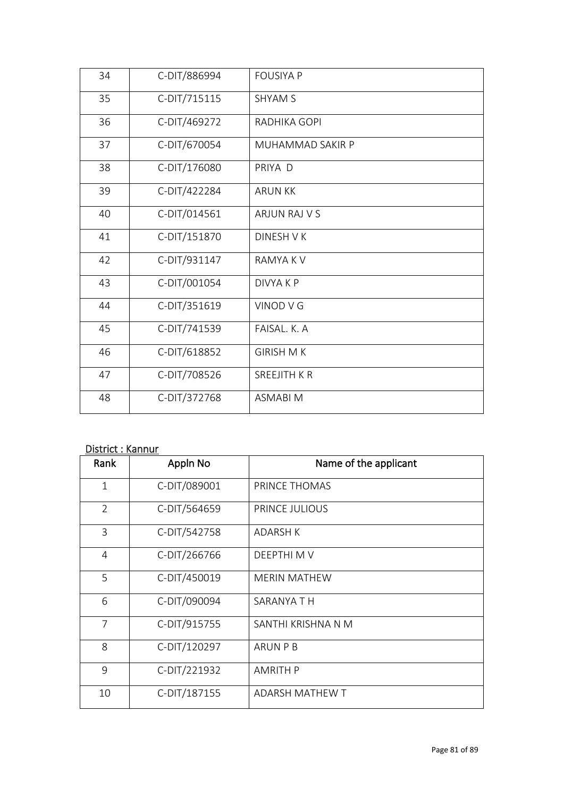| 34 | C-DIT/886994 | <b>FOUSIYA P</b>   |
|----|--------------|--------------------|
| 35 | C-DIT/715115 | <b>SHYAM S</b>     |
| 36 | C-DIT/469272 | RADHIKA GOPI       |
| 37 | C-DIT/670054 | MUHAMMAD SAKIR P   |
| 38 | C-DIT/176080 | PRIYA D            |
| 39 | C-DIT/422284 | <b>ARUN KK</b>     |
| 40 | C-DIT/014561 | ARJUN RAJ V S      |
| 41 | C-DIT/151870 | DINESH V K         |
| 42 | C-DIT/931147 | <b>RAMYAKV</b>     |
| 43 | C-DIT/001054 | DIVYA K P          |
| 44 | C-DIT/351619 | VINOD V G          |
| 45 | C-DIT/741539 | FAISAL, K. A       |
| 46 | C-DIT/618852 | <b>GIRISH MK</b>   |
| 47 | C-DIT/708526 | <b>SREEJITH KR</b> |
| 48 | C-DIT/372768 | <b>ASMABIM</b>     |

## District : Kannur

| Rank           | Appln No     | Name of the applicant |
|----------------|--------------|-----------------------|
| 1              | C-DIT/089001 | PRINCE THOMAS         |
| $\overline{2}$ | C-DIT/564659 | PRINCE JULIOUS        |
| 3              | C-DIT/542758 | <b>ADARSH K</b>       |
| 4              | C-DIT/266766 | DEEPTHI M V           |
| 5              | C-DIT/450019 | <b>MERIN MATHEW</b>   |
| 6              | C-DIT/090094 | SARANYA T H           |
| $\overline{7}$ | C-DIT/915755 | SANTHI KRISHNA N M    |
| 8              | C-DIT/120297 | <b>ARUN P B</b>       |
| 9              | C-DIT/221932 | <b>AMRITH P</b>       |
| 10             | C-DIT/187155 | ADARSH MATHEW T       |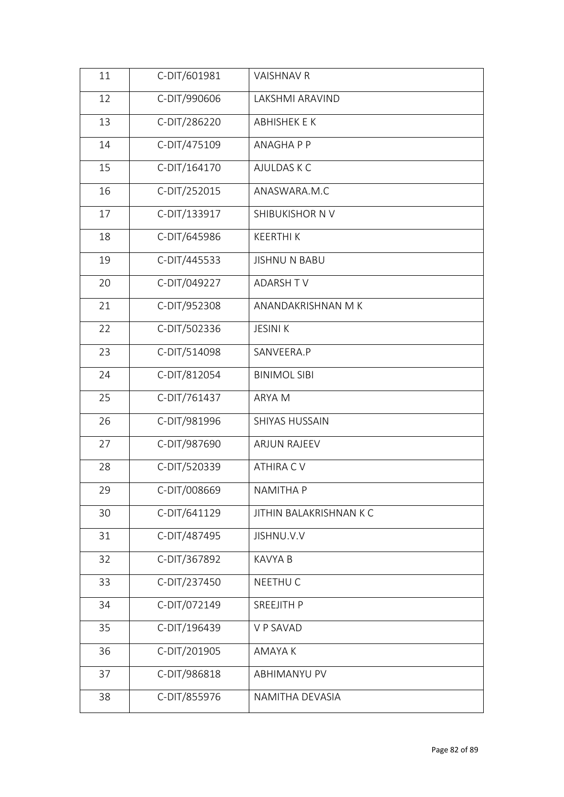| 11 | C-DIT/601981 | VAISHNAV R              |  |
|----|--------------|-------------------------|--|
| 12 | C-DIT/990606 | LAKSHMI ARAVIND         |  |
| 13 | C-DIT/286220 | ABHISHEK E K            |  |
| 14 | C-DIT/475109 | ANAGHA P P              |  |
| 15 | C-DIT/164170 | AJULDAS K C             |  |
| 16 | C-DIT/252015 | ANASWARA.M.C            |  |
| 17 | C-DIT/133917 | SHIBUKISHOR N V         |  |
| 18 | C-DIT/645986 | <b>KEERTHIK</b>         |  |
| 19 | C-DIT/445533 | <b>JISHNU N BABU</b>    |  |
| 20 | C-DIT/049227 | <b>ADARSH TV</b>        |  |
| 21 | C-DIT/952308 | ANANDAKRISHNAN M K      |  |
| 22 | C-DIT/502336 | <b>JESINI K</b>         |  |
| 23 | C-DIT/514098 | SANVEERA.P              |  |
| 24 | C-DIT/812054 | <b>BINIMOL SIBI</b>     |  |
| 25 | C-DIT/761437 | ARYA M                  |  |
| 26 | C-DIT/981996 | SHIYAS HUSSAIN          |  |
| 27 | C-DIT/987690 | <b>ARJUN RAJEEV</b>     |  |
| 28 | C-DIT/520339 | ATHIRA CV               |  |
| 29 | C-DIT/008669 | NAMITHA P               |  |
| 30 | C-DIT/641129 | JITHIN BALAKRISHNAN K C |  |
| 31 | C-DIT/487495 | JISHNU.V.V              |  |
| 32 | C-DIT/367892 | <b>KAVYA B</b>          |  |
| 33 | C-DIT/237450 | NEETHU C                |  |
| 34 | C-DIT/072149 | SREEJITH P              |  |
| 35 | C-DIT/196439 | V P SAVAD               |  |
| 36 | C-DIT/201905 | AMAYA K                 |  |
| 37 | C-DIT/986818 | ABHIMANYU PV            |  |
| 38 | C-DIT/855976 | NAMITHA DEVASIA         |  |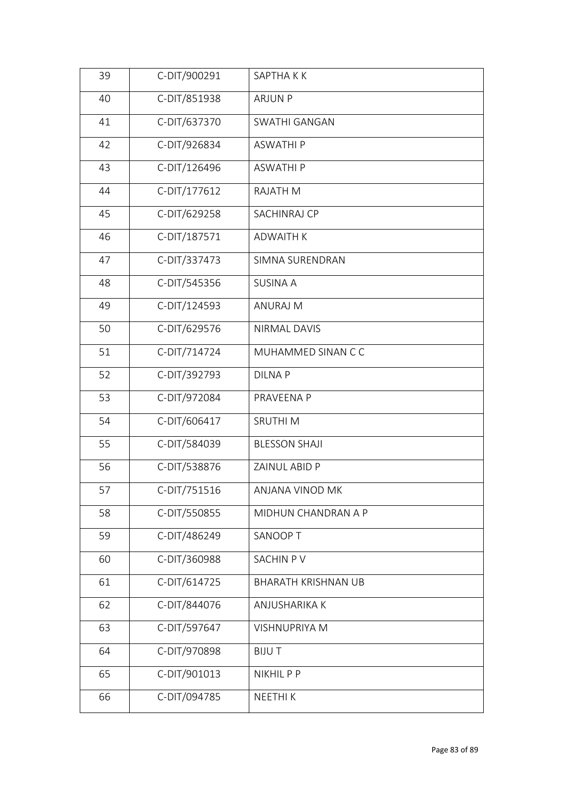| 39 | C-DIT/900291 | SAPTHA K K                 |
|----|--------------|----------------------------|
| 40 | C-DIT/851938 | <b>ARJUN P</b>             |
| 41 | C-DIT/637370 | SWATHI GANGAN              |
| 42 | C-DIT/926834 | <b>ASWATHIP</b>            |
| 43 | C-DIT/126496 | <b>ASWATHIP</b>            |
| 44 | C-DIT/177612 | RAJATH M                   |
| 45 | C-DIT/629258 | SACHINRAJ CP               |
| 46 | C-DIT/187571 | <b>ADWAITH K</b>           |
| 47 | C-DIT/337473 | SIMNA SURENDRAN            |
| 48 | C-DIT/545356 | <b>SUSINA A</b>            |
| 49 | C-DIT/124593 | <b>ANURAJ M</b>            |
| 50 | C-DIT/629576 | NIRMAL DAVIS               |
| 51 | C-DIT/714724 | MUHAMMED SINAN C C         |
| 52 | C-DIT/392793 | <b>DILNAP</b>              |
| 53 | C-DIT/972084 | PRAVEENA P                 |
| 54 | C-DIT/606417 | SRUTHI M                   |
| 55 | C-DIT/584039 | <b>BLESSON SHAJI</b>       |
| 56 | C-DIT/538876 | ZAINUL ABID P              |
| 57 | C-DIT/751516 | ANJANA VINOD MK            |
| 58 | C-DIT/550855 | MIDHUN CHANDRAN A P        |
| 59 | C-DIT/486249 | SANOOP T                   |
| 60 | C-DIT/360988 | SACHIN PV                  |
| 61 | C-DIT/614725 | <b>BHARATH KRISHNAN UB</b> |
| 62 | C-DIT/844076 | ANJUSHARIKA K              |
| 63 | C-DIT/597647 | VISHNUPRIYA M              |
| 64 | C-DIT/970898 | <b>BIJUT</b>               |
| 65 | C-DIT/901013 | NIKHIL P P                 |
| 66 | C-DIT/094785 | NEETHI K                   |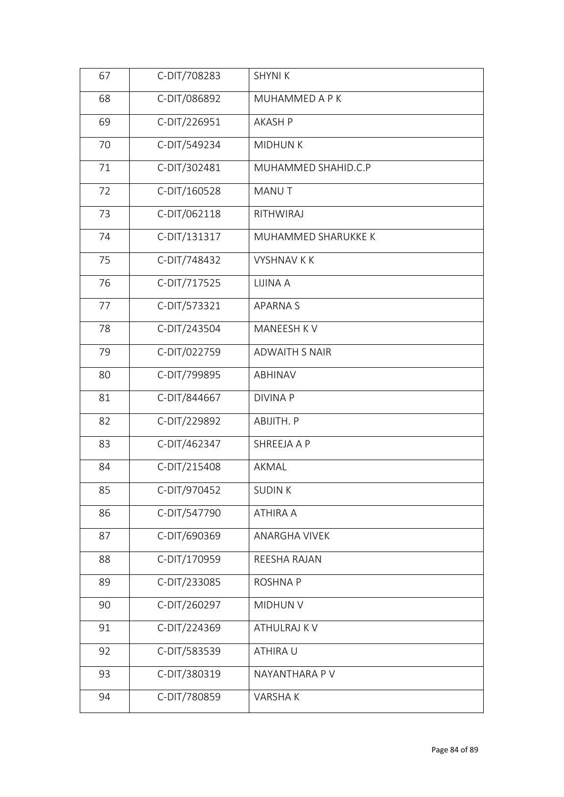| 67 | C-DIT/708283 | <b>SHYNIK</b>         |
|----|--------------|-----------------------|
| 68 | C-DIT/086892 | MUHAMMED A P K        |
| 69 | C-DIT/226951 | <b>AKASH P</b>        |
| 70 | C-DIT/549234 | <b>MIDHUNK</b>        |
| 71 | C-DIT/302481 | MUHAMMED SHAHID.C.P   |
| 72 | C-DIT/160528 | MANU T                |
| 73 | C-DIT/062118 | RITHWIRAJ             |
| 74 | C-DIT/131317 | MUHAMMED SHARUKKE K   |
| 75 | C-DIT/748432 | <b>VYSHNAV K K</b>    |
| 76 | C-DIT/717525 | LIJINA A              |
| 77 | C-DIT/573321 | <b>APARNAS</b>        |
| 78 | C-DIT/243504 | MANEESH KV            |
| 79 | C-DIT/022759 | <b>ADWAITH S NAIR</b> |
| 80 | C-DIT/799895 | ABHINAV               |
| 81 | C-DIT/844667 | <b>DIVINA P</b>       |
| 82 | C-DIT/229892 | ABIJITH. P            |
| 83 | C-DIT/462347 | SHREEJA A P           |
| 84 | C-DIT/215408 | AKMAL                 |
| 85 | C-DIT/970452 | <b>SUDINK</b>         |
| 86 | C-DIT/547790 | ATHIRA A              |
| 87 | C-DIT/690369 | <b>ANARGHA VIVEK</b>  |
| 88 | C-DIT/170959 | REESHA RAJAN          |
| 89 | C-DIT/233085 | <b>ROSHNAP</b>        |
| 90 | C-DIT/260297 | MIDHUN V              |
| 91 | C-DIT/224369 | ATHULRAJ K V          |
| 92 | C-DIT/583539 | ATHIRA U              |
| 93 | C-DIT/380319 | NAYANTHARA P V        |
| 94 | C-DIT/780859 | VARSHAK               |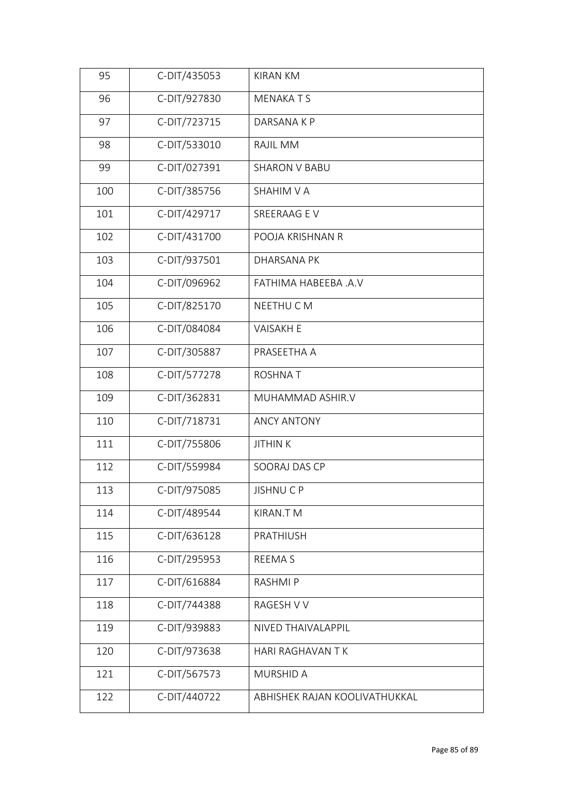| 95  | C-DIT/435053 | <b>KIRAN KM</b>               |
|-----|--------------|-------------------------------|
| 96  | C-DIT/927830 | <b>MENAKATS</b>               |
| 97  | C-DIT/723715 | DARSANA K P                   |
| 98  | C-DIT/533010 | RAJIL MM                      |
| 99  | C-DIT/027391 | <b>SHARON V BABU</b>          |
| 100 | C-DIT/385756 | <b>SHAHIM V A</b>             |
| 101 | C-DIT/429717 | SREERAAG EV                   |
| 102 | C-DIT/431700 | POOJA KRISHNAN R              |
| 103 | C-DIT/937501 | <b>DHARSANA PK</b>            |
| 104 | C-DIT/096962 | FATHIMA HABEEBA .A.V          |
| 105 | C-DIT/825170 | NEETHU C M                    |
| 106 | C-DIT/084084 | <b>VAISAKH E</b>              |
| 107 | C-DIT/305887 | PRASEETHA A                   |
| 108 | C-DIT/577278 | <b>ROSHNAT</b>                |
| 109 | C-DIT/362831 | MUHAMMAD ASHIR.V              |
| 110 | C-DIT/718731 | <b>ANCY ANTONY</b>            |
| 111 | C-DIT/755806 | <b>JITHINK</b>                |
| 112 | C-DIT/559984 | SOORAJ DAS CP                 |
| 113 | C-DIT/975085 | JISHNU C P                    |
| 114 | C-DIT/489544 | KIRAN.T M                     |
| 115 | C-DIT/636128 | PRATHIUSH                     |
| 116 | C-DIT/295953 | <b>REEMAS</b>                 |
| 117 | C-DIT/616884 | <b>RASHMIP</b>                |
| 118 | C-DIT/744388 | RAGESH V V                    |
| 119 | C-DIT/939883 | NIVED THAIVALAPPIL            |
| 120 | C-DIT/973638 | HARI RAGHAVAN T K             |
| 121 | C-DIT/567573 | MURSHID A                     |
| 122 | C-DIT/440722 | ABHISHEK RAJAN KOOLIVATHUKKAL |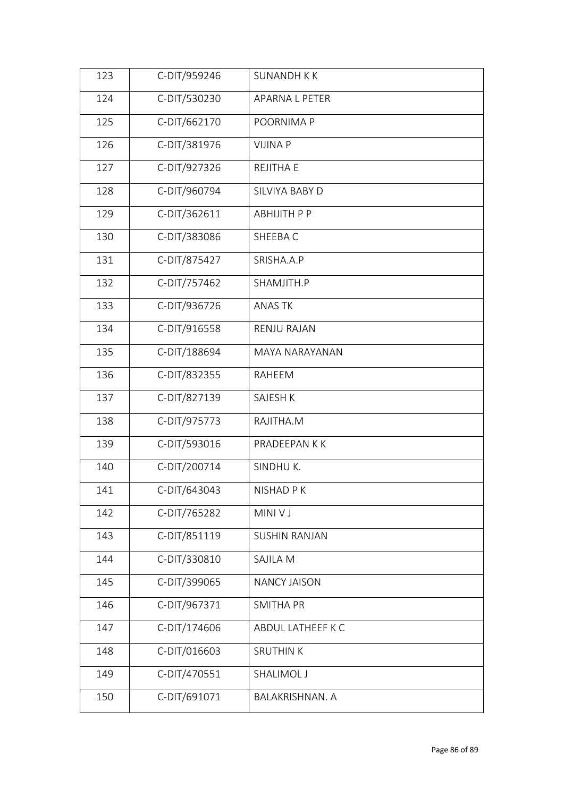| 123 | C-DIT/959246 | <b>SUNANDH K K</b>     |
|-----|--------------|------------------------|
| 124 | C-DIT/530230 | APARNA L PETER         |
| 125 | C-DIT/662170 | POORNIMA P             |
| 126 | C-DIT/381976 | <b>VIJINA P</b>        |
| 127 | C-DIT/927326 | <b>REJITHA E</b>       |
| 128 | C-DIT/960794 | SILVIYA BABY D         |
| 129 | C-DIT/362611 | <b>ABHIJITH P P</b>    |
| 130 | C-DIT/383086 | SHEEBAC                |
| 131 | C-DIT/875427 | SRISHA.A.P             |
| 132 | C-DIT/757462 | SHAMJITH.P             |
| 133 | C-DIT/936726 | <b>ANAS TK</b>         |
| 134 | C-DIT/916558 | <b>RENJU RAJAN</b>     |
| 135 | C-DIT/188694 | MAYA NARAYANAN         |
| 136 | C-DIT/832355 | RAHEEM                 |
| 137 | C-DIT/827139 | SAJESH K               |
| 138 | C-DIT/975773 | RAJITHA.M              |
| 139 | C-DIT/593016 | PRADEEPAN K K          |
| 140 | C-DIT/200714 | SINDHUK.               |
| 141 | C-DIT/643043 | NISHAD P K             |
| 142 | C-DIT/765282 | MINI V J               |
| 143 | C-DIT/851119 | <b>SUSHIN RANJAN</b>   |
| 144 | C-DIT/330810 | SAJILA M               |
| 145 | C-DIT/399065 | <b>NANCY JAISON</b>    |
| 146 | C-DIT/967371 | <b>SMITHA PR</b>       |
| 147 | C-DIT/174606 | ABDUL LATHEEF K C      |
| 148 | C-DIT/016603 | <b>SRUTHIN K</b>       |
| 149 | C-DIT/470551 | SHALIMOL J             |
| 150 | C-DIT/691071 | <b>BALAKRISHNAN. A</b> |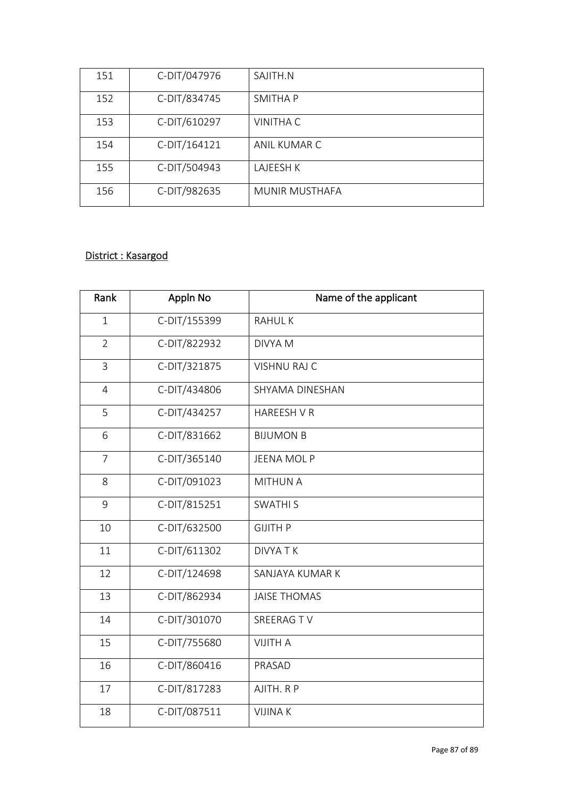| 151 | C-DIT/047976 | SAJITH.N              |
|-----|--------------|-----------------------|
| 152 | C-DIT/834745 | SMITHA P              |
| 153 | C-DIT/610297 | <b>VINITHA C</b>      |
| 154 | C-DIT/164121 | ANIL KUMAR C          |
| 155 | C-DIT/504943 | LAJEESH K             |
| 156 | C-DIT/982635 | <b>MUNIR MUSTHAFA</b> |

## District : Kasargod

| Rank           | Appln No     | Name of the applicant |
|----------------|--------------|-----------------------|
| $\mathbf{1}$   | C-DIT/155399 | <b>RAHULK</b>         |
| $\overline{2}$ | C-DIT/822932 | <b>DIVYA M</b>        |
| 3              | C-DIT/321875 | VISHNU RAJ C          |
| $\overline{4}$ | C-DIT/434806 | SHYAMA DINESHAN       |
| 5              | C-DIT/434257 | <b>HAREESH V R</b>    |
| 6              | C-DIT/831662 | <b>BIJUMON B</b>      |
| $\overline{7}$ | C-DIT/365140 | <b>JEENA MOL P</b>    |
| 8              | C-DIT/091023 | <b>MITHUN A</b>       |
| 9              | C-DIT/815251 | <b>SWATHI S</b>       |
| 10             | C-DIT/632500 | <b>GIJITH P</b>       |
| 11             | C-DIT/611302 | <b>DIVYATK</b>        |
| 12             | C-DIT/124698 | SANJAYA KUMAR K       |
| 13             | C-DIT/862934 | <b>JAISE THOMAS</b>   |
| 14             | C-DIT/301070 | SREERAG TV            |
| 15             | C-DIT/755680 | <b>VIJITH A</b>       |
| 16             | C-DIT/860416 | PRASAD                |
| 17             | C-DIT/817283 | AJITH. R P            |
| 18             | C-DIT/087511 | <b>VIJINAK</b>        |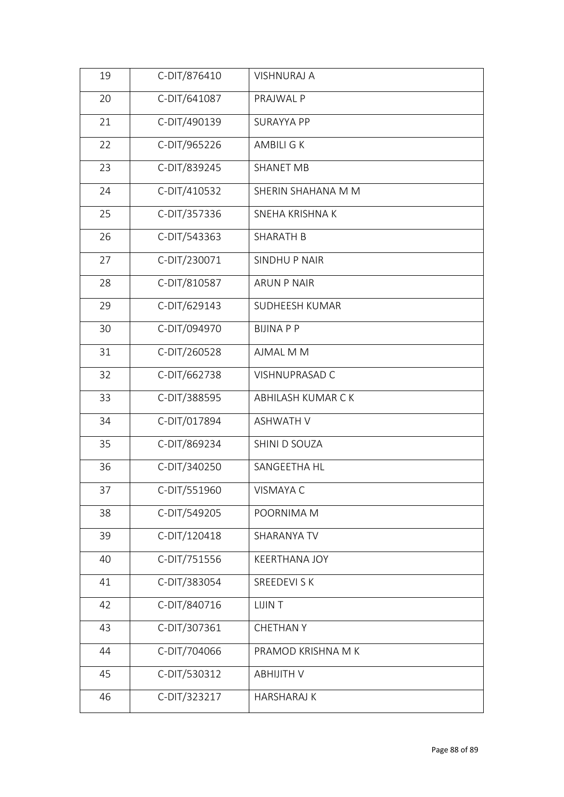| 19 | C-DIT/876410 | <b>VISHNURAJ A</b>   |  |
|----|--------------|----------------------|--|
| 20 | C-DIT/641087 | PRAJWAL P            |  |
| 21 | C-DIT/490139 | <b>SURAYYA PP</b>    |  |
| 22 | C-DIT/965226 | AMBILI G K           |  |
| 23 | C-DIT/839245 | SHANET MB            |  |
| 24 | C-DIT/410532 | SHERIN SHAHANA M M   |  |
| 25 | C-DIT/357336 | SNEHA KRISHNA K      |  |
| 26 | C-DIT/543363 | <b>SHARATH B</b>     |  |
| 27 | C-DIT/230071 | <b>SINDHUP NAIR</b>  |  |
| 28 | C-DIT/810587 | <b>ARUN P NAIR</b>   |  |
| 29 | C-DIT/629143 | SUDHEESH KUMAR       |  |
| 30 | C-DIT/094970 | <b>BIJINAPP</b>      |  |
| 31 | C-DIT/260528 | AJMAL M M            |  |
| 32 | C-DIT/662738 | VISHNUPRASAD C       |  |
| 33 | C-DIT/388595 | ABHILASH KUMAR CK    |  |
| 34 | C-DIT/017894 | <b>ASHWATH V</b>     |  |
| 35 | C-DIT/869234 | SHINI D SOUZA        |  |
| 36 | C-DIT/340250 | SANGEETHA HL         |  |
| 37 | C-DIT/551960 | VISMAYA C            |  |
| 38 | C-DIT/549205 | POORNIMA M           |  |
| 39 | C-DIT/120418 | SHARANYA TV          |  |
| 40 | C-DIT/751556 | <b>KEERTHANA JOY</b> |  |
| 41 | C-DIT/383054 | SREEDEVI S K         |  |
| 42 | C-DIT/840716 | <b>LIJINT</b>        |  |
| 43 | C-DIT/307361 | <b>CHETHAN Y</b>     |  |
| 44 | C-DIT/704066 | PRAMOD KRISHNA M K   |  |
| 45 | C-DIT/530312 | <b>ABHIJITH V</b>    |  |
| 46 | C-DIT/323217 | <b>HARSHARAJ K</b>   |  |